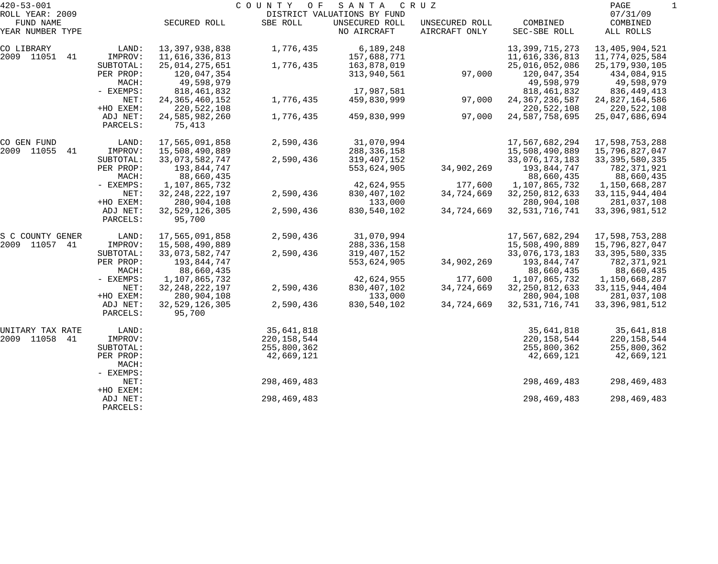| $420 - 53 - 001$             |                      |                             | COUNTY<br>O F | SANTA                                         | C R U Z        |                   | PAGE                 | 1 |
|------------------------------|----------------------|-----------------------------|---------------|-----------------------------------------------|----------------|-------------------|----------------------|---|
| ROLL YEAR: 2009<br>FUND NAME |                      | SECURED ROLL                | SBE ROLL      | DISTRICT VALUATIONS BY FUND<br>UNSECURED ROLL | UNSECURED ROLL | COMBINED          | 07/31/09<br>COMBINED |   |
| YEAR NUMBER TYPE             |                      |                             |               | NO AIRCRAFT                                   | AIRCRAFT ONLY  | SEC-SBE ROLL      | ALL ROLLS            |   |
| CO LIBRARY                   | LAND:                | 13,397,938,838              | 1,776,435     | 6,189,248                                     |                | 13, 399, 715, 273 | 13,405,904,521       |   |
| 2009 11051 41                | IMPROV:              | 11,616,336,813              |               | 157,688,771                                   |                | 11,616,336,813    | 11,774,025,584       |   |
|                              | SUBTOTAL:            | 25,014,275,651              | 1,776,435     | 163,878,019                                   |                | 25,016,052,086    | 25, 179, 930, 105    |   |
|                              | PER PROP:            | 120,047,354                 |               | 313,940,561                                   | 97,000         | 120,047,354       | 434,084,915          |   |
|                              | MACH:                | 49,598,979                  |               |                                               |                | 49,598,979        | 49,598,979           |   |
|                              | - EXEMPS:            | 818, 461, 832               |               | 17,987,581                                    |                | 818, 461, 832     | 836,449,413          |   |
|                              | NET:                 | 24, 365, 460, 152           | 1,776,435     | 459,830,999                                   | 97,000         | 24, 367, 236, 587 | 24,827,164,586       |   |
|                              | +HO EXEM:            | 220, 522, 108               |               |                                               |                | 220,522,108       | 220,522,108          |   |
|                              | ADJ NET:<br>PARCELS: | 24,585,982,260<br>75,413    | 1,776,435     | 459,830,999                                   | 97,000         | 24,587,758,695    | 25,047,686,694       |   |
| CO GEN FUND                  | LAND:                | 17,565,091,858              | 2,590,436     | 31,070,994                                    |                | 17,567,682,294    | 17,598,753,288       |   |
| 2009 11055<br>41             | IMPROV:              | 15,508,490,889              |               | 288, 336, 158                                 |                | 15,508,490,889    | 15,796,827,047       |   |
|                              | SUBTOTAL:            | 33,073,582,747              | 2,590,436     | 319,407,152                                   |                | 33,076,173,183    | 33, 395, 580, 335    |   |
|                              | PER PROP:            | 193,844,747                 |               | 553,624,905                                   | 34,902,269     | 193,844,747       | 782,371,921          |   |
|                              | MACH:                | 88,660,435                  |               |                                               |                | 88,660,435        | 88,660,435           |   |
|                              | - EXEMPS:            | 1,107,865,732               |               | 42,624,955                                    | 177,600        | 1,107,865,732     | 1,150,668,287        |   |
|                              | NET:                 | 32, 248, 222, 197           | 2,590,436     | 830, 407, 102                                 | 34,724,669     | 32, 250, 812, 633 | 33, 115, 944, 404    |   |
|                              | +HO EXEM:            | 280,904,108                 |               | 133,000                                       |                | 280,904,108       | 281,037,108          |   |
|                              | ADJ NET:<br>PARCELS: | 32, 529, 126, 305<br>95,700 | 2,590,436     | 830,540,102                                   | 34,724,669     | 32, 531, 716, 741 | 33, 396, 981, 512    |   |
| S C COUNTY GENER             | LAND:                | 17,565,091,858              | 2,590,436     | 31,070,994                                    |                | 17,567,682,294    | 17,598,753,288       |   |
| 2009 11057 41                | IMPROV:              | 15,508,490,889              |               | 288, 336, 158                                 |                | 15,508,490,889    | 15,796,827,047       |   |
|                              | SUBTOTAL:            | 33,073,582,747              | 2,590,436     | 319, 407, 152                                 |                | 33,076,173,183    | 33, 395, 580, 335    |   |
|                              | PER PROP:            | 193,844,747                 |               | 553,624,905                                   | 34,902,269     | 193,844,747       | 782,371,921          |   |
|                              | MACH:                | 88,660,435                  |               |                                               |                | 88,660,435        | 88,660,435           |   |
|                              | - EXEMPS:            | 1,107,865,732               |               | 42,624,955                                    | 177,600        | 1,107,865,732     | 1,150,668,287        |   |
|                              | NET:                 | 32, 248, 222, 197           | 2,590,436     | 830, 407, 102                                 | 34,724,669     | 32, 250, 812, 633 | 33, 115, 944, 404    |   |
|                              | +HO EXEM:            | 280,904,108                 |               | 133,000                                       |                | 280,904,108       | 281,037,108          |   |
|                              | ADJ NET:<br>PARCELS: | 32, 529, 126, 305<br>95,700 | 2,590,436     | 830,540,102                                   | 34,724,669     | 32, 531, 716, 741 | 33, 396, 981, 512    |   |
| UNITARY TAX RATE             | LAND:                |                             | 35,641,818    |                                               |                | 35,641,818        | 35,641,818           |   |
| 2009 11058 41                | IMPROV:              |                             | 220, 158, 544 |                                               |                | 220, 158, 544     | 220,158,544          |   |
|                              | SUBTOTAL:            |                             | 255,800,362   |                                               |                | 255,800,362       | 255,800,362          |   |
|                              | PER PROP:<br>MACH:   |                             | 42,669,121    |                                               |                | 42,669,121        | 42,669,121           |   |
|                              | - EXEMPS:            |                             |               |                                               |                |                   |                      |   |
|                              | NET:                 |                             | 298,469,483   |                                               |                | 298,469,483       | 298,469,483          |   |
|                              | +HO EXEM:            |                             |               |                                               |                |                   |                      |   |
|                              | ADJ NET:<br>PARCELS: |                             | 298, 469, 483 |                                               |                | 298, 469, 483     | 298,469,483          |   |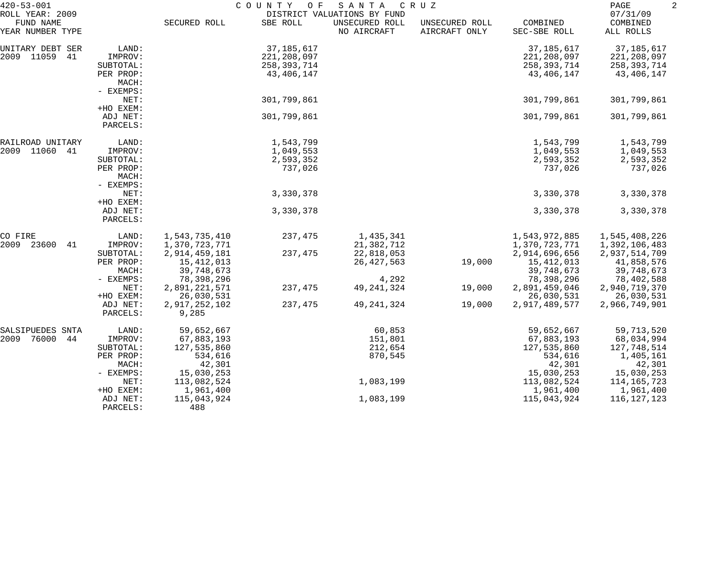| $420 - 53 - 001$<br>ROLL YEAR: 2009 |                                 | COUNTY<br>O F<br>S A N T A<br>C R U Z<br>DISTRICT VALUATIONS BY FUND |             |                               |                                 |                          | PAGE<br>07/31/09      |  |
|-------------------------------------|---------------------------------|----------------------------------------------------------------------|-------------|-------------------------------|---------------------------------|--------------------------|-----------------------|--|
| FUND NAME<br>YEAR NUMBER TYPE       |                                 | SECURED ROLL                                                         | SBE ROLL    | UNSECURED ROLL<br>NO AIRCRAFT | UNSECURED ROLL<br>AIRCRAFT ONLY | COMBINED<br>SEC-SBE ROLL | COMBINED<br>ALL ROLLS |  |
| UNITARY DEBT SER                    | LAND:                           |                                                                      | 37,185,617  |                               |                                 | 37,185,617               | 37, 185, 617          |  |
| 2009 11059<br>41                    | IMPROV:                         |                                                                      | 221,208,097 |                               |                                 | 221,208,097              | 221,208,097           |  |
|                                     | SUBTOTAL:                       |                                                                      | 258,393,714 |                               |                                 | 258,393,714              | 258,393,714           |  |
|                                     | PER PROP:<br>MACH:<br>- EXEMPS: |                                                                      | 43,406,147  |                               |                                 | 43,406,147               | 43,406,147            |  |
|                                     | NET:                            |                                                                      | 301,799,861 |                               |                                 | 301,799,861              | 301,799,861           |  |
|                                     | +HO EXEM:                       |                                                                      |             |                               |                                 |                          |                       |  |
|                                     | ADJ NET:<br>PARCELS:            |                                                                      | 301,799,861 |                               |                                 | 301,799,861              | 301,799,861           |  |
| RAILROAD UNITARY                    | LAND:                           |                                                                      | 1,543,799   |                               |                                 | 1,543,799                | 1,543,799             |  |
| 2009 11060<br>-41                   | IMPROV:                         |                                                                      | 1,049,553   |                               |                                 | 1,049,553                | 1,049,553             |  |
|                                     | SUBTOTAL:                       |                                                                      | 2,593,352   |                               |                                 | 2,593,352                | 2,593,352             |  |
|                                     | PER PROP:                       |                                                                      | 737,026     |                               |                                 | 737,026                  | 737,026               |  |
|                                     | MACH:<br>- EXEMPS:              |                                                                      |             |                               |                                 |                          |                       |  |
|                                     | NET:                            |                                                                      | 3,330,378   |                               |                                 | 3,330,378                | 3,330,378             |  |
|                                     | +HO EXEM:                       |                                                                      |             |                               |                                 |                          |                       |  |
|                                     | ADJ NET:<br>PARCELS:            |                                                                      | 3,330,378   |                               |                                 | 3,330,378                | 3,330,378             |  |
| CO FIRE                             | LAND:                           | 1,543,735,410                                                        | 237,475     | 1,435,341                     |                                 | 1,543,972,885            | 1,545,408,226         |  |
| 2009<br>23600<br>41                 | IMPROV:                         | 1,370,723,771                                                        |             | 21,382,712                    |                                 | 1,370,723,771            | 1,392,106,483         |  |
|                                     | SUBTOTAL:                       | 2,914,459,181                                                        | 237,475     | 22,818,053                    |                                 | 2,914,696,656            | 2,937,514,709         |  |
|                                     | PER PROP:                       | 15,412,013                                                           |             | 26, 427, 563                  | 19,000                          | 15,412,013               | 41,858,576            |  |
|                                     | MACH:                           | 39,748,673                                                           |             |                               |                                 | 39,748,673               | 39,748,673            |  |
|                                     | - EXEMPS:                       | 78,398,296                                                           |             | 4,292                         |                                 | 78,398,296               | 78,402,588            |  |
|                                     | NET:                            | 2,891,221,571                                                        | 237,475     | 49, 241, 324                  | 19,000                          | 2,891,459,046            | 2,940,719,370         |  |
|                                     | +HO EXEM:                       | 26,030,531                                                           |             |                               |                                 | 26,030,531               | 26,030,531            |  |
|                                     | ADJ NET:<br>PARCELS:            | 2,917,252,102<br>9,285                                               | 237,475     | 49, 241, 324                  | 19,000                          | 2,917,489,577            | 2,966,749,901         |  |
| SALSIPUEDES SNTA                    | LAND:                           | 59,652,667                                                           |             | 60,853                        |                                 | 59,652,667               | 59,713,520            |  |
| 76000<br>2009<br>44                 | IMPROV:                         | 67,883,193                                                           |             | 151,801                       |                                 | 67,883,193               | 68,034,994            |  |
|                                     | SUBTOTAL:                       | 127,535,860                                                          |             | 212,654                       |                                 | 127,535,860              | 127,748,514           |  |
|                                     | PER PROP:                       | 534,616                                                              |             | 870,545                       |                                 | 534,616                  | 1,405,161             |  |
|                                     | MACH:                           | 42,301                                                               |             |                               |                                 | 42,301                   | 42,301                |  |
|                                     | - EXEMPS:                       | 15,030,253                                                           |             |                               |                                 | 15,030,253               | 15,030,253            |  |
|                                     | NET:                            | 113,082,524                                                          |             | 1,083,199                     |                                 | 113,082,524              | 114,165,723           |  |
|                                     | +HO EXEM:                       | 1,961,400                                                            |             |                               |                                 | 1,961,400                | 1,961,400             |  |
|                                     | ADJ NET:<br>PARCELS:            | 115,043,924<br>488                                                   |             | 1,083,199                     |                                 | 115,043,924              | 116,127,123           |  |
|                                     |                                 |                                                                      |             |                               |                                 |                          |                       |  |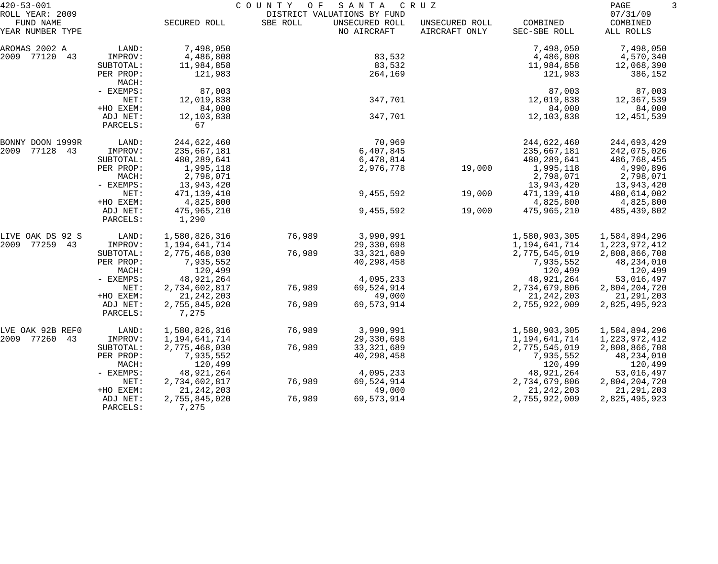| $420 - 53 - 001$                                 |                      |                        | COUNTY<br>SANTA<br>CRUZ<br>O F<br>DISTRICT VALUATIONS BY FUND |                               |                                 |                          |                                   |  |
|--------------------------------------------------|----------------------|------------------------|---------------------------------------------------------------|-------------------------------|---------------------------------|--------------------------|-----------------------------------|--|
| ROLL YEAR: 2009<br>FUND NAME<br>YEAR NUMBER TYPE |                      | SECURED ROLL           | SBE ROLL                                                      | UNSECURED ROLL<br>NO AIRCRAFT | UNSECURED ROLL<br>AIRCRAFT ONLY | COMBINED<br>SEC-SBE ROLL | 07/31/09<br>COMBINED<br>ALL ROLLS |  |
| AROMAS 2002 A                                    | LAND:                | 7,498,050              |                                                               |                               |                                 | 7,498,050                | 7,498,050                         |  |
| 2009 77120<br>43                                 | IMPROV:              | 4,486,808              |                                                               | 83,532                        |                                 | 4,486,808                | 4,570,340                         |  |
|                                                  | SUBTOTAL:            | 11,984,858             |                                                               | 83,532                        |                                 | 11,984,858               | 12,068,390                        |  |
|                                                  | PER PROP:<br>MACH:   | 121,983                |                                                               | 264,169                       |                                 | 121,983                  | 386,152                           |  |
|                                                  | - EXEMPS:            | 87,003                 |                                                               |                               |                                 | 87,003                   | 87,003                            |  |
|                                                  | NET:                 | 12,019,838             |                                                               | 347,701                       |                                 | 12,019,838               | 12,367,539                        |  |
|                                                  | +HO EXEM:            | 84,000                 |                                                               |                               |                                 | 84,000                   | 84,000                            |  |
|                                                  | ADJ NET:<br>PARCELS: | 12, 103, 838<br>67     |                                                               | 347,701                       |                                 | 12,103,838               | 12,451,539                        |  |
| BONNY DOON 1999R                                 | LAND:                | 244,622,460            |                                                               | 70,969                        |                                 | 244,622,460              | 244,693,429                       |  |
| 2009<br>77128<br>43                              | IMPROV:              | 235,667,181            |                                                               | 6,407,845                     |                                 | 235,667,181              | 242,075,026                       |  |
|                                                  | SUBTOTAL:            | 480,289,641            |                                                               | 6,478,814                     |                                 | 480,289,641              | 486,768,455                       |  |
|                                                  | PER PROP:            | 1,995,118              |                                                               | 2,976,778                     | 19,000                          | 1,995,118                | 4,990,896                         |  |
|                                                  | MACH:                | 2,798,071              |                                                               |                               |                                 | 2,798,071                | 2,798,071                         |  |
|                                                  | - EXEMPS:            | 13,943,420             |                                                               |                               |                                 | 13,943,420               | 13,943,420                        |  |
|                                                  | NET:                 | 471,139,410            |                                                               | 9,455,592                     | 19,000                          | 471,139,410              | 480,614,002                       |  |
|                                                  | +HO EXEM:            | 4,825,800              |                                                               |                               |                                 | 4,825,800                | 4,825,800                         |  |
|                                                  | ADJ NET:<br>PARCELS: | 475,965,210<br>1,290   |                                                               | 9,455,592                     | 19,000                          | 475,965,210              | 485,439,802                       |  |
| LIVE OAK DS 92 S                                 | LAND:                | 1,580,826,316          | 76,989                                                        | 3,990,991                     |                                 | 1,580,903,305            | 1,584,894,296                     |  |
| 2009<br>77259<br>43                              | IMPROV:              | 1,194,641,714          |                                                               | 29,330,698                    |                                 | 1,194,641,714            | 1, 223, 972, 412                  |  |
|                                                  | SUBTOTAL:            | 2,775,468,030          | 76,989                                                        | 33, 321, 689                  |                                 | 2,775,545,019            | 2,808,866,708                     |  |
|                                                  | PER PROP:            | 7,935,552              |                                                               | 40,298,458                    |                                 | 7,935,552                | 48,234,010                        |  |
|                                                  | MACH:                | 120,499                |                                                               |                               |                                 | 120,499                  | 120,499                           |  |
|                                                  | - EXEMPS:            | 48,921,264             |                                                               | 4,095,233                     |                                 | 48,921,264               | 53,016,497                        |  |
|                                                  | NET:                 | 2,734,602,817          | 76,989                                                        | 69,524,914                    |                                 | 2,734,679,806            | 2,804,204,720                     |  |
|                                                  | +HO EXEM:            | 21, 242, 203           |                                                               | 49,000                        |                                 | 21, 242, 203             | 21, 291, 203                      |  |
|                                                  | ADJ NET:<br>PARCELS: | 2,755,845,020<br>7,275 | 76,989                                                        | 69,573,914                    |                                 | 2,755,922,009            | 2,825,495,923                     |  |
| LVE OAK 92B REFO                                 | LAND:                | 1,580,826,316          | 76,989                                                        | 3,990,991                     |                                 | 1,580,903,305            | 1,584,894,296                     |  |
| 2009<br>77260<br>43                              | IMPROV:              | 1,194,641,714          |                                                               | 29,330,698                    |                                 | 1,194,641,714            | 1, 223, 972, 412                  |  |
|                                                  | SUBTOTAL:            | 2,775,468,030          | 76,989                                                        | 33, 321, 689                  |                                 | 2,775,545,019            | 2,808,866,708                     |  |
|                                                  | PER PROP:            | 7,935,552              |                                                               | 40,298,458                    |                                 | 7,935,552                | 48,234,010                        |  |
|                                                  | MACH:                | 120,499                |                                                               |                               |                                 | 120,499                  | 120,499                           |  |
|                                                  | $-$ EXEMPS:          | 48,921,264             |                                                               | 4,095,233                     |                                 | 48,921,264               | 53,016,497                        |  |
|                                                  | NET:                 | 2,734,602,817          | 76,989                                                        | 69,524,914                    |                                 | 2,734,679,806            | 2,804,204,720                     |  |
|                                                  | +HO EXEM:            | 21, 242, 203           |                                                               | 49,000                        |                                 | 21, 242, 203             | 21,291,203                        |  |
|                                                  | ADJ NET:<br>PARCELS: | 2,755,845,020<br>7,275 | 76,989                                                        | 69,573,914                    |                                 | 2,755,922,009            | 2,825,495,923                     |  |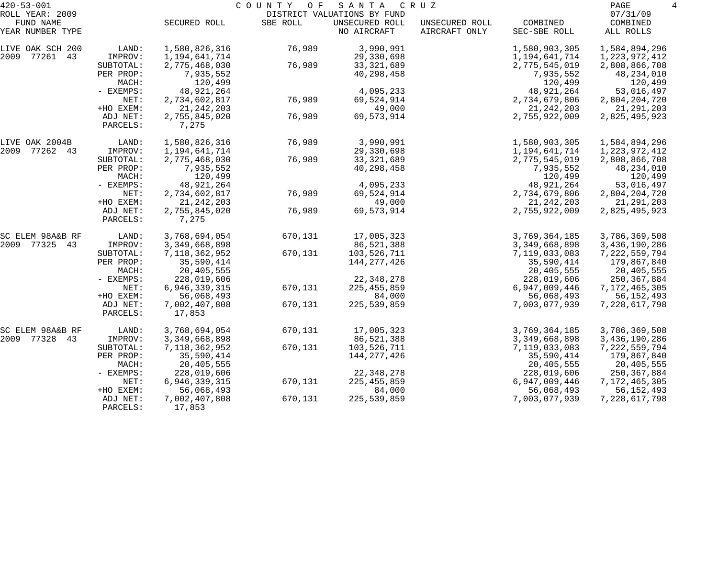| $420 - 53 - 001$              |                      |                         | COUNTY OF | SANTA                         | C R U Z                         |                          | $\overline{4}$<br>PAGE |
|-------------------------------|----------------------|-------------------------|-----------|-------------------------------|---------------------------------|--------------------------|------------------------|
| ROLL YEAR: 2009               |                      |                         |           | DISTRICT VALUATIONS BY FUND   |                                 |                          | 07/31/09               |
| FUND NAME<br>YEAR NUMBER TYPE |                      | SECURED ROLL            | SBE ROLL  | UNSECURED ROLL<br>NO AIRCRAFT | UNSECURED ROLL<br>AIRCRAFT ONLY | COMBINED<br>SEC-SBE ROLL | COMBINED<br>ALL ROLLS  |
| LIVE OAK SCH 200              | LAND:                | 1,580,826,316           | 76,989    | 3,990,991                     |                                 | 1,580,903,305            | 1,584,894,296          |
| 2009 77261 43                 | IMPROV:              | 1,194,641,714           |           | 29,330,698                    |                                 | 1,194,641,714            | 1, 223, 972, 412       |
|                               | SUBTOTAL:            | 2,775,468,030           | 76,989    | 33, 321, 689                  |                                 | 2,775,545,019            | 2,808,866,708          |
|                               | PER PROP:            | 7,935,552               |           | 40,298,458                    |                                 | 7,935,552                | 48,234,010             |
|                               | MACH:                | 120,499                 |           |                               |                                 | 120,499                  | 120,499                |
|                               | - EXEMPS:            | 48,921,264              |           | 4,095,233                     |                                 | 48,921,264               | 53,016,497             |
|                               | NET:                 | 2,734,602,817           | 76,989    | 69,524,914                    |                                 | 2,734,679,806            | 2,804,204,720          |
|                               | +HO EXEM:            | 21, 242, 203            |           | 49,000                        |                                 | 21, 242, 203             | 21, 291, 203           |
|                               | ADJ NET:<br>PARCELS: | 2,755,845,020<br>7,275  | 76,989    | 69,573,914                    |                                 | 2,755,922,009            | 2,825,495,923          |
| LIVE OAK 2004B                | LAND:                | 1,580,826,316           | 76,989    | 3,990,991                     |                                 | 1,580,903,305            | 1,584,894,296          |
| 2009<br>77262 43              | IMPROV:              | 1,194,641,714           |           | 29,330,698                    |                                 | 1,194,641,714            | 1,223,972,412          |
|                               | SUBTOTAL:            | 2,775,468,030           | 76,989    | 33, 321, 689                  |                                 | 2,775,545,019            | 2,808,866,708          |
|                               | PER PROP:            | 7,935,552               |           | 40,298,458                    |                                 | 7,935,552                | 48,234,010             |
|                               | MACH:                | 120,499                 |           |                               |                                 | 120,499                  | 120,499                |
|                               | - EXEMPS:            | 48, 921, 264            |           | 4,095,233                     |                                 | 48,921,264               | 53,016,497             |
|                               | NET:                 | 2,734,602,817           | 76,989    | 69,524,914                    |                                 | 2,734,679,806            | 2,804,204,720          |
|                               | +HO EXEM:            | 21, 242, 203            |           | 49,000                        |                                 | 21, 242, 203             | 21, 291, 203           |
|                               | ADJ NET:<br>PARCELS: | 2,755,845,020<br>7,275  | 76,989    | 69,573,914                    |                                 | 2,755,922,009            | 2,825,495,923          |
| SC ELEM 98A&B RF              | LAND:                | 3,768,694,054           | 670,131   | 17,005,323                    |                                 | 3,769,364,185            | 3,786,369,508          |
| 2009 77325 43                 | IMPROV:              | 3,349,668,898           |           | 86,521,388                    |                                 | 3,349,668,898            | 3,436,190,286          |
|                               | SUBTOTAL:            | 7, 118, 362, 952        | 670,131   | 103,526,711                   |                                 | 7,119,033,083            | 7,222,559,794          |
|                               | PER PROP:            | 35,590,414              |           | 144,277,426                   |                                 | 35,590,414               | 179,867,840            |
|                               | MACH:                | 20,405,555              |           |                               |                                 | 20,405,555               | 20,405,555             |
|                               | - EXEMPS:            | 228,019,606             |           | 22, 348, 278                  |                                 | 228,019,606              | 250, 367, 884          |
|                               | NET:                 | 6,946,339,315           | 670,131   | 225, 455, 859                 |                                 | 6,947,009,446            | 7, 172, 465, 305       |
|                               | +HO EXEM:            | 56,068,493              |           | 84,000                        |                                 | 56,068,493               | 56, 152, 493           |
|                               | ADJ NET:<br>PARCELS: | 7,002,407,808<br>17,853 | 670,131   | 225,539,859                   |                                 | 7,003,077,939            | 7, 228, 617, 798       |
| SC ELEM 98A&B RF              | LAND:                | 3,768,694,054           | 670,131   | 17,005,323                    |                                 | 3,769,364,185            | 3,786,369,508          |
| 2009 77328<br>43              | IMPROV:              | 3,349,668,898           |           | 86,521,388                    |                                 | 3, 349, 668, 898         | 3,436,190,286          |
|                               | SUBTOTAL:            | 7, 118, 362, 952        | 670,131   | 103,526,711                   |                                 | 7,119,033,083            | 7,222,559,794          |
|                               | PER PROP:            | 35,590,414              |           | 144, 277, 426                 |                                 | 35,590,414               | 179,867,840            |
|                               | MACH:                | 20,405,555              |           |                               |                                 | 20,405,555               | 20,405,555             |
|                               | $-$ EXEMPS:          | 228,019,606             |           | 22, 348, 278                  |                                 | 228,019,606              | 250, 367, 884          |
|                               | NET:                 | 6,946,339,315           | 670,131   | 225, 455, 859                 |                                 | 6,947,009,446            | 7,172,465,305          |
|                               | +HO EXEM:            | 56,068,493              |           | 84,000                        |                                 | 56,068,493               | 56, 152, 493           |
|                               | ADJ NET:<br>PARCELS: | 7,002,407,808<br>17,853 | 670,131   | 225,539,859                   |                                 | 7,003,077,939            | 7,228,617,798          |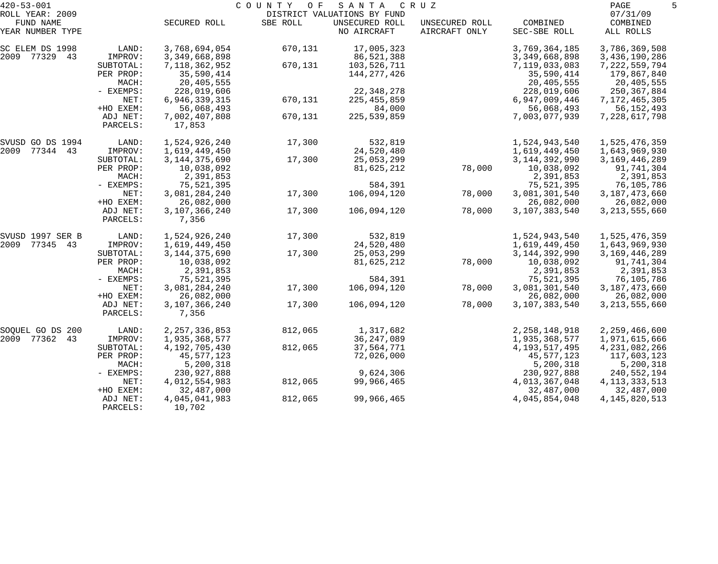| $420 - 53 - 001$              |                      |                           | COUNTY<br>O F | SANTA                         | CRUZ                            |                          | PAGE                  |
|-------------------------------|----------------------|---------------------------|---------------|-------------------------------|---------------------------------|--------------------------|-----------------------|
| ROLL YEAR: 2009               |                      |                           |               | DISTRICT VALUATIONS BY FUND   |                                 |                          | 07/31/09              |
| FUND NAME<br>YEAR NUMBER TYPE |                      | SECURED ROLL              | SBE ROLL      | UNSECURED ROLL<br>NO AIRCRAFT | UNSECURED ROLL<br>AIRCRAFT ONLY | COMBINED<br>SEC-SBE ROLL | COMBINED<br>ALL ROLLS |
| SC ELEM DS 1998               | LAND:                | 3,768,694,054             | 670,131       | 17,005,323                    |                                 | 3,769,364,185            | 3,786,369,508         |
| 2009 77329 43                 | IMPROV:              | 3, 349, 668, 898          |               | 86,521,388                    |                                 | 3, 349, 668, 898         | 3,436,190,286         |
|                               | SUBTOTAL:            | 7, 118, 362, 952          | 670,131       | 103,526,711                   |                                 | 7,119,033,083            | 7,222,559,794         |
|                               | PER PROP:            | 35,590,414                |               | 144,277,426                   |                                 | 35,590,414               | 179,867,840           |
|                               | MACH:                | 20,405,555                |               |                               |                                 | 20,405,555               | 20,405,555            |
|                               | - EXEMPS:            | 228,019,606               |               | 22, 348, 278                  |                                 | 228,019,606              | 250,367,884           |
|                               | NET:                 | 6,946,339,315             | 670,131       | 225, 455, 859                 |                                 | 6,947,009,446            | 7,172,465,305         |
|                               | +HO EXEM:            | 56,068,493                |               | 84,000                        |                                 | 56,068,493               | 56, 152, 493          |
|                               | ADJ NET:<br>PARCELS: | 7,002,407,808<br>17,853   | 670,131       | 225,539,859                   |                                 | 7,003,077,939            | 7,228,617,798         |
| SVUSD GO DS 1994              | LAND:                | 1,524,926,240             | 17,300        | 532,819                       |                                 | 1,524,943,540            | 1,525,476,359         |
| 2009 77344 43                 | IMPROV:              | 1,619,449,450             |               | 24,520,480                    |                                 | 1,619,449,450            | 1,643,969,930         |
|                               | SUBTOTAL:            | 3, 144, 375, 690          | 17,300        | 25,053,299                    |                                 | 3, 144, 392, 990         | 3, 169, 446, 289      |
|                               | PER PROP:            | 10,038,092                |               | 81,625,212                    | 78,000                          | 10,038,092               | 91,741,304            |
|                               | MACH:                | 2,391,853                 |               |                               |                                 | 2,391,853                | 2,391,853             |
|                               | - EXEMPS:            | 75,521,395                |               | 584,391                       |                                 | 75,521,395               | 76,105,786            |
|                               | NET:                 | 3,081,284,240             | 17,300        | 106,094,120                   | 78,000                          | 3,081,301,540            | 3, 187, 473, 660      |
|                               | +HO EXEM:            | 26,082,000                |               |                               |                                 | 26,082,000               | 26,082,000            |
|                               | ADJ NET:<br>PARCELS: | 3,107,366,240<br>7,356    | 17,300        | 106,094,120                   | 78,000                          | 3,107,383,540            | 3, 213, 555, 660      |
| SVUSD 1997 SER B              | LAND:                | 1,524,926,240             | 17,300        | 532,819                       |                                 | 1,524,943,540            | 1,525,476,359         |
| 2009 77345 43                 | IMPROV:              | 1,619,449,450             |               | 24,520,480                    |                                 | 1,619,449,450            | 1,643,969,930         |
|                               | SUBTOTAL:            | 3, 144, 375, 690          | 17,300        | 25,053,299                    |                                 | 3, 144, 392, 990         | 3, 169, 446, 289      |
|                               | PER PROP:            | 10,038,092                |               | 81,625,212                    | 78,000                          | 10,038,092               | 91,741,304            |
|                               | MACH:                | 2,391,853                 |               |                               |                                 | 2,391,853                | 2,391,853             |
|                               | - EXEMPS:            | 75,521,395                |               | 584,391                       |                                 | 75,521,395               | 76,105,786            |
|                               | NET:                 | 3,081,284,240             | 17,300        | 106,094,120                   | 78,000                          | 3,081,301,540            | 3, 187, 473, 660      |
|                               | +HO EXEM:            | 26,082,000                |               |                               |                                 | 26,082,000               | 26,082,000            |
|                               | ADJ NET:<br>PARCELS: | 3, 107, 366, 240<br>7,356 | 17,300        | 106,094,120                   | 78,000                          | 3,107,383,540            | 3, 213, 555, 660      |
| SOQUEL GO DS 200              | LAND:                | 2, 257, 336, 853          | 812,065       | 1,317,682                     |                                 | 2, 258, 148, 918         | 2,259,466,600         |
| 2009 77362 43                 | IMPROV:              | 1,935,368,577             |               | 36, 247, 089                  |                                 | 1,935,368,577            | 1,971,615,666         |
|                               | SUBTOTAL:            | 4, 192, 705, 430          | 812,065       | 37,564,771                    |                                 | 4, 193, 517, 495         | 4,231,082,266         |
|                               | PER PROP:            | 45,577,123                |               | 72,026,000                    |                                 | 45,577,123               | 117,603,123           |
|                               | MACH:                | 5,200,318                 |               |                               |                                 | 5,200,318                | 5,200,318             |
|                               | $-$ EXEMPS:          | 230,927,888               |               | 9,624,306                     |                                 | 230,927,888              | 240,552,194           |
|                               | NET:                 | 4,012,554,983             | 812,065       | 99,966,465                    |                                 | 4,013,367,048            | 4, 113, 333, 513      |
|                               | +HO EXEM:            | 32,487,000                |               |                               |                                 | 32,487,000               | 32,487,000            |
|                               | ADJ NET:<br>PARCELS: | 4,045,041,983<br>10,702   | 812,065       | 99,966,465                    |                                 | 4,045,854,048            | 4, 145, 820, 513      |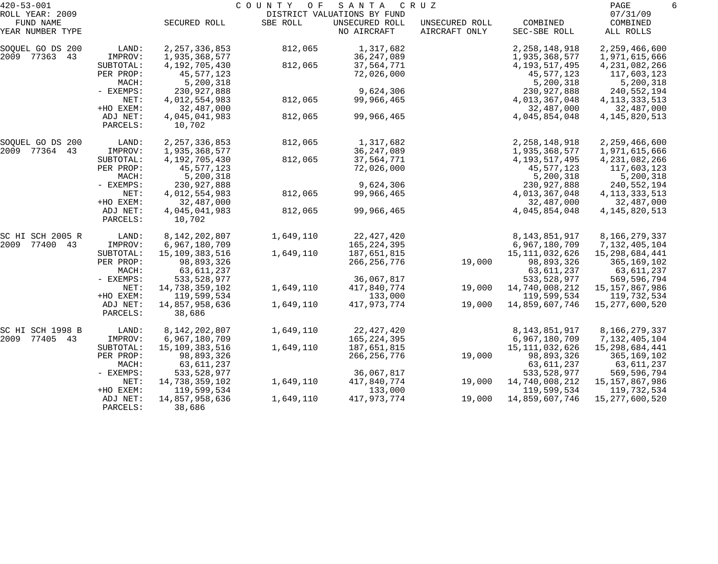| $420 - 53 - 001$                                 |                      |                         | COUNTY<br>O F | SANTA                                                        | C R U Z                         |                          | PAGE                              | 6 |
|--------------------------------------------------|----------------------|-------------------------|---------------|--------------------------------------------------------------|---------------------------------|--------------------------|-----------------------------------|---|
| ROLL YEAR: 2009<br>FUND NAME<br>YEAR NUMBER TYPE |                      | SECURED ROLL            | SBE ROLL      | DISTRICT VALUATIONS BY FUND<br>UNSECURED ROLL<br>NO AIRCRAFT | UNSECURED ROLL<br>AIRCRAFT ONLY | COMBINED<br>SEC-SBE ROLL | 07/31/09<br>COMBINED<br>ALL ROLLS |   |
|                                                  |                      |                         |               |                                                              |                                 |                          |                                   |   |
| SOQUEL GO DS 200                                 | LAND:                | 2, 257, 336, 853        | 812,065       | 1,317,682                                                    |                                 | 2, 258, 148, 918         | 2,259,466,600                     |   |
| 2009 77363<br>43                                 | IMPROV:              | 1,935,368,577           |               | 36, 247, 089                                                 |                                 | 1,935,368,577            | 1,971,615,666                     |   |
|                                                  | SUBTOTAL:            | 4,192,705,430           | 812,065       | 37,564,771                                                   |                                 | 4, 193, 517, 495         | 4, 231, 082, 266                  |   |
|                                                  | PER PROP:            | 45,577,123              |               | 72,026,000                                                   |                                 | 45,577,123               | 117,603,123                       |   |
|                                                  | MACH:                | 5,200,318               |               |                                                              |                                 | 5,200,318                | 5,200,318                         |   |
|                                                  | - EXEMPS:            | 230,927,888             |               | 9,624,306                                                    |                                 | 230,927,888              | 240,552,194                       |   |
|                                                  | NET:                 | 4,012,554,983           | 812,065       | 99,966,465                                                   |                                 | 4,013,367,048            | 4, 113, 333, 513                  |   |
|                                                  | +HO EXEM:            | 32,487,000              |               |                                                              |                                 | 32,487,000               | 32,487,000                        |   |
|                                                  | ADJ NET:<br>PARCELS: | 4,045,041,983<br>10,702 | 812,065       | 99,966,465                                                   |                                 | 4,045,854,048            | 4, 145, 820, 513                  |   |
|                                                  |                      |                         |               |                                                              |                                 |                          |                                   |   |
| SOQUEL GO DS 200                                 | LAND:                | 2, 257, 336, 853        | 812,065       | 1,317,682                                                    |                                 | 2, 258, 148, 918         | 2,259,466,600                     |   |
| 2009 77364<br>43                                 | IMPROV:              | 1,935,368,577           |               | 36, 247, 089                                                 |                                 | 1,935,368,577            | 1,971,615,666                     |   |
|                                                  | SUBTOTAL:            | 4, 192, 705, 430        | 812,065       | 37,564,771                                                   |                                 | 4,193,517,495            | 4,231,082,266                     |   |
|                                                  | PER PROP:            | 45,577,123              |               | 72,026,000                                                   |                                 | 45,577,123               | 117,603,123                       |   |
|                                                  | MACH:                | 5,200,318               |               |                                                              |                                 | 5,200,318                | 5,200,318                         |   |
|                                                  | - EXEMPS:            | 230,927,888             |               | 9,624,306                                                    |                                 | 230,927,888              | 240,552,194                       |   |
|                                                  | NET:                 | 4,012,554,983           | 812,065       | 99,966,465                                                   |                                 | 4,013,367,048            | 4, 113, 333, 513                  |   |
|                                                  | +HO EXEM:            | 32,487,000              |               |                                                              |                                 | 32,487,000               | 32,487,000                        |   |
|                                                  | ADJ NET:             | 4,045,041,983           | 812,065       | 99,966,465                                                   |                                 | 4,045,854,048            | 4, 145, 820, 513                  |   |
|                                                  | PARCELS:             | 10,702                  |               |                                                              |                                 |                          |                                   |   |
| SC HI SCH 2005 R                                 | LAND:                | 8,142,202,807           | 1,649,110     | 22, 427, 420                                                 |                                 | 8, 143, 851, 917         | 8,166,279,337                     |   |
| 2009 77400 43                                    | IMPROV:              | 6,967,180,709           |               | 165,224,395                                                  |                                 | 6,967,180,709            | 7,132,405,104                     |   |
|                                                  | SUBTOTAL:            | 15,109,383,516          | 1,649,110     | 187,651,815                                                  |                                 | 15, 111, 032, 626        | 15,298,684,441                    |   |
|                                                  | PER PROP:            | 98,893,326              |               | 266, 256, 776                                                | 19,000                          | 98,893,326               | 365,169,102                       |   |
|                                                  | MACH:                | 63,611,237              |               |                                                              |                                 | 63,611,237               | 63,611,237                        |   |
|                                                  | - EXEMPS:            | 533, 528, 977           |               | 36,067,817                                                   |                                 | 533, 528, 977            | 569,596,794                       |   |
|                                                  | NET:                 | 14,738,359,102          | 1,649,110     | 417,840,774                                                  | 19,000                          | 14,740,008,212           | 15, 157, 867, 986                 |   |
|                                                  | +HO EXEM:            | 119,599,534             |               | 133,000                                                      |                                 | 119,599,534              | 119,732,534                       |   |
|                                                  | ADJ NET:             | 14,857,958,636          | 1,649,110     | 417,973,774                                                  | 19,000                          | 14,859,607,746           | 15,277,600,520                    |   |
|                                                  | PARCELS:             | 38,686                  |               |                                                              |                                 |                          |                                   |   |
| SC HI SCH 1998 B                                 | LAND:                | 8,142,202,807           | 1,649,110     | 22, 427, 420                                                 |                                 | 8,143,851,917            | 8,166,279,337                     |   |
| 2009<br>77405 43                                 | IMPROV:              | 6,967,180,709           |               | 165, 224, 395                                                |                                 | 6,967,180,709            | 7,132,405,104                     |   |
|                                                  | SUBTOTAL:            | 15,109,383,516          | 1,649,110     | 187,651,815                                                  |                                 | 15,111,032,626           | 15,298,684,441                    |   |
|                                                  | PER PROP:            | 98,893,326              |               | 266, 256, 776                                                | 19,000                          | 98,893,326               | 365,169,102                       |   |
|                                                  | MACH:                | 63,611,237              |               |                                                              |                                 | 63,611,237               | 63,611,237                        |   |
|                                                  | $-$ EXEMPS:          | 533,528,977             |               | 36,067,817                                                   |                                 | 533, 528, 977            | 569,596,794                       |   |
|                                                  | NET:                 | 14,738,359,102          | 1,649,110     | 417,840,774                                                  | 19,000                          | 14,740,008,212           | 15, 157, 867, 986                 |   |
|                                                  | +HO EXEM:            | 119,599,534             |               | 133,000                                                      |                                 | 119,599,534              | 119,732,534                       |   |
|                                                  | ADJ NET:             | 14,857,958,636          | 1,649,110     | 417, 973, 774                                                | 19,000                          | 14,859,607,746           | 15, 277, 600, 520                 |   |
|                                                  | PARCELS:             | 38,686                  |               |                                                              |                                 |                          |                                   |   |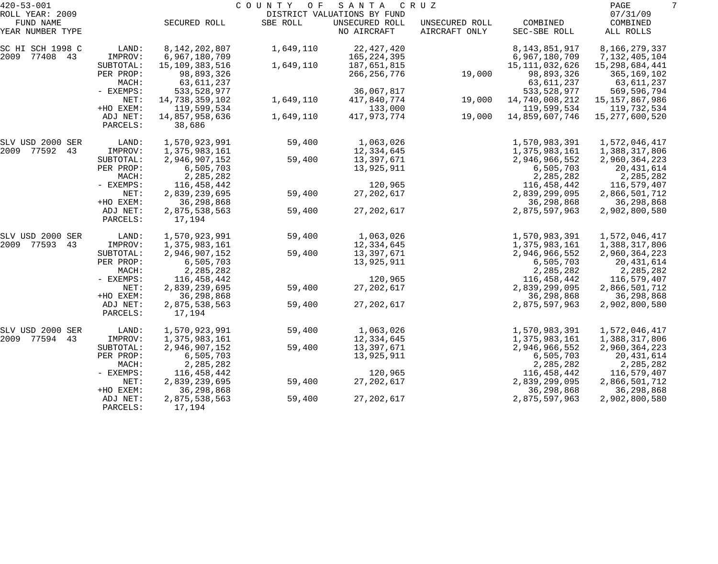| $420 - 53 - 001$              |                      |                         | COUNTY OF | SANTA                         | C R U Z                         |                          | PAGE                  | 7 |
|-------------------------------|----------------------|-------------------------|-----------|-------------------------------|---------------------------------|--------------------------|-----------------------|---|
| ROLL YEAR: 2009               |                      |                         |           | DISTRICT VALUATIONS BY FUND   |                                 |                          | 07/31/09              |   |
| FUND NAME<br>YEAR NUMBER TYPE |                      | SECURED ROLL            | SBE ROLL  | UNSECURED ROLL<br>NO AIRCRAFT | UNSECURED ROLL<br>AIRCRAFT ONLY | COMBINED<br>SEC-SBE ROLL | COMBINED<br>ALL ROLLS |   |
| SC HI SCH 1998 C              | LAND:                | 8, 142, 202, 807        | 1,649,110 | 22, 427, 420                  |                                 | 8, 143, 851, 917         | 8,166,279,337         |   |
| 2009 77408 43                 | IMPROV:              | 6,967,180,709           |           | 165,224,395                   |                                 | 6,967,180,709            | 7,132,405,104         |   |
|                               | SUBTOTAL:            | 15,109,383,516          | 1,649,110 | 187,651,815                   |                                 | 15, 111, 032, 626        | 15,298,684,441        |   |
|                               | PER PROP:            | 98,893,326              |           | 266, 256, 776                 | 19,000                          | 98,893,326               | 365,169,102           |   |
|                               | MACH:                | 63,611,237              |           |                               |                                 | 63,611,237               | 63,611,237            |   |
|                               | - EXEMPS:            | 533, 528, 977           |           | 36,067,817                    |                                 | 533, 528, 977            | 569,596,794           |   |
|                               | NET:                 | 14,738,359,102          | 1,649,110 | 417,840,774                   | 19,000                          | 14,740,008,212           | 15, 157, 867, 986     |   |
|                               | +HO EXEM:            | 119,599,534             |           | 133,000                       |                                 | 119,599,534              | 119,732,534           |   |
|                               | ADJ NET:             | 14,857,958,636          | 1,649,110 | 417,973,774                   | 19,000                          | 14,859,607,746           | 15, 277, 600, 520     |   |
|                               | PARCELS:             | 38,686                  |           |                               |                                 |                          |                       |   |
| SLV USD 2000 SER              | LAND:                | 1,570,923,991           | 59,400    | 1,063,026                     |                                 | 1,570,983,391            | 1,572,046,417         |   |
| 2009 77592<br>43              | IMPROV:              | 1,375,983,161           |           | 12,334,645                    |                                 | 1,375,983,161            | 1,388,317,806         |   |
|                               | SUBTOTAL:            | 2,946,907,152           | 59,400    | 13,397,671                    |                                 | 2,946,966,552            | 2,960,364,223         |   |
|                               | PER PROP:            | 6,505,703               |           | 13,925,911                    |                                 | 6,505,703                | 20,431,614            |   |
|                               | MACH:                | 2,285,282               |           |                               |                                 | 2,285,282                | 2,285,282             |   |
|                               | - EXEMPS:            | 116,458,442             |           | 120,965                       |                                 | 116,458,442              | 116,579,407           |   |
|                               | NET:                 | 2,839,239,695           | 59,400    | 27, 202, 617                  |                                 | 2,839,299,095            | 2,866,501,712         |   |
|                               | +HO EXEM:            | 36,298,868              |           |                               |                                 | 36,298,868               | 36,298,868            |   |
|                               | ADJ NET:             | 2,875,538,563           | 59,400    | 27, 202, 617                  |                                 | 2,875,597,963            | 2,902,800,580         |   |
|                               | PARCELS:             | 17,194                  |           |                               |                                 |                          |                       |   |
| SLV USD 2000 SER              | LAND:                | 1,570,923,991           | 59,400    | 1,063,026                     |                                 | 1,570,983,391            | 1,572,046,417         |   |
| 2009 77593<br>43              | IMPROV:              | 1,375,983,161           |           | 12,334,645                    |                                 | 1,375,983,161            | 1,388,317,806         |   |
|                               | SUBTOTAL:            | 2,946,907,152           | 59,400    | 13,397,671                    |                                 | 2,946,966,552            | 2,960,364,223         |   |
|                               | PER PROP:            | 6,505,703               |           | 13,925,911                    |                                 | 6,505,703                | 20,431,614            |   |
|                               | MACH:                | 2,285,282               |           |                               |                                 | 2,285,282                | 2,285,282             |   |
|                               | - EXEMPS:            | 116,458,442             |           | 120,965                       |                                 | 116,458,442              | 116,579,407           |   |
|                               | NET:                 | 2,839,239,695           | 59,400    | 27, 202, 617                  |                                 | 2,839,299,095            | 2,866,501,712         |   |
|                               | +HO EXEM:            | 36,298,868              |           |                               |                                 | 36,298,868               | 36,298,868            |   |
|                               | ADJ NET:<br>PARCELS: | 2,875,538,563<br>17,194 | 59,400    | 27, 202, 617                  |                                 | 2,875,597,963            | 2,902,800,580         |   |
| SLV USD 2000 SER              | LAND:                | 1,570,923,991           | 59,400    | 1,063,026                     |                                 | 1,570,983,391            | 1,572,046,417         |   |
| 2009 77594<br>43              | IMPROV:              | 1,375,983,161           |           | 12,334,645                    |                                 | 1,375,983,161            | 1,388,317,806         |   |
|                               | SUBTOTAL:            | 2,946,907,152           | 59,400    | 13,397,671                    |                                 | 2,946,966,552            | 2,960,364,223         |   |
|                               | PER PROP:            | 6,505,703               |           | 13,925,911                    |                                 | 6,505,703                | 20,431,614            |   |
|                               | MACH:                | 2,285,282               |           |                               |                                 | 2,285,282                | 2,285,282             |   |
|                               | $-$ EXEMPS:          | 116,458,442             |           | 120,965                       |                                 | 116,458,442              | 116,579,407           |   |
|                               | NET:                 | 2,839,239,695           | 59,400    | 27, 202, 617                  |                                 | 2,839,299,095            | 2,866,501,712         |   |
|                               | +HO EXEM:            | 36, 298, 868            |           |                               |                                 | 36, 298, 868             | 36,298,868            |   |
|                               | ADJ NET:             | 2,875,538,563           | 59,400    | 27, 202, 617                  |                                 | 2,875,597,963            | 2,902,800,580         |   |
|                               | PARCELS:             | 17,194                  |           |                               |                                 |                          |                       |   |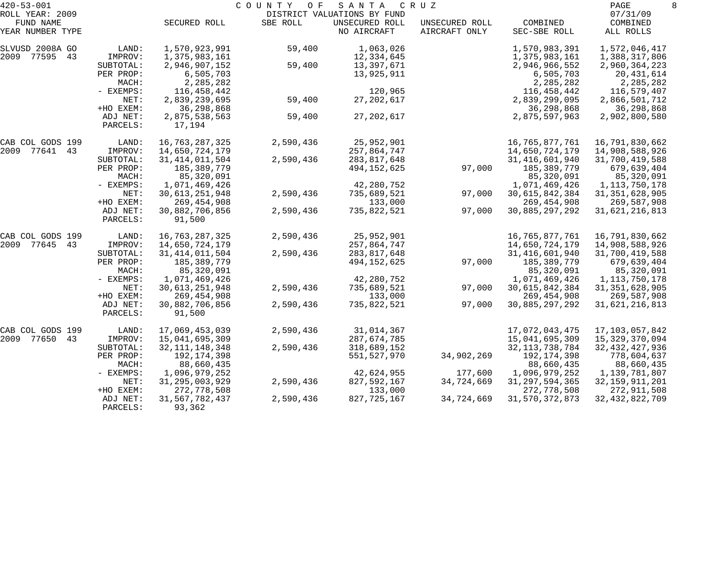| $420 - 53 - 001$              |                      |                             | C O U N T Y<br>O F | SANTA                         | C R U Z                         |                          | PAGE                  | 8 |
|-------------------------------|----------------------|-----------------------------|--------------------|-------------------------------|---------------------------------|--------------------------|-----------------------|---|
| ROLL YEAR: 2009               |                      |                             |                    | DISTRICT VALUATIONS BY FUND   |                                 |                          | 07/31/09              |   |
| FUND NAME<br>YEAR NUMBER TYPE |                      | SECURED ROLL                | SBE ROLL           | UNSECURED ROLL<br>NO AIRCRAFT | UNSECURED ROLL<br>AIRCRAFT ONLY | COMBINED<br>SEC-SBE ROLL | COMBINED<br>ALL ROLLS |   |
| SLVUSD 2008A GO               | LAND:                | 1,570,923,991               | 59,400             | 1,063,026                     |                                 | 1,570,983,391            | 1,572,046,417         |   |
| 2009 77595 43                 | IMPROV:              | 1,375,983,161               |                    | 12,334,645                    |                                 | 1,375,983,161            | 1,388,317,806         |   |
|                               | SUBTOTAL:            | 2,946,907,152               | 59,400             | 13,397,671                    |                                 | 2,946,966,552            | 2,960,364,223         |   |
|                               | PER PROP:            | 6,505,703                   |                    | 13,925,911                    |                                 | 6,505,703                | 20,431,614            |   |
|                               | MACH:                | 2,285,282                   |                    |                               |                                 | 2,285,282                | 2,285,282             |   |
|                               | - EXEMPS:            | 116,458,442                 |                    | 120,965                       |                                 | 116,458,442              | 116,579,407           |   |
|                               | NET:                 | 2,839,239,695               | 59,400             | 27, 202, 617                  |                                 | 2,839,299,095            | 2,866,501,712         |   |
|                               | +HO EXEM:            | 36,298,868                  |                    |                               |                                 | 36,298,868               | 36,298,868            |   |
|                               | ADJ NET:<br>PARCELS: | 2,875,538,563<br>17,194     | 59,400             | 27, 202, 617                  |                                 | 2,875,597,963            | 2,902,800,580         |   |
| CAB COL GODS 199              | LAND:                | 16,763,287,325              | 2,590,436          | 25,952,901                    |                                 | 16,765,877,761           | 16,791,830,662        |   |
| 2009 77641<br>43              | IMPROV:              | 14,650,724,179              |                    | 257,864,747                   |                                 | 14,650,724,179           | 14,908,588,926        |   |
|                               | SUBTOTAL:            | 31, 414, 011, 504           | 2,590,436          | 283,817,648                   |                                 | 31, 416, 601, 940        | 31,700,419,588        |   |
|                               | PER PROP:            | 185,389,779                 |                    | 494,152,625                   | 97,000                          | 185,389,779              | 679,639,404           |   |
|                               | MACH:                | 85,320,091                  |                    |                               |                                 | 85,320,091               | 85,320,091            |   |
|                               | - EXEMPS:            | 1,071,469,426               |                    | 42,280,752                    |                                 | 1,071,469,426            | 1,113,750,178         |   |
|                               | NET:                 | 30, 613, 251, 948           | 2,590,436          | 735,689,521                   | 97,000                          | 30,615,842,384           | 31, 351, 628, 905     |   |
|                               | +HO EXEM:            | 269,454,908                 |                    | 133,000                       |                                 | 269, 454, 908            | 269,587,908           |   |
|                               | ADJ NET:<br>PARCELS: | 30,882,706,856<br>91,500    | 2,590,436          | 735,822,521                   | 97,000                          | 30,885,297,292           | 31,621,216,813        |   |
| CAB COL GODS 199              | LAND:                | 16,763,287,325              | 2,590,436          | 25,952,901                    |                                 | 16,765,877,761           | 16,791,830,662        |   |
| 2009 77645<br>43              | IMPROV:              | 14,650,724,179              |                    | 257,864,747                   |                                 | 14,650,724,179           | 14,908,588,926        |   |
|                               | SUBTOTAL:            | 31, 414, 011, 504           | 2,590,436          | 283,817,648                   |                                 | 31, 416, 601, 940        | 31,700,419,588        |   |
|                               | PER PROP:            | 185,389,779                 |                    | 494,152,625                   | 97,000                          | 185,389,779              | 679,639,404           |   |
|                               | MACH:                | 85,320,091                  |                    |                               |                                 | 85,320,091               | 85,320,091            |   |
|                               | - EXEMPS:            | 1,071,469,426               |                    | 42,280,752                    |                                 | 1,071,469,426            | 1, 113, 750, 178      |   |
|                               | NET:                 | 30, 613, 251, 948           | 2,590,436          | 735,689,521                   | 97,000                          | 30,615,842,384           | 31, 351, 628, 905     |   |
|                               | +HO EXEM:            | 269,454,908                 |                    | 133,000                       |                                 | 269, 454, 908            | 269,587,908           |   |
|                               | ADJ NET:             | 30,882,706,856              | 2,590,436          | 735,822,521                   | 97,000                          | 30,885,297,292           | 31,621,216,813        |   |
|                               | PARCELS:             | 91,500                      |                    |                               |                                 |                          |                       |   |
| CAB COL GODS 199              | LAND:                | 17,069,453,039              | 2,590,436          | 31,014,367                    |                                 | 17,072,043,475           | 17,103,057,842        |   |
| 2009 77650<br>43              | IMPROV:              | 15,041,695,309              |                    | 287,674,785                   |                                 | 15,041,695,309           | 15,329,370,094        |   |
|                               | SUBTOTAL:            | 32, 111, 148, 348           | 2,590,436          | 318,689,152                   |                                 | 32, 113, 738, 784        | 32, 432, 427, 936     |   |
|                               | PER PROP:            | 192,174,398                 |                    | 551,527,970                   | 34,902,269                      | 192,174,398              | 778,604,637           |   |
|                               | MACH:                | 88,660,435                  |                    |                               |                                 | 88,660,435               | 88,660,435            |   |
|                               | - EXEMPS:            | 1,096,979,252               |                    | 42,624,955                    | 177,600                         | 1,096,979,252            | 1,139,781,807         |   |
|                               | NET:                 | 31, 295, 003, 929           | 2,590,436          | 827,592,167                   | 34,724,669                      | 31, 297, 594, 365        | 32, 159, 911, 201     |   |
|                               | +HO EXEM:            | 272,778,508                 |                    | 133,000                       |                                 | 272,778,508              | 272,911,508           |   |
|                               | ADJ NET:<br>PARCELS: | 31, 567, 782, 437<br>93,362 | 2,590,436          | 827, 725, 167                 | 34,724,669                      | 31, 570, 372, 873        | 32, 432, 822, 709     |   |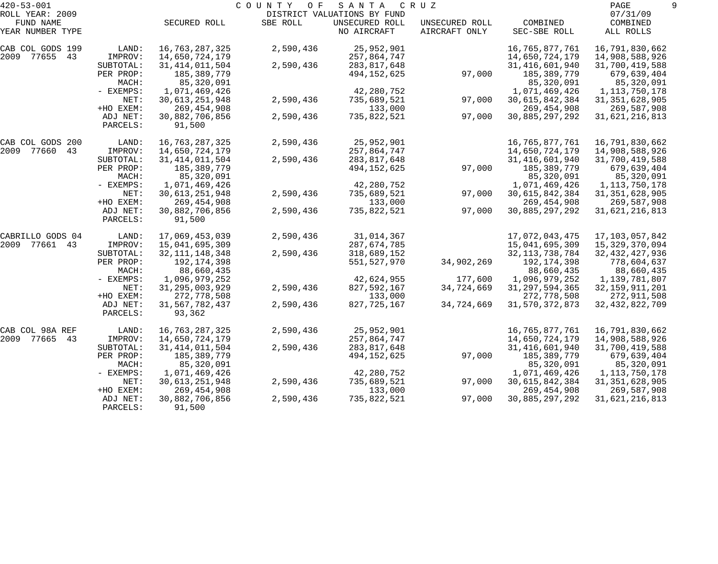| $420 - 53 - 001$    |             |                   | COUNTY<br>O F | SANTA                       | C R U Z        |                   | PAGE              |  |
|---------------------|-------------|-------------------|---------------|-----------------------------|----------------|-------------------|-------------------|--|
| ROLL YEAR: 2009     |             |                   |               | DISTRICT VALUATIONS BY FUND |                |                   | 07/31/09          |  |
| FUND NAME           |             | SECURED ROLL      | SBE ROLL      | UNSECURED ROLL              | UNSECURED ROLL | COMBINED          | COMBINED          |  |
| YEAR NUMBER TYPE    |             |                   |               | NO AIRCRAFT                 | AIRCRAFT ONLY  | SEC-SBE ROLL      | ALL ROLLS         |  |
| CAB COL GODS 199    | LAND:       | 16,763,287,325    | 2,590,436     | 25,952,901                  |                | 16,765,877,761    | 16,791,830,662    |  |
| 2009 77655 43       | IMPROV:     | 14,650,724,179    |               | 257,864,747                 |                | 14,650,724,179    | 14,908,588,926    |  |
|                     | SUBTOTAL:   | 31, 414, 011, 504 | 2,590,436     | 283,817,648                 |                | 31, 416, 601, 940 | 31,700,419,588    |  |
|                     | PER PROP:   | 185,389,779       |               | 494, 152, 625               | 97,000         | 185,389,779       | 679,639,404       |  |
|                     | MACH:       | 85,320,091        |               |                             |                | 85,320,091        | 85,320,091        |  |
|                     | - EXEMPS:   | 1,071,469,426     |               | 42,280,752                  |                | 1,071,469,426     | 1, 113, 750, 178  |  |
|                     | NET:        | 30, 613, 251, 948 | 2,590,436     | 735,689,521                 | 97,000         | 30,615,842,384    | 31, 351, 628, 905 |  |
|                     | +HO EXEM:   | 269, 454, 908     |               | 133,000                     |                | 269, 454, 908     | 269,587,908       |  |
|                     | ADJ NET:    | 30,882,706,856    | 2,590,436     | 735,822,521                 | 97,000         | 30,885,297,292    | 31,621,216,813    |  |
|                     | PARCELS:    | 91,500            |               |                             |                |                   |                   |  |
| CAB COL GODS 200    | LAND:       | 16,763,287,325    | 2,590,436     | 25,952,901                  |                | 16,765,877,761    | 16,791,830,662    |  |
| 2009 77660<br>43    | IMPROV:     | 14,650,724,179    |               | 257,864,747                 |                | 14,650,724,179    | 14,908,588,926    |  |
|                     | SUBTOTAL:   | 31, 414, 011, 504 | 2,590,436     | 283, 817, 648               |                | 31, 416, 601, 940 | 31,700,419,588    |  |
|                     | PER PROP:   | 185,389,779       |               | 494, 152, 625               | 97,000         | 185,389,779       | 679,639,404       |  |
|                     | MACH:       | 85,320,091        |               |                             |                | 85,320,091        | 85,320,091        |  |
|                     | - EXEMPS:   | 1,071,469,426     |               | 42,280,752                  |                | 1,071,469,426     | 1, 113, 750, 178  |  |
|                     | NET:        | 30, 613, 251, 948 | 2,590,436     | 735,689,521                 | 97,000         | 30,615,842,384    | 31, 351, 628, 905 |  |
|                     | +HO EXEM:   | 269,454,908       |               | 133,000                     |                | 269, 454, 908     | 269,587,908       |  |
|                     | ADJ NET:    | 30,882,706,856    | 2,590,436     | 735,822,521                 | 97,000         | 30,885,297,292    | 31,621,216,813    |  |
|                     | PARCELS:    | 91,500            |               |                             |                |                   |                   |  |
| CABRILLO GODS 04    | LAND:       | 17,069,453,039    | 2,590,436     | 31,014,367                  |                | 17,072,043,475    | 17, 103, 057, 842 |  |
| 2009 77661<br>43    | IMPROV:     | 15,041,695,309    |               | 287,674,785                 |                | 15,041,695,309    | 15, 329, 370, 094 |  |
|                     | SUBTOTAL:   | 32, 111, 148, 348 | 2,590,436     | 318,689,152                 |                | 32, 113, 738, 784 | 32, 432, 427, 936 |  |
|                     | PER PROP:   | 192,174,398       |               | 551,527,970                 | 34,902,269     | 192,174,398       | 778,604,637       |  |
|                     | MACH:       | 88,660,435        |               |                             |                | 88,660,435        | 88,660,435        |  |
|                     | - EXEMPS:   | 1,096,979,252     |               | 42,624,955                  | 177,600        | 1,096,979,252     | 1,139,781,807     |  |
|                     | NET:        | 31, 295, 003, 929 | 2,590,436     | 827,592,167                 | 34,724,669     | 31, 297, 594, 365 | 32, 159, 911, 201 |  |
|                     | +HO EXEM:   | 272,778,508       |               | 133,000                     |                | 272,778,508       | 272,911,508       |  |
|                     | ADJ NET:    | 31, 567, 782, 437 | 2,590,436     | 827,725,167                 | 34,724,669     | 31, 570, 372, 873 | 32, 432, 822, 709 |  |
|                     | PARCELS:    | 93,362            |               |                             |                |                   |                   |  |
| CAB COL 98A REF     | LAND:       | 16,763,287,325    | 2,590,436     | 25,952,901                  |                | 16,765,877,761    | 16,791,830,662    |  |
| 2009<br>77665<br>43 | IMPROV:     | 14,650,724,179    |               | 257,864,747                 |                | 14,650,724,179    | 14,908,588,926    |  |
|                     | SUBTOTAL:   | 31, 414, 011, 504 | 2,590,436     | 283, 817, 648               |                | 31,416,601,940    | 31,700,419,588    |  |
|                     | PER PROP:   | 185,389,779       |               | 494, 152, 625               | 97,000         | 185,389,779       | 679,639,404       |  |
|                     | MACH:       | 85,320,091        |               |                             |                | 85,320,091        | 85,320,091        |  |
|                     | $-$ EXEMPS: | 1,071,469,426     |               | 42,280,752                  |                | 1,071,469,426     | 1,113,750,178     |  |
|                     | NET:        | 30, 613, 251, 948 | 2,590,436     | 735,689,521                 | 97,000         | 30,615,842,384    | 31, 351, 628, 905 |  |
|                     | +HO EXEM:   | 269, 454, 908     |               | 133,000                     |                | 269, 454, 908     | 269,587,908       |  |
|                     | ADJ NET:    | 30,882,706,856    | 2,590,436     | 735,822,521                 | 97,000         | 30,885,297,292    | 31,621,216,813    |  |
|                     | PARCELS:    | 91,500            |               |                             |                |                   |                   |  |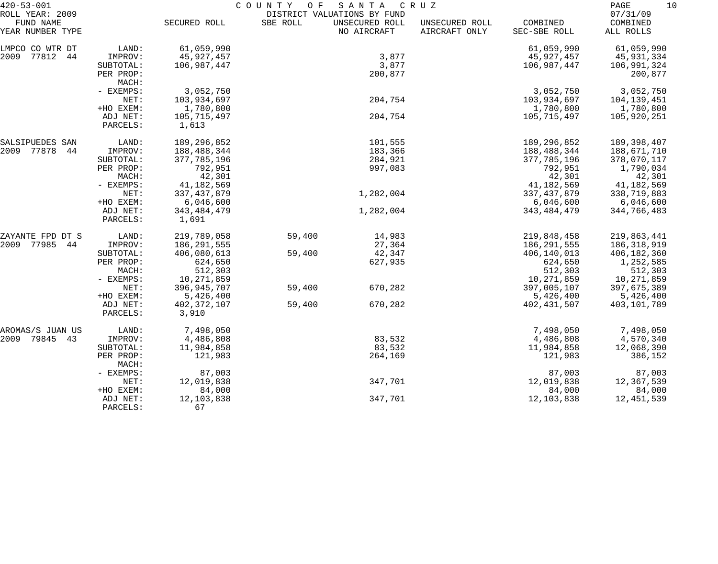| $420 - 53 - 001$              |                      | COUNTY<br>O F<br>SANTA<br>C R U Z |          |                               |                                 |                          |                       |
|-------------------------------|----------------------|-----------------------------------|----------|-------------------------------|---------------------------------|--------------------------|-----------------------|
| ROLL YEAR: 2009               |                      |                                   |          | DISTRICT VALUATIONS BY FUND   |                                 |                          | 07/31/09              |
| FUND NAME<br>YEAR NUMBER TYPE |                      | SECURED ROLL                      | SBE ROLL | UNSECURED ROLL<br>NO AIRCRAFT | UNSECURED ROLL<br>AIRCRAFT ONLY | COMBINED<br>SEC-SBE ROLL | COMBINED<br>ALL ROLLS |
| LMPCO CO WTR DT               | LAND:                | 61,059,990                        |          |                               |                                 | 61,059,990               | 61,059,990            |
| 2009<br>77812<br>44           | IMPROV:              | 45,927,457                        |          | 3,877                         |                                 | 45,927,457               | 45,931,334            |
|                               | SUBTOTAL:            | 106,987,447                       |          | 3,877                         |                                 | 106,987,447              | 106,991,324           |
|                               | PER PROP:<br>MACH:   |                                   |          | 200,877                       |                                 |                          | 200,877               |
|                               | - EXEMPS:            | 3,052,750                         |          |                               |                                 | 3,052,750                | 3,052,750             |
|                               | NET:                 | 103,934,697                       |          | 204,754                       |                                 | 103,934,697              | 104,139,451           |
|                               | +HO EXEM:            | 1,780,800                         |          |                               |                                 | 1,780,800                | 1,780,800             |
|                               | ADJ NET:             | 105,715,497                       |          | 204,754                       |                                 | 105,715,497              | 105,920,251           |
|                               | PARCELS:             | 1,613                             |          |                               |                                 |                          |                       |
| SALSIPUEDES SAN               | LAND:                | 189, 296, 852                     |          | 101,555                       |                                 | 189,296,852              | 189,398,407           |
| 2009 77878<br>44              | IMPROV:              | 188,488,344                       |          | 183,366                       |                                 | 188,488,344              | 188,671,710           |
|                               | SUBTOTAL:            | 377,785,196                       |          | 284,921                       |                                 | 377, 785, 196            | 378,070,117           |
|                               | PER PROP:            | 792,951                           |          | 997,083                       |                                 | 792,951                  | 1,790,034             |
|                               | MACH:                | 42,301                            |          |                               |                                 | 42,301                   | 42,301                |
|                               | - EXEMPS:            | 41, 182, 569                      |          |                               |                                 | 41,182,569               | 41, 182, 569          |
|                               | NET:                 | 337, 437, 879                     |          | 1,282,004                     |                                 | 337, 437, 879            | 338,719,883           |
|                               | +HO EXEM:            | 6,046,600                         |          |                               |                                 | 6,046,600                | 6,046,600             |
|                               | ADJ NET:<br>PARCELS: | 343, 484, 479<br>1,691            |          | 1,282,004                     |                                 | 343, 484, 479            | 344,766,483           |
| ZAYANTE FPD DT S              | LAND:                | 219,789,058                       | 59,400   | 14,983                        |                                 | 219,848,458              | 219,863,441           |
| 2009<br>77985<br>44           | IMPROV:              | 186,291,555                       |          | 27,364                        |                                 | 186,291,555              | 186,318,919           |
|                               | SUBTOTAL:            | 406,080,613                       | 59,400   | 42,347                        |                                 | 406,140,013              | 406,182,360           |
|                               | PER PROP:            | 624,650                           |          | 627,935                       |                                 | 624,650                  | 1,252,585             |
|                               | MACH:                | 512,303                           |          |                               |                                 | 512,303                  | 512,303               |
|                               | - EXEMPS:            | 10,271,859                        |          |                               |                                 | 10,271,859               | 10,271,859            |
|                               | NET:                 | 396,945,707                       | 59,400   | 670,282                       |                                 | 397,005,107              | 397,675,389           |
|                               | +HO EXEM:            | 5,426,400                         |          |                               |                                 | 5,426,400                | 5,426,400             |
|                               | ADJ NET:<br>PARCELS: | 402, 372, 107<br>3,910            | 59,400   | 670,282                       |                                 | 402, 431, 507            | 403,101,789           |
| AROMAS/S JUAN US              | LAND:                | 7,498,050                         |          |                               |                                 | 7,498,050                | 7,498,050             |
| 2009 79845<br>43              | IMPROV:              | 4,486,808                         |          | 83,532                        |                                 | 4,486,808                | 4,570,340             |
|                               | SUBTOTAL:            | 11,984,858                        |          | 83,532                        |                                 | 11,984,858               | 12,068,390            |
|                               | PER PROP:<br>MACH:   | 121,983                           |          | 264,169                       |                                 | 121,983                  | 386,152               |
|                               | - EXEMPS:            | 87,003                            |          |                               |                                 | 87,003                   | 87,003                |
|                               | NET:                 | 12,019,838                        |          | 347,701                       |                                 | 12,019,838               | 12,367,539            |
|                               | +HO EXEM:            | 84,000                            |          |                               |                                 | 84,000                   | 84,000                |
|                               | ADJ NET:<br>PARCELS: | 12, 103, 838<br>67                |          | 347,701                       |                                 | 12,103,838               | 12,451,539            |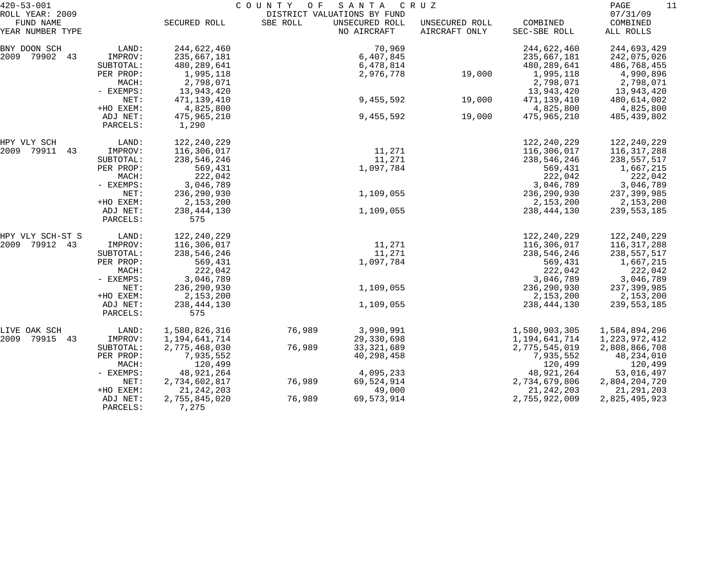| $420 - 53 - 001$    |             | COUNTY<br>SANTA<br>O F<br>C R U Z |          |                             |                |               |               |
|---------------------|-------------|-----------------------------------|----------|-----------------------------|----------------|---------------|---------------|
| ROLL YEAR: 2009     |             |                                   |          | DISTRICT VALUATIONS BY FUND |                |               | 07/31/09      |
| FUND NAME           |             | SECURED ROLL                      | SBE ROLL | UNSECURED ROLL              | UNSECURED ROLL | COMBINED      | COMBINED      |
| YEAR NUMBER TYPE    |             |                                   |          | NO AIRCRAFT                 | AIRCRAFT ONLY  | SEC-SBE ROLL  | ALL ROLLS     |
| BNY DOON SCH        | LAND:       | 244,622,460                       |          | 70,969                      |                | 244,622,460   | 244,693,429   |
| 2009 79902 43       | IMPROV:     | 235,667,181                       |          | 6,407,845                   |                | 235,667,181   | 242,075,026   |
|                     | SUBTOTAL:   | 480,289,641                       |          | 6,478,814                   |                | 480, 289, 641 | 486,768,455   |
|                     | PER PROP:   | 1,995,118                         |          | 2,976,778                   | 19,000         | 1,995,118     | 4,990,896     |
|                     | MACH:       | 2,798,071                         |          |                             |                | 2,798,071     | 2,798,071     |
|                     | - EXEMPS:   | 13,943,420                        |          |                             |                | 13,943,420    | 13,943,420    |
|                     | NET:        | 471,139,410                       |          | 9,455,592                   | 19,000         | 471,139,410   | 480,614,002   |
|                     | +HO EXEM:   | 4,825,800                         |          |                             |                | 4,825,800     | 4,825,800     |
|                     | ADJ NET:    | 475,965,210                       |          | 9,455,592                   | 19,000         | 475,965,210   | 485,439,802   |
|                     | PARCELS:    | 1,290                             |          |                             |                |               |               |
| HPY VLY SCH         | LAND:       | 122, 240, 229                     |          |                             |                | 122,240,229   | 122,240,229   |
| 2009 79911<br>43    | IMPROV:     | 116,306,017                       |          | 11,271                      |                | 116,306,017   | 116,317,288   |
|                     | SUBTOTAL:   | 238,546,246                       |          | 11,271                      |                | 238,546,246   | 238,557,517   |
|                     | PER PROP:   | 569,431                           |          | 1,097,784                   |                | 569,431       | 1,667,215     |
|                     | MACH:       | 222,042                           |          |                             |                | 222,042       | 222,042       |
|                     | - EXEMPS:   | 3,046,789                         |          |                             |                | 3,046,789     | 3,046,789     |
|                     | NET:        | 236,290,930                       |          | 1,109,055                   |                | 236, 290, 930 | 237,399,985   |
|                     | +HO EXEM:   | 2,153,200                         |          |                             |                | 2,153,200     | 2,153,200     |
|                     | ADJ NET:    | 238, 444, 130                     |          | 1,109,055                   |                | 238, 444, 130 | 239,553,185   |
|                     | PARCELS:    | 575                               |          |                             |                |               |               |
|                     |             |                                   |          |                             |                |               |               |
| HPY VLY SCH-ST S    | LAND:       | 122, 240, 229                     |          |                             |                | 122,240,229   | 122,240,229   |
| 2009 79912 43       | IMPROV:     | 116,306,017                       |          | 11,271                      |                | 116,306,017   | 116,317,288   |
|                     | SUBTOTAL:   | 238,546,246                       |          | 11,271                      |                | 238,546,246   | 238,557,517   |
|                     | PER PROP:   | 569,431                           |          | 1,097,784                   |                | 569,431       | 1,667,215     |
|                     | MACH:       | 222,042                           |          |                             |                | 222,042       | 222,042       |
|                     | - EXEMPS:   | 3,046,789                         |          |                             |                | 3,046,789     | 3,046,789     |
|                     | NET:        | 236,290,930                       |          | 1,109,055                   |                | 236, 290, 930 | 237,399,985   |
|                     | +HO EXEM:   | 2,153,200                         |          |                             |                | 2,153,200     | 2,153,200     |
|                     | ADJ NET:    | 238, 444, 130                     |          | 1,109,055                   |                | 238, 444, 130 | 239,553,185   |
|                     | PARCELS:    | 575                               |          |                             |                |               |               |
| LIVE OAK SCH        | LAND:       | 1,580,826,316                     | 76,989   | 3,990,991                   |                | 1,580,903,305 | 1,584,894,296 |
| 2009<br>79915<br>43 | IMPROV:     | 1,194,641,714                     |          | 29,330,698                  |                | 1,194,641,714 | 1,223,972,412 |
|                     | SUBTOTAL:   | 2,775,468,030                     | 76,989   | 33, 321, 689                |                | 2,775,545,019 | 2,808,866,708 |
|                     | PER PROP:   | 7,935,552                         |          | 40,298,458                  |                | 7,935,552     | 48,234,010    |
|                     | MACH:       | 120,499                           |          |                             |                | 120,499       | 120,499       |
|                     | $-$ EXEMPS: | 48,921,264                        |          | 4,095,233                   |                | 48,921,264    | 53,016,497    |
|                     | NET:        | 2,734,602,817                     | 76,989   | 69,524,914                  |                | 2,734,679,806 | 2,804,204,720 |
|                     | +HO EXEM:   | 21, 242, 203                      |          | 49,000                      |                | 21, 242, 203  | 21, 291, 203  |
|                     | ADJ NET:    | 2,755,845,020                     | 76,989   | 69,573,914                  |                | 2,755,922,009 | 2,825,495,923 |
|                     | PARCELS:    | 7,275                             |          |                             |                |               |               |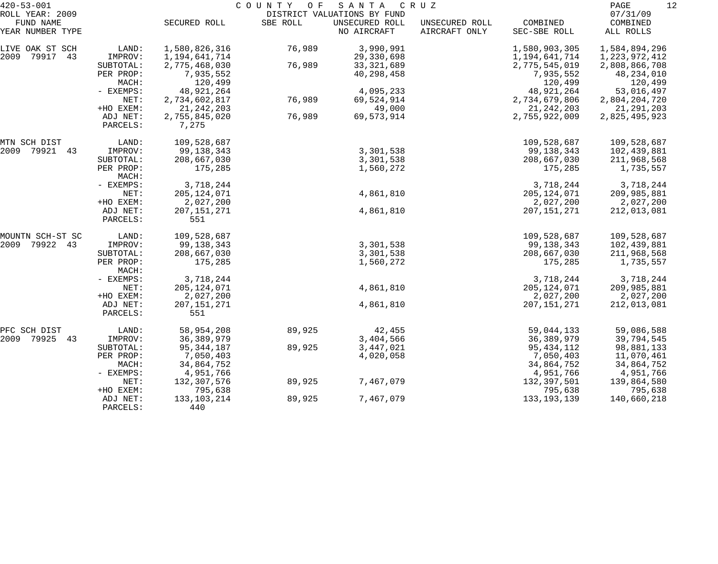| SECURED ROLL<br>FUND NAME<br>SBE ROLL<br>UNSECURED ROLL<br>UNSECURED ROLL<br>COMBINED<br>COMBINED<br>YEAR NUMBER TYPE<br>NO AIRCRAFT<br>AIRCRAFT ONLY<br>SEC-SBE ROLL<br>ALL ROLLS<br>1,580,826,316<br>76,989<br>3,990,991<br>1,584,894,296<br>LAND:<br>1,580,903,305<br>LIVE OAK ST SCH<br>2009<br>79917<br>43<br>IMPROV:<br>1,194,641,714<br>29,330,698<br>1,194,641,714<br>1,223,972,412<br>76,989<br>SUBTOTAL:<br>2,775,468,030<br>33, 321, 689<br>2,775,545,019<br>2,808,866,708<br>PER PROP:<br>7,935,552<br>40,298,458<br>7,935,552<br>48,234,010<br>120,499<br>MACH:<br>120,499<br>120,499<br>4,095,233<br>- EXEMPS:<br>48,921,264<br>48,921,264<br>53,016,497<br>76,989<br>69,524,914<br>NET:<br>2,734,602,817<br>2,734,679,806<br>2,804,204,720<br>+HO EXEM:<br>21, 242, 203<br>49,000<br>21, 242, 203<br>21,291,203<br>76,989<br>ADJ NET:<br>2,755,845,020<br>69,573,914<br>2,755,922,009<br>2,825,495,923<br>PARCELS:<br>7,275<br>109,528,687<br>MTN SCH DIST<br>LAND:<br>109,528,687<br>109,528,687<br>3,301,538<br>2009<br>79921<br>IMPROV:<br>99,138,343<br>99,138,343<br>102,439,881<br>43<br>SUBTOTAL:<br>208,667,030<br>3,301,538<br>208,667,030<br>211,968,568<br>PER PROP:<br>175,285<br>175,285<br>1,735,557<br>1,560,272<br>MACH:<br>3,718,244<br>3,718,244<br>3,718,244<br>- EXEMPS:<br>4,861,810<br>NET:<br>205, 124, 071<br>205, 124, 071<br>209,985,881<br>+HO EXEM:<br>2,027,200<br>2,027,200<br>2,027,200<br>4,861,810<br>ADJ NET:<br>207, 151, 271<br>207, 151, 271<br>212,013,081<br>551<br>PARCELS:<br>109,528,687<br>109,528,687<br>109,528,687<br>MOUNTN SCH-ST SC<br>LAND:<br>79922 43<br>99, 138, 343<br>3,301,538<br>2009<br>IMPROV:<br>99,138,343<br>102,439,881<br>208,667,030<br>SUBTOTAL:<br>3,301,538<br>208,667,030<br>211,968,568<br>PER PROP:<br>175,285<br>175,285<br>1,735,557<br>1,560,272<br>MACH:<br>3,718,244<br>3,718,244<br>3,718,244<br>- EXEMPS:<br>205, 124, 071<br>4,861,810<br>205, 124, 071<br>NET:<br>209,985,881<br>+HO EXEM:<br>2,027,200<br>2,027,200<br>2,027,200<br>207, 151, 271<br>4,861,810<br>ADJ NET:<br>207, 151, 271<br>212,013,081<br>551<br>PARCELS:<br>58,954,208<br>89,925<br>42,455<br>59,044,133<br>59,086,588<br>PFC SCH DIST<br>LAND:<br>2009<br>79925 43<br>36, 389, 979<br>3,404,566<br>36, 389, 979<br>IMPROV:<br>39,794,545<br>95, 344, 187<br>89,925<br>3,447,021<br>95, 434, 112<br>SUBTOTAL:<br>98,881,133<br>7,050,403<br>4,020,058<br>7,050,403<br>11,070,461<br>PER PROP:<br>MACH:<br>34,864,752<br>34,864,752<br>34,864,752<br>4,951,766<br>4,951,766<br>4,951,766<br>- EXEMPS:<br>132,307,576<br>89,925<br>7,467,079<br>132,397,501<br>NET:<br>139,864,580<br>795,638<br>795,638<br>795,638<br>+HO EXEM:<br>133, 103, 214<br>7,467,079<br>133, 193, 139<br>ADJ NET:<br>89,925<br>140,660,218 | $420 - 53 - 001$<br>ROLL YEAR: 2009 |          | COUNTY OF<br>SANTA CRUZ<br>DISTRICT VALUATIONS BY FUND |  |  |  |  |          |  |
|-----------------------------------------------------------------------------------------------------------------------------------------------------------------------------------------------------------------------------------------------------------------------------------------------------------------------------------------------------------------------------------------------------------------------------------------------------------------------------------------------------------------------------------------------------------------------------------------------------------------------------------------------------------------------------------------------------------------------------------------------------------------------------------------------------------------------------------------------------------------------------------------------------------------------------------------------------------------------------------------------------------------------------------------------------------------------------------------------------------------------------------------------------------------------------------------------------------------------------------------------------------------------------------------------------------------------------------------------------------------------------------------------------------------------------------------------------------------------------------------------------------------------------------------------------------------------------------------------------------------------------------------------------------------------------------------------------------------------------------------------------------------------------------------------------------------------------------------------------------------------------------------------------------------------------------------------------------------------------------------------------------------------------------------------------------------------------------------------------------------------------------------------------------------------------------------------------------------------------------------------------------------------------------------------------------------------------------------------------------------------------------------------------------------------------------------------------------------------------------------------------------------------------------------------------------------------------------------------------------------------------------------------------------------------------------------------------------------------------------------------------------------------------------------|-------------------------------------|----------|--------------------------------------------------------|--|--|--|--|----------|--|
|                                                                                                                                                                                                                                                                                                                                                                                                                                                                                                                                                                                                                                                                                                                                                                                                                                                                                                                                                                                                                                                                                                                                                                                                                                                                                                                                                                                                                                                                                                                                                                                                                                                                                                                                                                                                                                                                                                                                                                                                                                                                                                                                                                                                                                                                                                                                                                                                                                                                                                                                                                                                                                                                                                                                                                                         |                                     |          |                                                        |  |  |  |  | 07/31/09 |  |
|                                                                                                                                                                                                                                                                                                                                                                                                                                                                                                                                                                                                                                                                                                                                                                                                                                                                                                                                                                                                                                                                                                                                                                                                                                                                                                                                                                                                                                                                                                                                                                                                                                                                                                                                                                                                                                                                                                                                                                                                                                                                                                                                                                                                                                                                                                                                                                                                                                                                                                                                                                                                                                                                                                                                                                                         |                                     |          |                                                        |  |  |  |  |          |  |
|                                                                                                                                                                                                                                                                                                                                                                                                                                                                                                                                                                                                                                                                                                                                                                                                                                                                                                                                                                                                                                                                                                                                                                                                                                                                                                                                                                                                                                                                                                                                                                                                                                                                                                                                                                                                                                                                                                                                                                                                                                                                                                                                                                                                                                                                                                                                                                                                                                                                                                                                                                                                                                                                                                                                                                                         |                                     |          |                                                        |  |  |  |  |          |  |
|                                                                                                                                                                                                                                                                                                                                                                                                                                                                                                                                                                                                                                                                                                                                                                                                                                                                                                                                                                                                                                                                                                                                                                                                                                                                                                                                                                                                                                                                                                                                                                                                                                                                                                                                                                                                                                                                                                                                                                                                                                                                                                                                                                                                                                                                                                                                                                                                                                                                                                                                                                                                                                                                                                                                                                                         |                                     |          |                                                        |  |  |  |  |          |  |
|                                                                                                                                                                                                                                                                                                                                                                                                                                                                                                                                                                                                                                                                                                                                                                                                                                                                                                                                                                                                                                                                                                                                                                                                                                                                                                                                                                                                                                                                                                                                                                                                                                                                                                                                                                                                                                                                                                                                                                                                                                                                                                                                                                                                                                                                                                                                                                                                                                                                                                                                                                                                                                                                                                                                                                                         |                                     |          |                                                        |  |  |  |  |          |  |
|                                                                                                                                                                                                                                                                                                                                                                                                                                                                                                                                                                                                                                                                                                                                                                                                                                                                                                                                                                                                                                                                                                                                                                                                                                                                                                                                                                                                                                                                                                                                                                                                                                                                                                                                                                                                                                                                                                                                                                                                                                                                                                                                                                                                                                                                                                                                                                                                                                                                                                                                                                                                                                                                                                                                                                                         |                                     |          |                                                        |  |  |  |  |          |  |
|                                                                                                                                                                                                                                                                                                                                                                                                                                                                                                                                                                                                                                                                                                                                                                                                                                                                                                                                                                                                                                                                                                                                                                                                                                                                                                                                                                                                                                                                                                                                                                                                                                                                                                                                                                                                                                                                                                                                                                                                                                                                                                                                                                                                                                                                                                                                                                                                                                                                                                                                                                                                                                                                                                                                                                                         |                                     |          |                                                        |  |  |  |  |          |  |
|                                                                                                                                                                                                                                                                                                                                                                                                                                                                                                                                                                                                                                                                                                                                                                                                                                                                                                                                                                                                                                                                                                                                                                                                                                                                                                                                                                                                                                                                                                                                                                                                                                                                                                                                                                                                                                                                                                                                                                                                                                                                                                                                                                                                                                                                                                                                                                                                                                                                                                                                                                                                                                                                                                                                                                                         |                                     |          |                                                        |  |  |  |  |          |  |
|                                                                                                                                                                                                                                                                                                                                                                                                                                                                                                                                                                                                                                                                                                                                                                                                                                                                                                                                                                                                                                                                                                                                                                                                                                                                                                                                                                                                                                                                                                                                                                                                                                                                                                                                                                                                                                                                                                                                                                                                                                                                                                                                                                                                                                                                                                                                                                                                                                                                                                                                                                                                                                                                                                                                                                                         |                                     |          |                                                        |  |  |  |  |          |  |
|                                                                                                                                                                                                                                                                                                                                                                                                                                                                                                                                                                                                                                                                                                                                                                                                                                                                                                                                                                                                                                                                                                                                                                                                                                                                                                                                                                                                                                                                                                                                                                                                                                                                                                                                                                                                                                                                                                                                                                                                                                                                                                                                                                                                                                                                                                                                                                                                                                                                                                                                                                                                                                                                                                                                                                                         |                                     |          |                                                        |  |  |  |  |          |  |
|                                                                                                                                                                                                                                                                                                                                                                                                                                                                                                                                                                                                                                                                                                                                                                                                                                                                                                                                                                                                                                                                                                                                                                                                                                                                                                                                                                                                                                                                                                                                                                                                                                                                                                                                                                                                                                                                                                                                                                                                                                                                                                                                                                                                                                                                                                                                                                                                                                                                                                                                                                                                                                                                                                                                                                                         |                                     |          |                                                        |  |  |  |  |          |  |
|                                                                                                                                                                                                                                                                                                                                                                                                                                                                                                                                                                                                                                                                                                                                                                                                                                                                                                                                                                                                                                                                                                                                                                                                                                                                                                                                                                                                                                                                                                                                                                                                                                                                                                                                                                                                                                                                                                                                                                                                                                                                                                                                                                                                                                                                                                                                                                                                                                                                                                                                                                                                                                                                                                                                                                                         |                                     |          |                                                        |  |  |  |  |          |  |
|                                                                                                                                                                                                                                                                                                                                                                                                                                                                                                                                                                                                                                                                                                                                                                                                                                                                                                                                                                                                                                                                                                                                                                                                                                                                                                                                                                                                                                                                                                                                                                                                                                                                                                                                                                                                                                                                                                                                                                                                                                                                                                                                                                                                                                                                                                                                                                                                                                                                                                                                                                                                                                                                                                                                                                                         |                                     |          |                                                        |  |  |  |  |          |  |
|                                                                                                                                                                                                                                                                                                                                                                                                                                                                                                                                                                                                                                                                                                                                                                                                                                                                                                                                                                                                                                                                                                                                                                                                                                                                                                                                                                                                                                                                                                                                                                                                                                                                                                                                                                                                                                                                                                                                                                                                                                                                                                                                                                                                                                                                                                                                                                                                                                                                                                                                                                                                                                                                                                                                                                                         |                                     |          |                                                        |  |  |  |  |          |  |
|                                                                                                                                                                                                                                                                                                                                                                                                                                                                                                                                                                                                                                                                                                                                                                                                                                                                                                                                                                                                                                                                                                                                                                                                                                                                                                                                                                                                                                                                                                                                                                                                                                                                                                                                                                                                                                                                                                                                                                                                                                                                                                                                                                                                                                                                                                                                                                                                                                                                                                                                                                                                                                                                                                                                                                                         |                                     |          |                                                        |  |  |  |  |          |  |
|                                                                                                                                                                                                                                                                                                                                                                                                                                                                                                                                                                                                                                                                                                                                                                                                                                                                                                                                                                                                                                                                                                                                                                                                                                                                                                                                                                                                                                                                                                                                                                                                                                                                                                                                                                                                                                                                                                                                                                                                                                                                                                                                                                                                                                                                                                                                                                                                                                                                                                                                                                                                                                                                                                                                                                                         |                                     |          |                                                        |  |  |  |  |          |  |
|                                                                                                                                                                                                                                                                                                                                                                                                                                                                                                                                                                                                                                                                                                                                                                                                                                                                                                                                                                                                                                                                                                                                                                                                                                                                                                                                                                                                                                                                                                                                                                                                                                                                                                                                                                                                                                                                                                                                                                                                                                                                                                                                                                                                                                                                                                                                                                                                                                                                                                                                                                                                                                                                                                                                                                                         |                                     |          |                                                        |  |  |  |  |          |  |
|                                                                                                                                                                                                                                                                                                                                                                                                                                                                                                                                                                                                                                                                                                                                                                                                                                                                                                                                                                                                                                                                                                                                                                                                                                                                                                                                                                                                                                                                                                                                                                                                                                                                                                                                                                                                                                                                                                                                                                                                                                                                                                                                                                                                                                                                                                                                                                                                                                                                                                                                                                                                                                                                                                                                                                                         |                                     |          |                                                        |  |  |  |  |          |  |
|                                                                                                                                                                                                                                                                                                                                                                                                                                                                                                                                                                                                                                                                                                                                                                                                                                                                                                                                                                                                                                                                                                                                                                                                                                                                                                                                                                                                                                                                                                                                                                                                                                                                                                                                                                                                                                                                                                                                                                                                                                                                                                                                                                                                                                                                                                                                                                                                                                                                                                                                                                                                                                                                                                                                                                                         |                                     |          |                                                        |  |  |  |  |          |  |
|                                                                                                                                                                                                                                                                                                                                                                                                                                                                                                                                                                                                                                                                                                                                                                                                                                                                                                                                                                                                                                                                                                                                                                                                                                                                                                                                                                                                                                                                                                                                                                                                                                                                                                                                                                                                                                                                                                                                                                                                                                                                                                                                                                                                                                                                                                                                                                                                                                                                                                                                                                                                                                                                                                                                                                                         |                                     |          |                                                        |  |  |  |  |          |  |
|                                                                                                                                                                                                                                                                                                                                                                                                                                                                                                                                                                                                                                                                                                                                                                                                                                                                                                                                                                                                                                                                                                                                                                                                                                                                                                                                                                                                                                                                                                                                                                                                                                                                                                                                                                                                                                                                                                                                                                                                                                                                                                                                                                                                                                                                                                                                                                                                                                                                                                                                                                                                                                                                                                                                                                                         |                                     |          |                                                        |  |  |  |  |          |  |
|                                                                                                                                                                                                                                                                                                                                                                                                                                                                                                                                                                                                                                                                                                                                                                                                                                                                                                                                                                                                                                                                                                                                                                                                                                                                                                                                                                                                                                                                                                                                                                                                                                                                                                                                                                                                                                                                                                                                                                                                                                                                                                                                                                                                                                                                                                                                                                                                                                                                                                                                                                                                                                                                                                                                                                                         |                                     |          |                                                        |  |  |  |  |          |  |
|                                                                                                                                                                                                                                                                                                                                                                                                                                                                                                                                                                                                                                                                                                                                                                                                                                                                                                                                                                                                                                                                                                                                                                                                                                                                                                                                                                                                                                                                                                                                                                                                                                                                                                                                                                                                                                                                                                                                                                                                                                                                                                                                                                                                                                                                                                                                                                                                                                                                                                                                                                                                                                                                                                                                                                                         |                                     |          |                                                        |  |  |  |  |          |  |
|                                                                                                                                                                                                                                                                                                                                                                                                                                                                                                                                                                                                                                                                                                                                                                                                                                                                                                                                                                                                                                                                                                                                                                                                                                                                                                                                                                                                                                                                                                                                                                                                                                                                                                                                                                                                                                                                                                                                                                                                                                                                                                                                                                                                                                                                                                                                                                                                                                                                                                                                                                                                                                                                                                                                                                                         |                                     |          |                                                        |  |  |  |  |          |  |
|                                                                                                                                                                                                                                                                                                                                                                                                                                                                                                                                                                                                                                                                                                                                                                                                                                                                                                                                                                                                                                                                                                                                                                                                                                                                                                                                                                                                                                                                                                                                                                                                                                                                                                                                                                                                                                                                                                                                                                                                                                                                                                                                                                                                                                                                                                                                                                                                                                                                                                                                                                                                                                                                                                                                                                                         |                                     |          |                                                        |  |  |  |  |          |  |
|                                                                                                                                                                                                                                                                                                                                                                                                                                                                                                                                                                                                                                                                                                                                                                                                                                                                                                                                                                                                                                                                                                                                                                                                                                                                                                                                                                                                                                                                                                                                                                                                                                                                                                                                                                                                                                                                                                                                                                                                                                                                                                                                                                                                                                                                                                                                                                                                                                                                                                                                                                                                                                                                                                                                                                                         |                                     |          |                                                        |  |  |  |  |          |  |
|                                                                                                                                                                                                                                                                                                                                                                                                                                                                                                                                                                                                                                                                                                                                                                                                                                                                                                                                                                                                                                                                                                                                                                                                                                                                                                                                                                                                                                                                                                                                                                                                                                                                                                                                                                                                                                                                                                                                                                                                                                                                                                                                                                                                                                                                                                                                                                                                                                                                                                                                                                                                                                                                                                                                                                                         |                                     |          |                                                        |  |  |  |  |          |  |
|                                                                                                                                                                                                                                                                                                                                                                                                                                                                                                                                                                                                                                                                                                                                                                                                                                                                                                                                                                                                                                                                                                                                                                                                                                                                                                                                                                                                                                                                                                                                                                                                                                                                                                                                                                                                                                                                                                                                                                                                                                                                                                                                                                                                                                                                                                                                                                                                                                                                                                                                                                                                                                                                                                                                                                                         |                                     |          |                                                        |  |  |  |  |          |  |
|                                                                                                                                                                                                                                                                                                                                                                                                                                                                                                                                                                                                                                                                                                                                                                                                                                                                                                                                                                                                                                                                                                                                                                                                                                                                                                                                                                                                                                                                                                                                                                                                                                                                                                                                                                                                                                                                                                                                                                                                                                                                                                                                                                                                                                                                                                                                                                                                                                                                                                                                                                                                                                                                                                                                                                                         |                                     |          |                                                        |  |  |  |  |          |  |
|                                                                                                                                                                                                                                                                                                                                                                                                                                                                                                                                                                                                                                                                                                                                                                                                                                                                                                                                                                                                                                                                                                                                                                                                                                                                                                                                                                                                                                                                                                                                                                                                                                                                                                                                                                                                                                                                                                                                                                                                                                                                                                                                                                                                                                                                                                                                                                                                                                                                                                                                                                                                                                                                                                                                                                                         |                                     |          |                                                        |  |  |  |  |          |  |
|                                                                                                                                                                                                                                                                                                                                                                                                                                                                                                                                                                                                                                                                                                                                                                                                                                                                                                                                                                                                                                                                                                                                                                                                                                                                                                                                                                                                                                                                                                                                                                                                                                                                                                                                                                                                                                                                                                                                                                                                                                                                                                                                                                                                                                                                                                                                                                                                                                                                                                                                                                                                                                                                                                                                                                                         |                                     |          |                                                        |  |  |  |  |          |  |
|                                                                                                                                                                                                                                                                                                                                                                                                                                                                                                                                                                                                                                                                                                                                                                                                                                                                                                                                                                                                                                                                                                                                                                                                                                                                                                                                                                                                                                                                                                                                                                                                                                                                                                                                                                                                                                                                                                                                                                                                                                                                                                                                                                                                                                                                                                                                                                                                                                                                                                                                                                                                                                                                                                                                                                                         |                                     |          |                                                        |  |  |  |  |          |  |
|                                                                                                                                                                                                                                                                                                                                                                                                                                                                                                                                                                                                                                                                                                                                                                                                                                                                                                                                                                                                                                                                                                                                                                                                                                                                                                                                                                                                                                                                                                                                                                                                                                                                                                                                                                                                                                                                                                                                                                                                                                                                                                                                                                                                                                                                                                                                                                                                                                                                                                                                                                                                                                                                                                                                                                                         |                                     |          |                                                        |  |  |  |  |          |  |
|                                                                                                                                                                                                                                                                                                                                                                                                                                                                                                                                                                                                                                                                                                                                                                                                                                                                                                                                                                                                                                                                                                                                                                                                                                                                                                                                                                                                                                                                                                                                                                                                                                                                                                                                                                                                                                                                                                                                                                                                                                                                                                                                                                                                                                                                                                                                                                                                                                                                                                                                                                                                                                                                                                                                                                                         |                                     |          |                                                        |  |  |  |  |          |  |
|                                                                                                                                                                                                                                                                                                                                                                                                                                                                                                                                                                                                                                                                                                                                                                                                                                                                                                                                                                                                                                                                                                                                                                                                                                                                                                                                                                                                                                                                                                                                                                                                                                                                                                                                                                                                                                                                                                                                                                                                                                                                                                                                                                                                                                                                                                                                                                                                                                                                                                                                                                                                                                                                                                                                                                                         |                                     |          |                                                        |  |  |  |  |          |  |
|                                                                                                                                                                                                                                                                                                                                                                                                                                                                                                                                                                                                                                                                                                                                                                                                                                                                                                                                                                                                                                                                                                                                                                                                                                                                                                                                                                                                                                                                                                                                                                                                                                                                                                                                                                                                                                                                                                                                                                                                                                                                                                                                                                                                                                                                                                                                                                                                                                                                                                                                                                                                                                                                                                                                                                                         |                                     |          |                                                        |  |  |  |  |          |  |
|                                                                                                                                                                                                                                                                                                                                                                                                                                                                                                                                                                                                                                                                                                                                                                                                                                                                                                                                                                                                                                                                                                                                                                                                                                                                                                                                                                                                                                                                                                                                                                                                                                                                                                                                                                                                                                                                                                                                                                                                                                                                                                                                                                                                                                                                                                                                                                                                                                                                                                                                                                                                                                                                                                                                                                                         |                                     |          |                                                        |  |  |  |  |          |  |
|                                                                                                                                                                                                                                                                                                                                                                                                                                                                                                                                                                                                                                                                                                                                                                                                                                                                                                                                                                                                                                                                                                                                                                                                                                                                                                                                                                                                                                                                                                                                                                                                                                                                                                                                                                                                                                                                                                                                                                                                                                                                                                                                                                                                                                                                                                                                                                                                                                                                                                                                                                                                                                                                                                                                                                                         |                                     | PARCELS: | 440                                                    |  |  |  |  |          |  |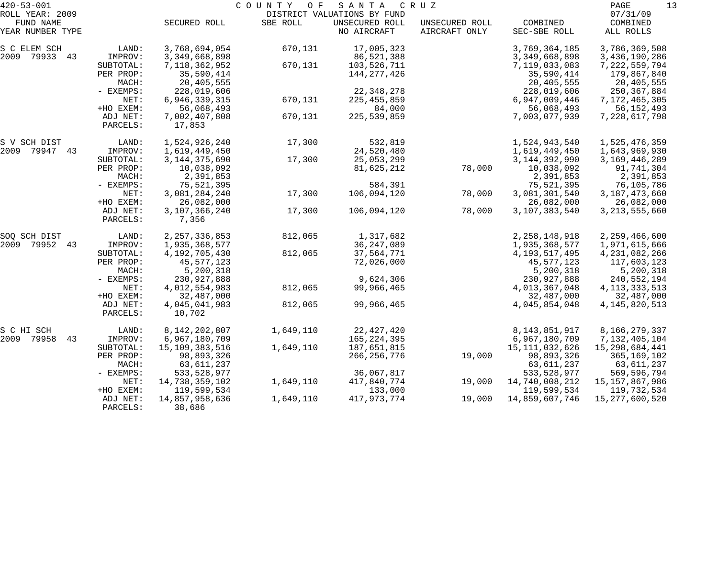| $420 - 53 - 001$              |                      | COUNTY OF<br>SANTA<br>CRUZ |           |                               |                                 |                          |                       |  |  |
|-------------------------------|----------------------|----------------------------|-----------|-------------------------------|---------------------------------|--------------------------|-----------------------|--|--|
| ROLL YEAR: 2009               |                      |                            |           | DISTRICT VALUATIONS BY FUND   |                                 |                          | 07/31/09              |  |  |
| FUND NAME<br>YEAR NUMBER TYPE |                      | SECURED ROLL               | SBE ROLL  | UNSECURED ROLL<br>NO AIRCRAFT | UNSECURED ROLL<br>AIRCRAFT ONLY | COMBINED<br>SEC-SBE ROLL | COMBINED<br>ALL ROLLS |  |  |
| S C ELEM SCH                  | LAND:                | 3,768,694,054              | 670,131   | 17,005,323                    |                                 | 3,769,364,185            | 3,786,369,508         |  |  |
| 2009 79933 43                 | IMPROV:              | 3,349,668,898              |           | 86,521,388                    |                                 | 3, 349, 668, 898         | 3,436,190,286         |  |  |
|                               | SUBTOTAL:            | 7, 118, 362, 952           | 670,131   | 103,526,711                   |                                 | 7,119,033,083            | 7, 222, 559, 794      |  |  |
|                               | PER PROP:            | 35,590,414                 |           | 144, 277, 426                 |                                 | 35,590,414               | 179,867,840           |  |  |
|                               | MACH:                | 20,405,555                 |           |                               |                                 | 20,405,555               | 20,405,555            |  |  |
|                               | - EXEMPS:            | 228,019,606                |           | 22, 348, 278                  |                                 | 228,019,606              | 250,367,884           |  |  |
|                               | NET:                 | 6,946,339,315              | 670,131   | 225, 455, 859                 |                                 | 6,947,009,446            | 7,172,465,305         |  |  |
|                               | +HO EXEM:            | 56,068,493                 |           | 84,000                        |                                 | 56,068,493               | 56, 152, 493          |  |  |
|                               | ADJ NET:             | 7,002,407,808              | 670,131   | 225, 539, 859                 |                                 | 7,003,077,939            | 7,228,617,798         |  |  |
|                               | PARCELS:             | 17,853                     |           |                               |                                 |                          |                       |  |  |
| S V SCH DIST                  | LAND:                | 1,524,926,240              | 17,300    | 532,819                       |                                 | 1,524,943,540            | 1,525,476,359         |  |  |
| 2009 79947 43                 | IMPROV:              | 1,619,449,450              |           | 24,520,480                    |                                 | 1,619,449,450            | 1,643,969,930         |  |  |
|                               | SUBTOTAL:            | 3, 144, 375, 690           | 17,300    | 25,053,299                    |                                 | 3, 144, 392, 990         | 3, 169, 446, 289      |  |  |
|                               | PER PROP:            | 10,038,092                 |           | 81,625,212                    | 78,000                          | 10,038,092               | 91,741,304            |  |  |
|                               | MACH:                | 2,391,853                  |           |                               |                                 | 2,391,853                | 2,391,853             |  |  |
|                               | - EXEMPS:            | 75,521,395                 |           | 584,391                       |                                 | 75,521,395               | 76,105,786            |  |  |
|                               | NET:                 | 3,081,284,240              | 17,300    | 106,094,120                   | 78,000                          | 3,081,301,540            | 3, 187, 473, 660      |  |  |
|                               | +HO EXEM:            | 26,082,000                 |           |                               |                                 | 26,082,000               | 26,082,000            |  |  |
|                               | ADJ NET:<br>PARCELS: | 3,107,366,240<br>7,356     | 17,300    | 106,094,120                   | 78,000                          | 3,107,383,540            | 3, 213, 555, 660      |  |  |
| SOQ SCH DIST                  | LAND:                | 2, 257, 336, 853           | 812,065   | 1,317,682                     |                                 | 2, 258, 148, 918         | 2,259,466,600         |  |  |
| 2009 79952<br>43              | IMPROV:              | 1,935,368,577              |           | 36, 247, 089                  |                                 | 1,935,368,577            | 1,971,615,666         |  |  |
|                               | SUBTOTAL:            | 4,192,705,430              | 812,065   | 37,564,771                    |                                 | 4, 193, 517, 495         | 4, 231, 082, 266      |  |  |
|                               | PER PROP:            | 45,577,123                 |           | 72,026,000                    |                                 | 45,577,123               | 117,603,123           |  |  |
|                               | MACH:                | 5,200,318                  |           |                               |                                 | 5,200,318                | 5,200,318             |  |  |
|                               | - EXEMPS:            | 230,927,888                |           | 9,624,306                     |                                 | 230,927,888              | 240,552,194           |  |  |
|                               | NET:                 | 4,012,554,983              | 812,065   | 99,966,465                    |                                 | 4,013,367,048            | 4, 113, 333, 513      |  |  |
|                               | +HO EXEM:            | 32,487,000                 |           |                               |                                 | 32,487,000               | 32,487,000            |  |  |
|                               | ADJ NET:<br>PARCELS: | 4,045,041,983<br>10,702    | 812,065   | 99,966,465                    |                                 | 4,045,854,048            | 4, 145, 820, 513      |  |  |
| S C HI SCH                    | LAND:                | 8, 142, 202, 807           | 1,649,110 | 22, 427, 420                  |                                 | 8, 143, 851, 917         | 8,166,279,337         |  |  |
| 43<br>2009 79958              | IMPROV:              | 6,967,180,709              |           | 165, 224, 395                 |                                 | 6,967,180,709            | 7,132,405,104         |  |  |
|                               | SUBTOTAL:            | 15,109,383,516             | 1,649,110 | 187,651,815                   |                                 | 15, 111, 032, 626        | 15, 298, 684, 441     |  |  |
|                               | PER PROP:            | 98,893,326                 |           | 266, 256, 776                 | 19,000                          | 98,893,326               | 365, 169, 102         |  |  |
|                               | MACH:                | 63,611,237                 |           |                               |                                 | 63, 611, 237             | 63,611,237            |  |  |
|                               | - EXEMPS:            | 533, 528, 977              |           | 36,067,817                    |                                 | 533, 528, 977            | 569,596,794           |  |  |
|                               | NET:                 | 14,738,359,102             | 1,649,110 | 417,840,774                   | 19,000                          | 14,740,008,212           | 15,157,867,986        |  |  |
|                               | +HO EXEM:            | 119,599,534                |           | 133,000                       |                                 | 119,599,534              | 119,732,534           |  |  |
|                               | ADJ NET:             | 14,857,958,636             | 1,649,110 | 417,973,774                   | 19,000                          | 14,859,607,746           | 15,277,600,520        |  |  |
|                               | PARCELS:             | 38,686                     |           |                               |                                 |                          |                       |  |  |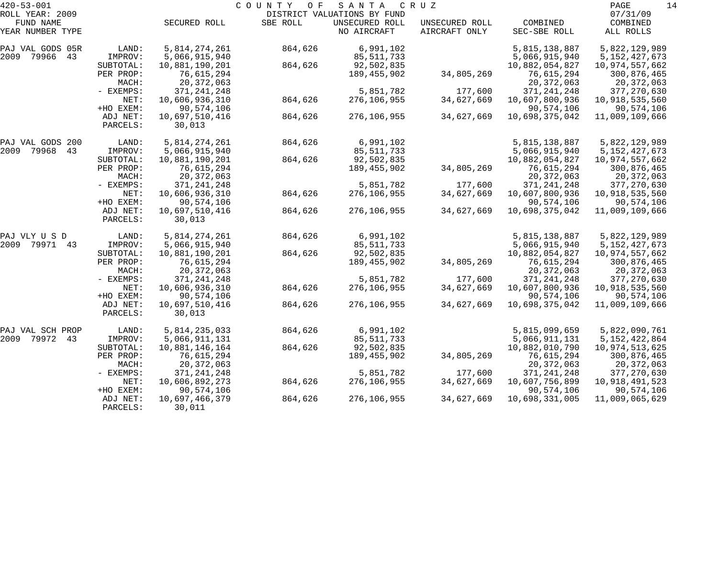| $420 - 53 - 001$    |           |                | COUNTY<br>O F | SANTA                       | C R U Z        |                | 14<br>PAGE       |
|---------------------|-----------|----------------|---------------|-----------------------------|----------------|----------------|------------------|
| ROLL YEAR: 2009     |           |                |               | DISTRICT VALUATIONS BY FUND |                |                | 07/31/09         |
| FUND NAME           |           | SECURED ROLL   | SBE ROLL      | UNSECURED ROLL              | UNSECURED ROLL | COMBINED       | COMBINED         |
| YEAR NUMBER TYPE    |           |                |               | NO AIRCRAFT                 | AIRCRAFT ONLY  | SEC-SBE ROLL   | ALL ROLLS        |
| PAJ VAL GODS 05R    | LAND:     | 5,814,274,261  | 864,626       | 6,991,102                   |                | 5,815,138,887  | 5,822,129,989    |
| 2009<br>79966<br>43 | IMPROV:   | 5,066,915,940  |               | 85, 511, 733                |                | 5,066,915,940  | 5, 152, 427, 673 |
|                     | SUBTOTAL: | 10,881,190,201 | 864,626       | 92,502,835                  |                | 10,882,054,827 | 10,974,557,662   |
|                     | PER PROP: | 76,615,294     |               | 189,455,902                 | 34,805,269     | 76,615,294     | 300,876,465      |
|                     | MACH:     | 20, 372, 063   |               |                             |                | 20, 372, 063   | 20,372,063       |
|                     | - EXEMPS: | 371, 241, 248  |               | 5,851,782                   | 177,600        | 371, 241, 248  | 377, 270, 630    |
|                     | NET:      | 10,606,936,310 | 864,626       | 276,106,955                 | 34,627,669     | 10,607,800,936 | 10,918,535,560   |
|                     | +HO EXEM: | 90,574,106     |               |                             |                | 90,574,106     | 90,574,106       |
|                     | ADJ NET:  | 10,697,510,416 | 864,626       | 276,106,955                 | 34,627,669     | 10,698,375,042 | 11,009,109,666   |
|                     | PARCELS:  | 30,013         |               |                             |                |                |                  |
| PAJ VAL GODS 200    | LAND:     | 5,814,274,261  | 864,626       | 6,991,102                   |                | 5,815,138,887  | 5,822,129,989    |
| 2009<br>79968<br>43 | IMPROV:   | 5,066,915,940  |               | 85, 511, 733                |                | 5,066,915,940  | 5, 152, 427, 673 |
|                     | SUBTOTAL: | 10,881,190,201 | 864,626       | 92,502,835                  |                | 10,882,054,827 | 10,974,557,662   |
|                     | PER PROP: | 76,615,294     |               | 189,455,902                 | 34,805,269     | 76,615,294     | 300,876,465      |
|                     | MACH:     | 20, 372, 063   |               |                             |                | 20, 372, 063   | 20,372,063       |
|                     | - EXEMPS: | 371, 241, 248  |               | 5,851,782                   | 177,600        | 371, 241, 248  | 377, 270, 630    |
|                     | NET:      | 10,606,936,310 | 864,626       | 276,106,955                 | 34,627,669     | 10,607,800,936 | 10,918,535,560   |
|                     | +HO EXEM: | 90,574,106     |               |                             |                | 90,574,106     | 90,574,106       |
|                     | ADJ NET:  | 10,697,510,416 | 864,626       | 276,106,955                 | 34,627,669     | 10,698,375,042 | 11,009,109,666   |
|                     | PARCELS:  | 30,013         |               |                             |                |                |                  |
| PAJ VLY U S D       | LAND:     | 5,814,274,261  | 864,626       | 6,991,102                   |                | 5,815,138,887  | 5,822,129,989    |
| 2009<br>79971<br>43 | IMPROV:   | 5,066,915,940  |               | 85, 511, 733                |                | 5,066,915,940  | 5, 152, 427, 673 |
|                     | SUBTOTAL: | 10,881,190,201 | 864,626       | 92,502,835                  |                | 10,882,054,827 | 10,974,557,662   |
|                     | PER PROP: | 76,615,294     |               | 189,455,902                 | 34,805,269     | 76,615,294     | 300,876,465      |
|                     | MACH:     | 20, 372, 063   |               |                             |                | 20, 372, 063   | 20,372,063       |
|                     | - EXEMPS: | 371, 241, 248  |               | 5,851,782                   | 177,600        | 371, 241, 248  | 377, 270, 630    |
|                     | NET:      | 10,606,936,310 | 864,626       | 276,106,955                 | 34,627,669     | 10,607,800,936 | 10,918,535,560   |
|                     | +HO EXEM: | 90,574,106     |               |                             |                | 90,574,106     | 90,574,106       |
|                     | ADJ NET:  | 10,697,510,416 | 864,626       | 276,106,955                 | 34,627,669     | 10,698,375,042 | 11,009,109,666   |
|                     | PARCELS:  | 30,013         |               |                             |                |                |                  |
| PAJ VAL SCH PROP    | LAND:     | 5,814,235,033  | 864,626       | 6,991,102                   |                | 5,815,099,659  | 5,822,090,761    |
| 79972<br>2009<br>43 | IMPROV:   | 5,066,911,131  |               | 85, 511, 733                |                | 5,066,911,131  | 5, 152, 422, 864 |
|                     | SUBTOTAL: | 10,881,146,164 | 864,626       | 92,502,835                  |                | 10,882,010,790 | 10,974,513,625   |
|                     | PER PROP: | 76,615,294     |               | 189,455,902                 | 34,805,269     | 76,615,294     | 300,876,465      |
|                     | MACH:     | 20, 372, 063   |               |                             |                | 20, 372, 063   | 20,372,063       |
|                     | - EXEMPS: | 371, 241, 248  |               | 5,851,782                   | 177,600        | 371, 241, 248  | 377, 270, 630    |
|                     | NET:      | 10,606,892,273 | 864,626       | 276,106,955                 | 34,627,669     | 10,607,756,899 | 10,918,491,523   |
|                     | +HO EXEM: | 90,574,106     |               |                             |                | 90,574,106     | 90,574,106       |
|                     | ADJ NET:  | 10,697,466,379 | 864,626       | 276,106,955                 | 34,627,669     | 10,698,331,005 | 11,009,065,629   |
|                     | PARCELS:  | 30,011         |               |                             |                |                |                  |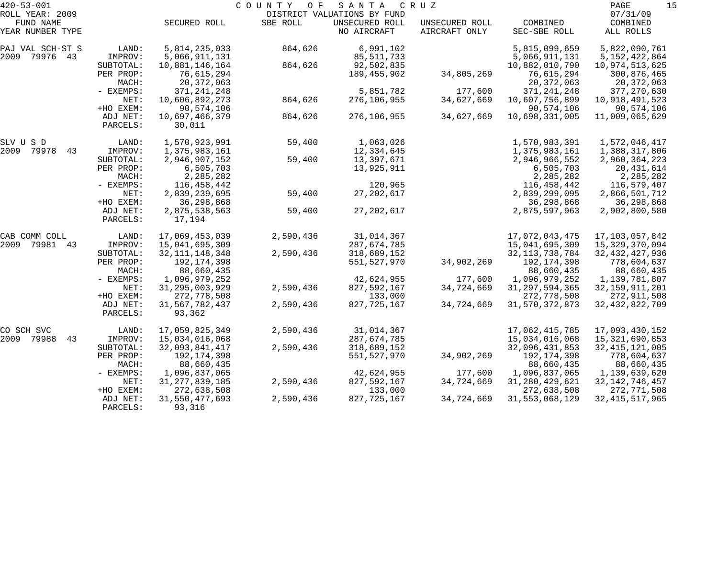| $420 - 53 - 001$    |           |                   | COUNTY<br>O F | SANTA                       | C R U Z        |                   | 15<br>PAGE        |
|---------------------|-----------|-------------------|---------------|-----------------------------|----------------|-------------------|-------------------|
| ROLL YEAR: 2009     |           |                   |               | DISTRICT VALUATIONS BY FUND |                |                   | 07/31/09          |
| FUND NAME           |           | SECURED ROLL      | SBE ROLL      | UNSECURED ROLL              | UNSECURED ROLL | COMBINED          | COMBINED          |
| YEAR NUMBER TYPE    |           |                   |               | NO AIRCRAFT                 | AIRCRAFT ONLY  | SEC-SBE ROLL      | ALL ROLLS         |
| PAJ VAL SCH-ST S    | LAND:     | 5,814,235,033     | 864,626       | 6,991,102                   |                | 5,815,099,659     | 5,822,090,761     |
| 2009 79976 43       | IMPROV:   | 5,066,911,131     |               | 85, 511, 733                |                | 5,066,911,131     | 5, 152, 422, 864  |
|                     | SUBTOTAL: | 10,881,146,164    | 864,626       | 92,502,835                  |                | 10,882,010,790    | 10,974,513,625    |
|                     | PER PROP: | 76,615,294        |               | 189,455,902                 | 34,805,269     | 76,615,294        | 300,876,465       |
|                     | MACH:     | 20, 372, 063      |               |                             |                | 20, 372, 063      | 20,372,063        |
|                     | - EXEMPS: | 371, 241, 248     |               | 5,851,782                   | 177,600        | 371, 241, 248     | 377, 270, 630     |
|                     | NET:      | 10,606,892,273    | 864,626       | 276,106,955                 | 34,627,669     | 10,607,756,899    | 10,918,491,523    |
|                     | +HO EXEM: | 90,574,106        |               |                             |                | 90,574,106        | 90,574,106        |
|                     | ADJ NET:  | 10,697,466,379    | 864,626       | 276,106,955                 | 34,627,669     | 10,698,331,005    | 11,009,065,629    |
|                     | PARCELS:  | 30,011            |               |                             |                |                   |                   |
| SLV U S D           | LAND:     | 1,570,923,991     | 59,400        | 1,063,026                   |                | 1,570,983,391     | 1,572,046,417     |
| 2009<br>79978<br>43 | IMPROV:   | 1,375,983,161     |               | 12,334,645                  |                | 1,375,983,161     | 1,388,317,806     |
|                     | SUBTOTAL: | 2,946,907,152     | 59,400        | 13,397,671                  |                | 2,946,966,552     | 2,960,364,223     |
|                     | PER PROP: | 6,505,703         |               | 13,925,911                  |                | 6,505,703         | 20,431,614        |
|                     | MACH:     | 2,285,282         |               |                             |                | 2,285,282         | 2,285,282         |
|                     | - EXEMPS: | 116,458,442       |               | 120,965                     |                | 116,458,442       | 116,579,407       |
|                     | NET:      | 2,839,239,695     | 59,400        | 27, 202, 617                |                | 2,839,299,095     | 2,866,501,712     |
|                     | +HO EXEM: | 36,298,868        |               |                             |                | 36,298,868        | 36,298,868        |
|                     | ADJ NET:  | 2,875,538,563     | 59,400        | 27, 202, 617                |                | 2,875,597,963     | 2,902,800,580     |
|                     | PARCELS:  | 17,194            |               |                             |                |                   |                   |
| CAB COMM COLL       | LAND:     | 17,069,453,039    | 2,590,436     | 31,014,367                  |                | 17,072,043,475    | 17, 103, 057, 842 |
| 2009<br>79981<br>43 | IMPROV:   | 15,041,695,309    |               | 287,674,785                 |                | 15,041,695,309    | 15,329,370,094    |
|                     | SUBTOTAL: | 32, 111, 148, 348 | 2,590,436     | 318,689,152                 |                | 32, 113, 738, 784 | 32, 432, 427, 936 |
|                     | PER PROP: | 192, 174, 398     |               | 551,527,970                 | 34,902,269     | 192,174,398       | 778,604,637       |
|                     | MACH:     | 88,660,435        |               |                             |                | 88,660,435        | 88,660,435        |
|                     | - EXEMPS: | 1,096,979,252     |               | 42,624,955                  | 177,600        | 1,096,979,252     | 1,139,781,807     |
|                     | NET:      | 31, 295, 003, 929 | 2,590,436     | 827,592,167                 | 34,724,669     | 31, 297, 594, 365 | 32, 159, 911, 201 |
|                     | +HO EXEM: | 272,778,508       |               | 133,000                     |                | 272,778,508       | 272,911,508       |
|                     | ADJ NET:  | 31,567,782,437    | 2,590,436     | 827, 725, 167               | 34,724,669     | 31, 570, 372, 873 | 32, 432, 822, 709 |
|                     | PARCELS:  | 93,362            |               |                             |                |                   |                   |
| CO SCH SVC          | LAND:     | 17,059,825,349    | 2,590,436     | 31,014,367                  |                | 17,062,415,785    | 17,093,430,152    |
| 2009 79988<br>43    | IMPROV:   | 15,034,016,068    |               | 287,674,785                 |                | 15,034,016,068    | 15, 321, 690, 853 |
|                     | SUBTOTAL: | 32,093,841,417    | 2,590,436     | 318,689,152                 |                | 32,096,431,853    | 32, 415, 121, 005 |
|                     | PER PROP: | 192,174,398       |               | 551,527,970                 | 34,902,269     | 192,174,398       | 778,604,637       |
|                     | MACH:     | 88,660,435        |               |                             |                | 88,660,435        | 88,660,435        |
|                     | - EXEMPS: | 1,096,837,065     |               | 42,624,955                  | 177,600        | 1,096,837,065     | 1,139,639,620     |
|                     | NET:      | 31, 277, 839, 185 | 2,590,436     | 827,592,167                 | 34,724,669     | 31, 280, 429, 621 | 32, 142, 746, 457 |
|                     | +HO EXEM: | 272,638,508       |               | 133,000                     |                | 272,638,508       | 272,771,508       |
|                     | ADJ NET:  | 31,550,477,693    | 2,590,436     | 827, 725, 167               | 34,724,669     | 31, 553, 068, 129 | 32, 415, 517, 965 |
|                     | PARCELS:  | 93,316            |               |                             |                |                   |                   |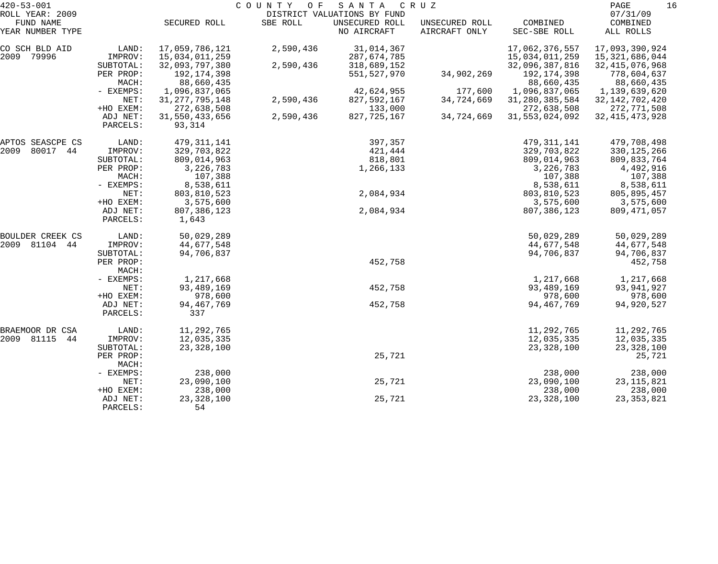| $420 - 53 - 001$             |                       | PAGE                     | 16        |                                               |                |                            |                          |  |
|------------------------------|-----------------------|--------------------------|-----------|-----------------------------------------------|----------------|----------------------------|--------------------------|--|
| ROLL YEAR: 2009<br>FUND NAME |                       | SECURED ROLL             | SBE ROLL  | DISTRICT VALUATIONS BY FUND<br>UNSECURED ROLL | UNSECURED ROLL | COMBINED                   | 07/31/09<br>COMBINED     |  |
| YEAR NUMBER TYPE             |                       |                          |           | NO AIRCRAFT                                   | AIRCRAFT ONLY  | SEC-SBE ROLL               | ALL ROLLS                |  |
| CO SCH BLD AID               | LAND:                 | 17,059,786,121           | 2,590,436 | 31,014,367                                    |                | 17,062,376,557             | 17,093,390,924           |  |
| 79996<br>2009                | IMPROV:               | 15,034,011,259           |           | 287,674,785                                   |                | 15,034,011,259             | 15,321,686,044           |  |
|                              | SUBTOTAL:             | 32,093,797,380           | 2,590,436 | 318,689,152                                   |                | 32,096,387,816             | 32, 415, 076, 968        |  |
|                              | PER PROP:             | 192, 174, 398            |           | 551,527,970                                   | 34,902,269     | 192,174,398                | 778,604,637              |  |
|                              | MACH:                 | 88,660,435               |           |                                               |                | 88,660,435                 | 88,660,435               |  |
|                              | - EXEMPS:             | 1,096,837,065            |           | 42,624,955                                    | 177,600        | 1,096,837,065              | 1,139,639,620            |  |
|                              | NET:                  | 31, 277, 795, 148        | 2,590,436 | 827, 592, 167                                 | 34,724,669     | 31, 280, 385, 584          | 32, 142, 702, 420        |  |
|                              | +HO EXEM:             | 272,638,508              |           | 133,000                                       |                | 272,638,508                | 272,771,508              |  |
|                              | ADJ NET:<br>PARCELS:  | 31,550,433,656<br>93,314 | 2,590,436 | 827,725,167                                   | 34,724,669     | 31, 553, 024, 092          | 32, 415, 473, 928        |  |
| APTOS SEASCPE CS             | LAND:                 | 479, 311, 141            |           | 397,357                                       |                | 479, 311, 141              | 479,708,498              |  |
| 80017<br>2009<br>44          | IMPROV:               | 329,703,822              |           | 421,444                                       |                | 329,703,822                | 330, 125, 266            |  |
|                              | SUBTOTAL:             | 809,014,963              |           | 818,801                                       |                | 809,014,963                | 809,833,764              |  |
|                              | PER PROP:             | 3,226,783                |           | 1,266,133                                     |                | 3,226,783                  | 4,492,916                |  |
|                              | MACH:                 | 107,388                  |           |                                               |                | 107,388                    | 107,388                  |  |
|                              | - EXEMPS:             | 8,538,611                |           |                                               |                | 8,538,611                  | 8,538,611                |  |
|                              | NET:                  | 803,810,523              |           | 2,084,934                                     |                | 803,810,523                | 805,895,457              |  |
|                              | +HO EXEM:<br>ADJ NET: | 3,575,600<br>807,386,123 |           | 2,084,934                                     |                | 3,575,600<br>807, 386, 123 | 3,575,600<br>809,471,057 |  |
|                              | PARCELS:              | 1,643                    |           |                                               |                |                            |                          |  |
| BOULDER CREEK CS             | LAND:                 | 50,029,289               |           |                                               |                | 50,029,289                 | 50,029,289               |  |
| 2009 81104<br>44             | IMPROV:               | 44,677,548               |           |                                               |                | 44,677,548                 | 44,677,548               |  |
|                              | SUBTOTAL:             | 94,706,837               |           |                                               |                | 94,706,837                 | 94,706,837               |  |
|                              | PER PROP:<br>MACH:    |                          |           | 452,758                                       |                |                            | 452,758                  |  |
|                              | - EXEMPS:             | 1,217,668                |           |                                               |                | 1,217,668                  | 1,217,668                |  |
|                              | NET:                  | 93,489,169               |           | 452,758                                       |                | 93,489,169                 | 93,941,927               |  |
|                              | +HO EXEM:             | 978,600                  |           |                                               |                | 978,600                    | 978,600                  |  |
|                              | ADJ NET:<br>PARCELS:  | 94, 467, 769<br>337      |           | 452,758                                       |                | 94, 467, 769               | 94,920,527               |  |
| BRAEMOOR DR CSA              | LAND:                 | 11,292,765               |           |                                               |                | 11,292,765                 | 11,292,765               |  |
| 2009 81115<br>44             | IMPROV:               | 12,035,335               |           |                                               |                | 12,035,335                 | 12,035,335               |  |
|                              | SUBTOTAL:             | 23, 328, 100             |           |                                               |                | 23, 328, 100               | 23, 328, 100             |  |
|                              | PER PROP:<br>MACH:    |                          |           | 25,721                                        |                |                            | 25,721                   |  |
|                              | - EXEMPS:             | 238,000                  |           |                                               |                | 238,000                    | 238,000                  |  |
|                              | NET:                  | 23,090,100               |           | 25,721                                        |                | 23,090,100                 | 23, 115, 821             |  |
|                              | +HO EXEM:             | 238,000                  |           |                                               |                | 238,000                    | 238,000                  |  |
|                              | ADJ NET:<br>PARCELS:  | 23, 328, 100<br>54       |           | 25,721                                        |                | 23, 328, 100               | 23, 353, 821             |  |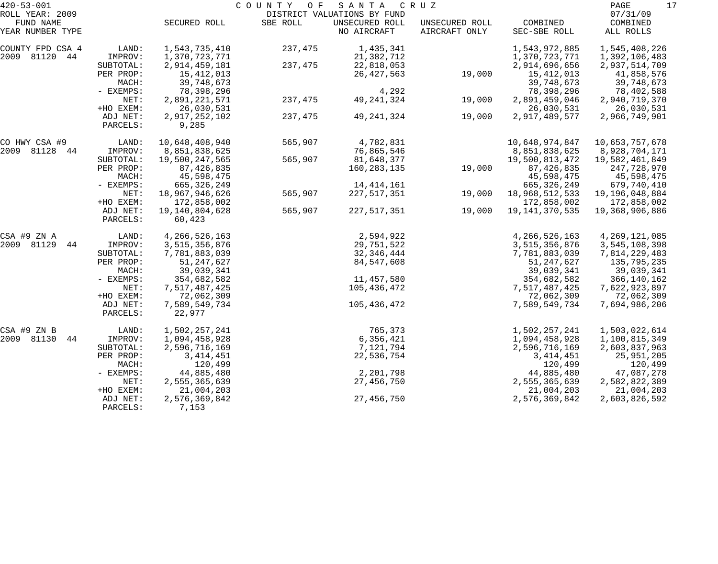| $420 - 53 - 001$ |           |                  | COUNTY OF | S A N T A                   | C R U Z        |                   | 17<br>PAGE       |
|------------------|-----------|------------------|-----------|-----------------------------|----------------|-------------------|------------------|
| ROLL YEAR: 2009  |           |                  |           | DISTRICT VALUATIONS BY FUND |                |                   | 07/31/09         |
| FUND NAME        |           | SECURED ROLL     | SBE ROLL  | UNSECURED ROLL              | UNSECURED ROLL | COMBINED          | COMBINED         |
| YEAR NUMBER TYPE |           |                  |           | NO AIRCRAFT                 | AIRCRAFT ONLY  | SEC-SBE ROLL      | ALL ROLLS        |
| COUNTY FPD CSA 4 | LAND:     | 1,543,735,410    | 237,475   | 1,435,341                   |                | 1,543,972,885     | 1,545,408,226    |
| 2009 81120<br>44 | IMPROV:   | 1,370,723,771    |           | 21,382,712                  |                | 1,370,723,771     | 1,392,106,483    |
|                  | SUBTOTAL: | 2,914,459,181    | 237,475   | 22,818,053                  |                | 2,914,696,656     | 2,937,514,709    |
|                  | PER PROP: | 15,412,013       |           | 26, 427, 563                | 19,000         | 15, 412, 013      | 41,858,576       |
|                  | MACH:     | 39,748,673       |           |                             |                | 39,748,673        | 39,748,673       |
|                  | - EXEMPS: | 78,398,296       |           | 4,292                       |                | 78,398,296        | 78,402,588       |
|                  | NET:      | 2,891,221,571    | 237,475   | 49, 241, 324                | 19,000         | 2,891,459,046     | 2,940,719,370    |
|                  | +HO EXEM: | 26,030,531       |           |                             |                | 26,030,531        | 26,030,531       |
|                  | ADJ NET:  | 2,917,252,102    | 237,475   | 49, 241, 324                | 19,000         | 2,917,489,577     | 2,966,749,901    |
|                  | PARCELS:  | 9,285            |           |                             |                |                   |                  |
| CO HWY CSA #9    | LAND:     | 10,648,408,940   | 565,907   | 4,782,831                   |                | 10,648,974,847    | 10,653,757,678   |
| 2009 81128<br>44 | IMPROV:   | 8,851,838,625    |           | 76,865,546                  |                | 8,851,838,625     | 8,928,704,171    |
|                  | SUBTOTAL: | 19,500,247,565   | 565,907   | 81,648,377                  |                | 19,500,813,472    | 19,582,461,849   |
|                  | PER PROP: | 87, 426, 835     |           | 160,283,135                 | 19,000         | 87, 426, 835      | 247,728,970      |
|                  | MACH:     | 45,598,475       |           |                             |                | 45,598,475        | 45,598,475       |
|                  | - EXEMPS: | 665, 326, 249    |           | 14, 414, 161                |                | 665, 326, 249     | 679,740,410      |
|                  | NET:      | 18,967,946,626   | 565,907   | 227,517,351                 | 19,000         | 18,968,512,533    | 19,196,048,884   |
|                  | +HO EXEM: | 172,858,002      |           |                             |                | 172,858,002       | 172,858,002      |
|                  | ADJ NET:  | 19,140,804,628   | 565,907   | 227,517,351                 | 19,000         | 19, 141, 370, 535 | 19,368,906,886   |
|                  | PARCELS:  | 60,423           |           |                             |                |                   |                  |
| CSA #9 ZN A      | LAND:     | 4, 266, 526, 163 |           | 2,594,922                   |                | 4, 266, 526, 163  | 4, 269, 121, 085 |
| 2009 81129<br>44 | IMPROV:   | 3,515,356,876    |           | 29,751,522                  |                | 3,515,356,876     | 3,545,108,398    |
|                  | SUBTOTAL: | 7,781,883,039    |           | 32,346,444                  |                | 7,781,883,039     | 7,814,229,483    |
|                  | PER PROP: | 51, 247, 627     |           | 84,547,608                  |                | 51, 247, 627      | 135,795,235      |
|                  | MACH:     | 39,039,341       |           |                             |                | 39,039,341        | 39,039,341       |
|                  | - EXEMPS: | 354,682,582      |           | 11,457,580                  |                | 354,682,582       | 366,140,162      |
|                  | NET:      | 7,517,487,425    |           | 105,436,472                 |                | 7,517,487,425     | 7,622,923,897    |
|                  | +HO EXEM: | 72,062,309       |           |                             |                | 72,062,309        | 72,062,309       |
|                  | ADJ NET:  | 7,589,549,734    |           | 105,436,472                 |                | 7,589,549,734     | 7,694,986,206    |
|                  | PARCELS:  | 22,977           |           |                             |                |                   |                  |
| CSA #9 ZN B      | LAND:     | 1,502,257,241    |           | 765,373                     |                | 1,502,257,241     | 1,503,022,614    |
| 2009 81130<br>44 | IMPROV:   | 1,094,458,928    |           | 6,356,421                   |                | 1,094,458,928     | 1,100,815,349    |
|                  | SUBTOTAL: | 2,596,716,169    |           | 7,121,794                   |                | 2,596,716,169     | 2,603,837,963    |
|                  | PER PROP: | 3, 414, 451      |           | 22,536,754                  |                | 3, 414, 451       | 25,951,205       |
|                  | MACH:     | 120,499          |           |                             |                | 120,499           | 120,499          |
|                  | - EXEMPS: | 44,885,480       |           | 2,201,798                   |                | 44,885,480        | 47,087,278       |
|                  | NET:      | 2,555,365,639    |           | 27,456,750                  |                | 2,555,365,639     | 2,582,822,389    |
|                  | +HO EXEM: | 21,004,203       |           |                             |                | 21,004,203        | 21,004,203       |
|                  | ADJ NET:  | 2,576,369,842    |           | 27,456,750                  |                | 2,576,369,842     | 2,603,826,592    |
|                  | PARCELS:  | 7,153            |           |                             |                |                   |                  |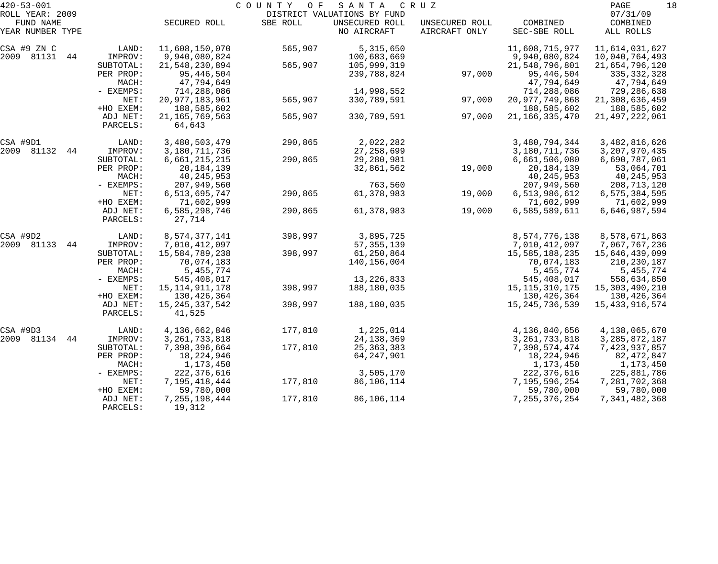| $420 - 53 - 001$    |           |                   | COUNTY<br>O F | SANTA                       | C R U Z        |                   | 18<br>PAGE        |
|---------------------|-----------|-------------------|---------------|-----------------------------|----------------|-------------------|-------------------|
| ROLL YEAR: 2009     |           |                   |               | DISTRICT VALUATIONS BY FUND |                |                   | 07/31/09          |
| FUND NAME           |           | SECURED ROLL      | SBE ROLL      | UNSECURED ROLL              | UNSECURED ROLL | COMBINED          | COMBINED          |
| YEAR NUMBER TYPE    |           |                   |               | NO AIRCRAFT                 | AIRCRAFT ONLY  | SEC-SBE ROLL      | ALL ROLLS         |
| CSA #9 ZN C         | LAND:     | 11,608,150,070    | 565,907       | 5,315,650                   |                | 11,608,715,977    | 11,614,031,627    |
| 2009 81131<br>44    | IMPROV:   | 9,940,080,824     |               | 100,683,669                 |                | 9,940,080,824     | 10,040,764,493    |
|                     | SUBTOTAL: | 21,548,230,894    | 565,907       | 105,999,319                 |                | 21,548,796,801    | 21,654,796,120    |
|                     | PER PROP: | 95,446,504        |               | 239,788,824                 | 97,000         | 95,446,504        | 335, 332, 328     |
|                     | MACH:     | 47,794,649        |               |                             |                | 47,794,649        | 47,794,649        |
|                     | - EXEMPS: | 714,288,086       |               | 14,998,552                  |                | 714,288,086       | 729,286,638       |
|                     | NET:      | 20, 977, 183, 961 | 565,907       | 330,789,591                 | 97,000         | 20, 977, 749, 868 | 21,308,636,459    |
|                     | +HO EXEM: | 188,585,602       |               |                             |                | 188,585,602       | 188,585,602       |
|                     | ADJ NET:  | 21, 165, 769, 563 | 565,907       | 330,789,591                 | 97,000         | 21, 166, 335, 470 | 21, 497, 222, 061 |
|                     | PARCELS:  | 64,643            |               |                             |                |                   |                   |
| CSA #9D1            | LAND:     | 3,480,503,479     | 290,865       | 2,022,282                   |                | 3,480,794,344     | 3,482,816,626     |
| 2009 81132<br>44    | IMPROV:   | 3,180,711,736     |               | 27, 258, 699                |                | 3,180,711,736     | 3, 207, 970, 435  |
|                     | SUBTOTAL: | 6,661,215,215     | 290,865       | 29,280,981                  |                | 6,661,506,080     | 6,690,787,061     |
|                     | PER PROP: | 20, 184, 139      |               | 32,861,562                  | 19,000         | 20,184,139        | 53,064,701        |
|                     | MACH:     | 40, 245, 953      |               |                             |                | 40,245,953        | 40,245,953        |
|                     | - EXEMPS: | 207,949,560       |               | 763,560                     |                | 207,949,560       | 208,713,120       |
|                     | NET:      | 6,513,695,747     | 290,865       | 61,378,983                  | 19,000         | 6,513,986,612     | 6,575,384,595     |
|                     | +HO EXEM: | 71,602,999        |               |                             |                | 71,602,999        | 71,602,999        |
|                     | ADJ NET:  | 6,585,298,746     | 290,865       | 61,378,983                  | 19,000         | 6,585,589,611     | 6,646,987,594     |
|                     | PARCELS:  | 27,714            |               |                             |                |                   |                   |
| CSA #9D2            | LAND:     | 8,574,377,141     | 398,997       | 3,895,725                   |                | 8,574,776,138     | 8,578,671,863     |
| 2009<br>81133<br>44 | IMPROV:   | 7,010,412,097     |               | 57, 355, 139                |                | 7,010,412,097     | 7,067,767,236     |
|                     | SUBTOTAL: | 15,584,789,238    | 398,997       | 61,250,864                  |                | 15,585,188,235    | 15,646,439,099    |
|                     | PER PROP: | 70,074,183        |               | 140,156,004                 |                | 70,074,183        | 210,230,187       |
|                     | MACH:     | 5,455,774         |               |                             |                | 5,455,774         | 5,455,774         |
|                     | - EXEMPS: | 545,408,017       |               | 13, 226, 833                |                | 545,408,017       | 558,634,850       |
|                     | NET:      | 15, 114, 911, 178 | 398,997       | 188,180,035                 |                | 15, 115, 310, 175 | 15,303,490,210    |
|                     | +HO EXEM: | 130,426,364       |               |                             |                | 130, 426, 364     | 130,426,364       |
|                     | ADJ NET:  | 15, 245, 337, 542 | 398,997       | 188,180,035                 |                | 15, 245, 736, 539 | 15, 433, 916, 574 |
|                     | PARCELS:  | 41,525            |               |                             |                |                   |                   |
| CSA #9D3            | LAND:     | 4,136,662,846     | 177,810       | 1,225,014                   |                | 4,136,840,656     | 4,138,065,670     |
| 2009 81134<br>44    | IMPROV:   | 3, 261, 733, 818  |               | 24, 138, 369                |                | 3, 261, 733, 818  | 3, 285, 872, 187  |
|                     | SUBTOTAL: | 7,398,396,664     | 177,810       | 25, 363, 383                |                | 7,398,574,474     | 7,423,937,857     |
|                     | PER PROP: | 18,224,946        |               | 64, 247, 901                |                | 18,224,946        | 82, 472, 847      |
|                     | MACH:     | 1,173,450         |               |                             |                | 1,173,450         | 1,173,450         |
|                     | - EXEMPS: | 222, 376, 616     |               | 3,505,170                   |                | 222, 376, 616     | 225,881,786       |
|                     | NET:      | 7,195,418,444     | 177,810       | 86,106,114                  |                | 7,195,596,254     | 7,281,702,368     |
|                     | +HO EXEM: | 59,780,000        |               |                             |                | 59,780,000        | 59,780,000        |
|                     | ADJ NET:  | 7, 255, 198, 444  | 177,810       | 86,106,114                  |                | 7, 255, 376, 254  | 7,341,482,368     |
|                     | PARCELS:  | 19,312            |               |                             |                |                   |                   |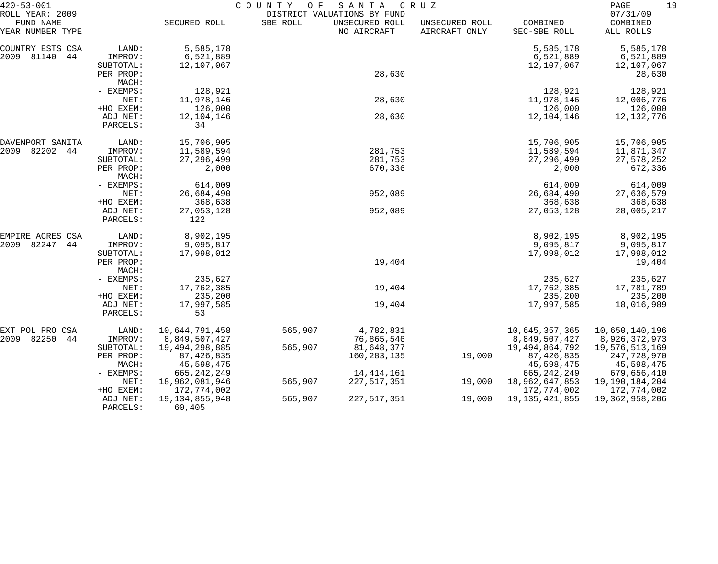| $420 - 53 - 001$                                 |                        | COUNTY<br>O F<br>SANTA<br>CRUZ<br>DISTRICT VALUATIONS BY FUND |          |                               |                                 |                                   |                                   |  |
|--------------------------------------------------|------------------------|---------------------------------------------------------------|----------|-------------------------------|---------------------------------|-----------------------------------|-----------------------------------|--|
| ROLL YEAR: 2009<br>FUND NAME<br>YEAR NUMBER TYPE |                        | SECURED ROLL                                                  | SBE ROLL | UNSECURED ROLL<br>NO AIRCRAFT | UNSECURED ROLL<br>AIRCRAFT ONLY | COMBINED<br>SEC-SBE ROLL          | 07/31/09<br>COMBINED<br>ALL ROLLS |  |
| COUNTRY ESTS CSA                                 | LAND:                  | 5,585,178                                                     |          |                               |                                 | 5,585,178                         | 5,585,178                         |  |
| 2009<br>81140<br>44                              | IMPROV:                | 6,521,889                                                     |          |                               |                                 | 6,521,889                         | 6,521,889                         |  |
|                                                  | SUBTOTAL:              | 12,107,067                                                    |          |                               |                                 | 12,107,067                        | 12,107,067                        |  |
|                                                  | PER PROP:              |                                                               |          | 28,630                        |                                 |                                   | 28,630                            |  |
|                                                  | MACH:                  |                                                               |          |                               |                                 |                                   |                                   |  |
|                                                  | - EXEMPS:              | 128,921                                                       |          |                               |                                 | 128,921                           | 128,921                           |  |
|                                                  | NET:                   | 11,978,146                                                    |          | 28,630                        |                                 | 11,978,146                        | 12,006,776                        |  |
|                                                  | +HO EXEM:              | 126,000                                                       |          |                               |                                 | 126,000                           | 126,000                           |  |
|                                                  | ADJ NET:               | 12,104,146                                                    |          | 28,630                        |                                 | 12,104,146                        | 12, 132, 776                      |  |
|                                                  | PARCELS:               | 34                                                            |          |                               |                                 |                                   |                                   |  |
| DAVENPORT SANITA                                 | LAND:                  | 15,706,905                                                    |          |                               |                                 | 15,706,905                        | 15,706,905                        |  |
| 2009<br>82202<br>44                              | IMPROV:                | 11,589,594                                                    |          | 281,753                       |                                 | 11,589,594                        | 11,871,347                        |  |
|                                                  | SUBTOTAL:              | 27, 296, 499                                                  |          | 281,753                       |                                 | 27, 296, 499                      | 27,578,252                        |  |
|                                                  | PER PROP:<br>MACH:     | 2,000                                                         |          | 670,336                       |                                 | 2,000                             | 672,336                           |  |
|                                                  | - EXEMPS:              | 614,009                                                       |          |                               |                                 | 614,009                           | 614,009                           |  |
|                                                  | NET:                   | 26,684,490                                                    |          | 952,089                       |                                 | 26,684,490                        | 27,636,579                        |  |
|                                                  | +HO EXEM:              | 368,638                                                       |          |                               |                                 | 368,638                           | 368,638                           |  |
|                                                  | ADJ NET:               | 27,053,128                                                    |          | 952,089                       |                                 | 27,053,128                        | 28,005,217                        |  |
|                                                  | PARCELS:               | 122                                                           |          |                               |                                 |                                   |                                   |  |
| EMPIRE ACRES CSA                                 | LAND:                  | 8,902,195                                                     |          |                               |                                 | 8,902,195                         | 8,902,195                         |  |
| 82247<br>2009<br>44                              | IMPROV:                | 9,095,817                                                     |          |                               |                                 | 9,095,817                         | 9,095,817                         |  |
|                                                  | SUBTOTAL:              | 17,998,012                                                    |          |                               |                                 | 17,998,012                        | 17,998,012                        |  |
|                                                  | PER PROP:              |                                                               |          | 19,404                        |                                 |                                   | 19,404                            |  |
|                                                  | MACH:                  |                                                               |          |                               |                                 |                                   |                                   |  |
|                                                  | - EXEMPS:              | 235,627                                                       |          |                               |                                 | 235,627                           | 235,627                           |  |
|                                                  | NET:                   | 17,762,385                                                    |          | 19,404                        |                                 | 17,762,385                        | 17,781,789                        |  |
|                                                  | +HO EXEM:              | 235,200                                                       |          |                               |                                 | 235,200                           | 235,200                           |  |
|                                                  | ADJ NET:<br>PARCELS:   | 17,997,585<br>53                                              |          | 19,404                        |                                 | 17,997,585                        | 18,016,989                        |  |
|                                                  |                        |                                                               |          |                               |                                 |                                   |                                   |  |
| EXT POL PRO CSA                                  | LAND:                  | 10,644,791,458                                                | 565,907  | 4,782,831                     |                                 | 10,645,357,365                    | 10,650,140,196                    |  |
| 2009 82250<br>-44                                | IMPROV:                | 8,849,507,427<br>19,494,298,885                               | 565,907  | 76,865,546<br>81,648,377      |                                 | 8,849,507,427                     | 8,926,372,973<br>19,576,513,169   |  |
|                                                  | SUBTOTAL:<br>PER PROP: | 87, 426, 835                                                  |          | 160,283,135                   | 19,000                          | 19, 494, 864, 792<br>87, 426, 835 | 247,728,970                       |  |
|                                                  | MACH:                  | 45,598,475                                                    |          |                               |                                 | 45,598,475                        | 45,598,475                        |  |
|                                                  | $-$ EXEMPS:            | 665, 242, 249                                                 |          | 14, 414, 161                  |                                 | 665, 242, 249                     | 679,656,410                       |  |
|                                                  | NET:                   | 18,962,081,946                                                | 565,907  | 227,517,351                   | 19,000                          | 18,962,647,853                    | 19,190,184,204                    |  |
|                                                  | +HO EXEM:              | 172,774,002                                                   |          |                               |                                 | 172,774,002                       | 172,774,002                       |  |
|                                                  | ADJ NET:               | 19, 134, 855, 948                                             | 565,907  | 227,517,351                   | 19,000                          | 19, 135, 421, 855                 | 19,362,958,206                    |  |
|                                                  | PARCELS:               | 60,405                                                        |          |                               |                                 |                                   |                                   |  |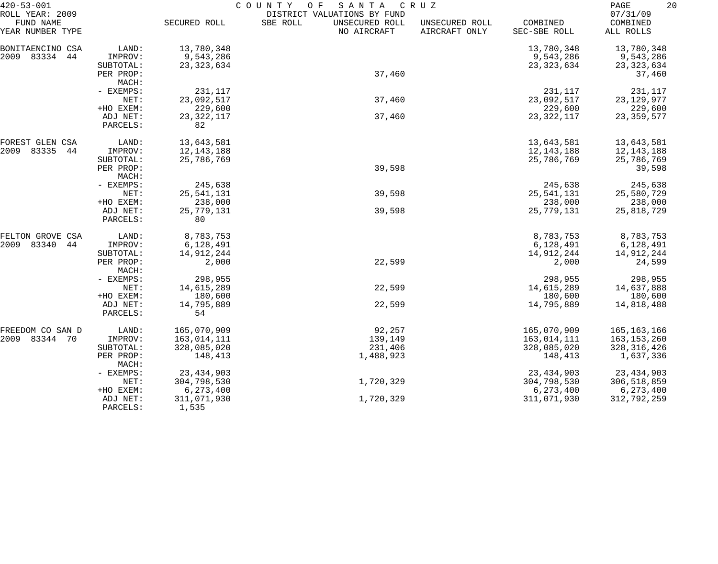| $420 - 53 - 001$<br>ROLL YEAR: 2009 |                      | COUNTY<br>SANTA<br>CRUZ<br>O F<br>DISTRICT VALUATIONS BY FUND |                                           |                                 |                          |                                   |  |  |
|-------------------------------------|----------------------|---------------------------------------------------------------|-------------------------------------------|---------------------------------|--------------------------|-----------------------------------|--|--|
| FUND NAME<br>YEAR NUMBER TYPE       |                      | SECURED ROLL                                                  | SBE ROLL<br>UNSECURED ROLL<br>NO AIRCRAFT | UNSECURED ROLL<br>AIRCRAFT ONLY | COMBINED<br>SEC-SBE ROLL | 07/31/09<br>COMBINED<br>ALL ROLLS |  |  |
| BONITAENCINO CSA                    | LAND:                | 13,780,348                                                    |                                           |                                 | 13,780,348               | 13,780,348                        |  |  |
| 2009 83334 44                       | IMPROV:              | 9,543,286                                                     |                                           |                                 | 9,543,286                | 9,543,286                         |  |  |
|                                     | SUBTOTAL:            | 23, 323, 634                                                  |                                           |                                 | 23, 323, 634             | 23, 323, 634                      |  |  |
|                                     | PER PROP:            |                                                               | 37,460                                    |                                 |                          | 37,460                            |  |  |
|                                     | MACH:                |                                                               |                                           |                                 |                          |                                   |  |  |
|                                     | - EXEMPS:            | 231,117                                                       |                                           |                                 | 231,117                  | 231,117                           |  |  |
|                                     | NET:                 | 23,092,517                                                    | 37,460                                    |                                 | 23,092,517               | 23, 129, 977                      |  |  |
|                                     | +HO EXEM:            | 229,600                                                       |                                           |                                 | 229,600                  | 229,600                           |  |  |
|                                     | ADJ NET:             | 23, 322, 117                                                  | 37,460                                    |                                 | 23, 322, 117             | 23, 359, 577                      |  |  |
|                                     | PARCELS:             | 82                                                            |                                           |                                 |                          |                                   |  |  |
| FOREST GLEN CSA                     | LAND:                | 13,643,581                                                    |                                           |                                 | 13,643,581               | 13,643,581                        |  |  |
| 2009<br>83335<br>44                 | IMPROV:              | 12, 143, 188                                                  |                                           |                                 | 12,143,188               | 12,143,188                        |  |  |
|                                     | SUBTOTAL:            | 25,786,769                                                    |                                           |                                 | 25,786,769               | 25,786,769                        |  |  |
|                                     | PER PROP:            |                                                               | 39,598                                    |                                 |                          | 39,598                            |  |  |
|                                     | MACH:                |                                                               |                                           |                                 |                          |                                   |  |  |
|                                     | - EXEMPS:            | 245,638                                                       |                                           |                                 | 245,638                  | 245,638                           |  |  |
|                                     | NET:                 | 25, 541, 131                                                  | 39,598                                    |                                 | 25, 541, 131             | 25,580,729                        |  |  |
|                                     | +HO EXEM:            | 238,000                                                       |                                           |                                 | 238,000                  | 238,000                           |  |  |
|                                     | ADJ NET:<br>PARCELS: | 25,779,131<br>80                                              | 39,598                                    |                                 | 25,779,131               | 25,818,729                        |  |  |
| FELTON GROVE CSA                    | LAND:                | 8,783,753                                                     |                                           |                                 | 8,783,753                | 8,783,753                         |  |  |
| 2009<br>83340<br>44                 | IMPROV:              | 6,128,491                                                     |                                           |                                 | 6,128,491                | 6,128,491                         |  |  |
|                                     | SUBTOTAL:            | 14,912,244                                                    |                                           |                                 | 14,912,244               | 14,912,244                        |  |  |
|                                     | PER PROP:<br>MACH:   | 2,000                                                         | 22,599                                    |                                 | 2,000                    | 24,599                            |  |  |
|                                     | - EXEMPS:            | 298,955                                                       |                                           |                                 | 298,955                  | 298,955                           |  |  |
|                                     | NET:                 | 14,615,289                                                    | 22,599                                    |                                 | 14,615,289               | 14,637,888                        |  |  |
|                                     | +HO EXEM:            | 180,600                                                       |                                           |                                 | 180,600                  | 180,600                           |  |  |
|                                     | ADJ NET:             | 14,795,889                                                    | 22,599                                    |                                 | 14,795,889               | 14,818,488                        |  |  |
|                                     | PARCELS:             | 54                                                            |                                           |                                 |                          |                                   |  |  |
| FREEDOM CO SAN D                    | LAND:                | 165,070,909                                                   | 92,257                                    |                                 | 165,070,909              | 165,163,166                       |  |  |
| 2009 83344 70                       | IMPROV:              | 163,014,111                                                   | 139,149                                   |                                 | 163,014,111              | 163,153,260                       |  |  |
|                                     | SUBTOTAL:            | 328,085,020                                                   | 231,406                                   |                                 | 328,085,020              | 328, 316, 426                     |  |  |
|                                     | PER PROP:<br>MACH:   | 148,413                                                       | 1,488,923                                 |                                 | 148,413                  | 1,637,336                         |  |  |
|                                     | - EXEMPS:            | 23, 434, 903                                                  |                                           |                                 | 23, 434, 903             | 23, 434, 903                      |  |  |
|                                     | NET:                 | 304,798,530                                                   | 1,720,329                                 |                                 | 304,798,530              | 306,518,859                       |  |  |
|                                     | +HO EXEM:            | 6,273,400                                                     |                                           |                                 | 6,273,400                | 6,273,400                         |  |  |
|                                     | ADJ NET:<br>PARCELS: | 311,071,930<br>1,535                                          | 1,720,329                                 |                                 | 311,071,930              | 312,792,259                       |  |  |
|                                     |                      |                                                               |                                           |                                 |                          |                                   |  |  |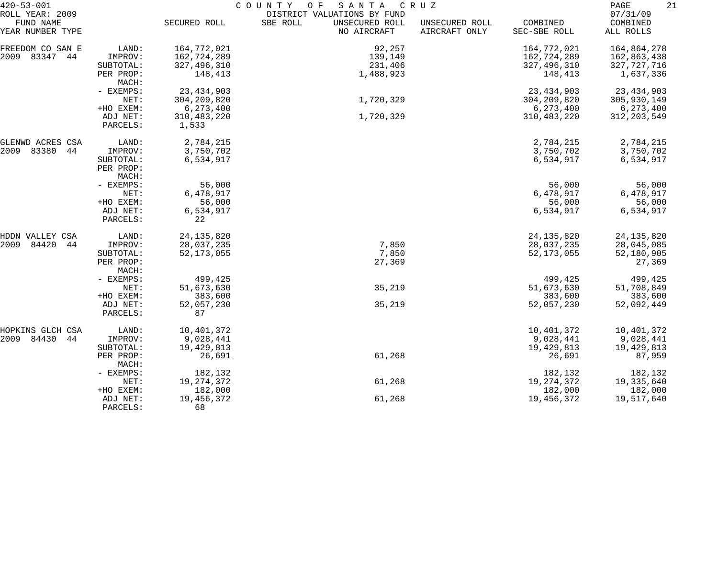| $420 - 53 - 001$              |                      | COUNTY<br>SANTA<br>C R U Z<br>O F |                                           |                                 |                          |                       |  |  |  |
|-------------------------------|----------------------|-----------------------------------|-------------------------------------------|---------------------------------|--------------------------|-----------------------|--|--|--|
| ROLL YEAR: 2009               |                      | DISTRICT VALUATIONS BY FUND       |                                           |                                 |                          |                       |  |  |  |
| FUND NAME<br>YEAR NUMBER TYPE |                      | SECURED ROLL                      | SBE ROLL<br>UNSECURED ROLL<br>NO AIRCRAFT | UNSECURED ROLL<br>AIRCRAFT ONLY | COMBINED<br>SEC-SBE ROLL | COMBINED<br>ALL ROLLS |  |  |  |
| FREEDOM CO SAN E              | LAND:                | 164,772,021                       | 92,257                                    |                                 | 164,772,021              | 164,864,278           |  |  |  |
| 2009 83347<br>44              | IMPROV:              | 162,724,289                       | 139,149                                   |                                 | 162,724,289              | 162,863,438           |  |  |  |
|                               | SUBTOTAL:            | 327,496,310                       | 231,406                                   |                                 | 327,496,310              | 327,727,716           |  |  |  |
|                               | PER PROP:            | 148,413                           | 1,488,923                                 |                                 | 148,413                  | 1,637,336             |  |  |  |
|                               | MACH:                |                                   |                                           |                                 |                          |                       |  |  |  |
|                               | - EXEMPS:            | 23, 434, 903                      |                                           |                                 | 23, 434, 903             | 23, 434, 903          |  |  |  |
|                               | NET:                 | 304, 209, 820                     | 1,720,329                                 |                                 | 304, 209, 820            | 305,930,149           |  |  |  |
|                               | +HO EXEM:            | 6,273,400                         |                                           |                                 | 6,273,400                | 6,273,400             |  |  |  |
|                               | ADJ NET:             | 310, 483, 220                     | 1,720,329                                 |                                 | 310, 483, 220            | 312, 203, 549         |  |  |  |
|                               | PARCELS:             | 1,533                             |                                           |                                 |                          |                       |  |  |  |
| GLENWD ACRES CSA              | LAND:                | 2,784,215                         |                                           |                                 | 2,784,215                | 2,784,215             |  |  |  |
| 83380<br>2009<br>44           | IMPROV:              | 3,750,702                         |                                           |                                 | 3,750,702                | 3,750,702             |  |  |  |
|                               | SUBTOTAL:            | 6,534,917                         |                                           |                                 | 6,534,917                | 6,534,917             |  |  |  |
|                               | PER PROP:            |                                   |                                           |                                 |                          |                       |  |  |  |
|                               | MACH:                |                                   |                                           |                                 |                          |                       |  |  |  |
|                               | - EXEMPS:            | 56,000                            |                                           |                                 | 56,000                   | 56,000                |  |  |  |
|                               | NET:                 | 6,478,917                         |                                           |                                 | 6,478,917                | 6,478,917             |  |  |  |
|                               | +HO EXEM:            | 56,000                            |                                           |                                 | 56,000                   | 56,000                |  |  |  |
|                               | ADJ NET:<br>PARCELS: | 6,534,917<br>22                   |                                           |                                 | 6,534,917                | 6,534,917             |  |  |  |
| HDDN VALLEY CSA               | LAND:                | 24, 135, 820                      |                                           |                                 | 24, 135, 820             | 24, 135, 820          |  |  |  |
| 84420<br>2009<br>44           | IMPROV:              | 28,037,235                        | 7,850                                     |                                 | 28,037,235               | 28,045,085            |  |  |  |
|                               | SUBTOTAL:            | 52, 173, 055                      | 7,850                                     |                                 | 52, 173, 055             | 52,180,905            |  |  |  |
|                               | PER PROP:            |                                   | 27,369                                    |                                 |                          | 27,369                |  |  |  |
|                               | MACH:                |                                   |                                           |                                 |                          |                       |  |  |  |
|                               | - EXEMPS:            | 499,425                           |                                           |                                 | 499,425                  | 499,425               |  |  |  |
|                               | NET:                 | 51,673,630                        | 35,219                                    |                                 | 51,673,630               | 51,708,849            |  |  |  |
|                               | +HO EXEM:            | 383,600                           |                                           |                                 | 383,600                  | 383,600               |  |  |  |
|                               | ADJ NET:             | 52,057,230                        | 35,219                                    |                                 | 52,057,230               | 52,092,449            |  |  |  |
|                               | PARCELS:             | 87                                |                                           |                                 |                          |                       |  |  |  |
| HOPKINS GLCH CSA              | LAND:                | 10,401,372                        |                                           |                                 | 10,401,372               | 10,401,372            |  |  |  |
| 2009 84430<br>44              | IMPROV:              | 9,028,441                         |                                           |                                 | 9,028,441                | 9,028,441             |  |  |  |
|                               | SUBTOTAL:            | 19,429,813                        |                                           |                                 | 19,429,813               | 19,429,813            |  |  |  |
|                               | PER PROP:<br>MACH:   | 26,691                            | 61,268                                    |                                 | 26,691                   | 87,959                |  |  |  |
|                               | - EXEMPS:            | 182,132                           |                                           |                                 | 182,132                  | 182,132               |  |  |  |
|                               | NET:                 | 19, 274, 372                      | 61,268                                    |                                 | 19, 274, 372             | 19,335,640            |  |  |  |
|                               | +HO EXEM:            | 182,000                           |                                           |                                 | 182,000                  | 182,000               |  |  |  |
|                               | ADJ NET:             | 19, 456, 372                      | 61,268                                    |                                 | 19,456,372               | 19,517,640            |  |  |  |
|                               | PARCELS:             | 68                                |                                           |                                 |                          |                       |  |  |  |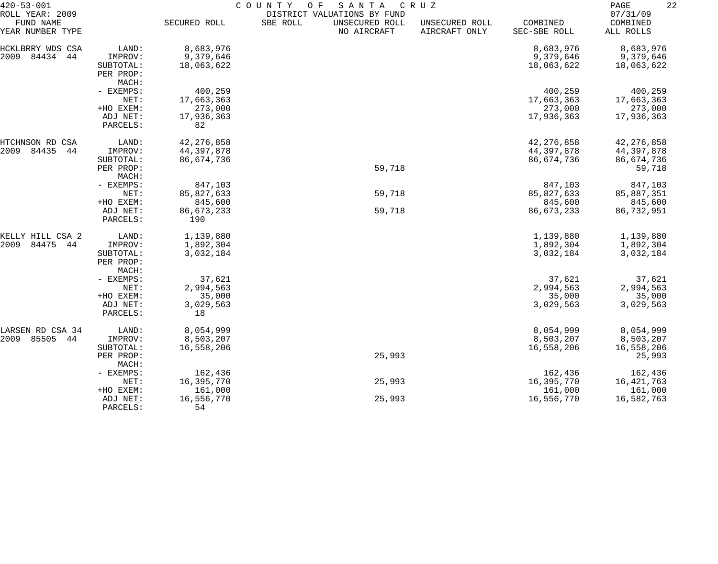| $420 - 53 - 001$              |                                 | COUNTY<br>O F<br>SANTA<br>C R U Z |          |                               |                                 |                          |                       |  |  |
|-------------------------------|---------------------------------|-----------------------------------|----------|-------------------------------|---------------------------------|--------------------------|-----------------------|--|--|
| ROLL YEAR: 2009               |                                 | DISTRICT VALUATIONS BY FUND       |          |                               |                                 |                          |                       |  |  |
| FUND NAME<br>YEAR NUMBER TYPE |                                 | SECURED ROLL                      | SBE ROLL | UNSECURED ROLL<br>NO AIRCRAFT | UNSECURED ROLL<br>AIRCRAFT ONLY | COMBINED<br>SEC-SBE ROLL | COMBINED<br>ALL ROLLS |  |  |
| HCKLBRRY WDS CSA              | LAND:                           | 8,683,976                         |          |                               |                                 | 8,683,976                | 8,683,976             |  |  |
| 84434<br>2009<br>44           | IMPROV:                         | 9,379,646                         |          |                               |                                 | 9,379,646                | 9,379,646             |  |  |
|                               | SUBTOTAL:                       | 18,063,622                        |          |                               |                                 | 18,063,622               | 18,063,622            |  |  |
|                               | PER PROP:                       |                                   |          |                               |                                 |                          |                       |  |  |
|                               | MACH:                           |                                   |          |                               |                                 |                          |                       |  |  |
|                               | - EXEMPS:                       | 400,259                           |          |                               |                                 | 400,259                  | 400,259               |  |  |
|                               | NET:                            | 17,663,363                        |          |                               |                                 | 17,663,363               | 17,663,363            |  |  |
|                               | +HO EXEM:                       | 273,000                           |          |                               |                                 | 273,000                  | 273,000               |  |  |
|                               | ADJ NET:                        | 17,936,363                        |          |                               |                                 | 17,936,363               | 17,936,363            |  |  |
|                               | PARCELS:                        | 82                                |          |                               |                                 |                          |                       |  |  |
| HTCHNSON RD CSA               | LAND:                           | 42, 276, 858                      |          |                               |                                 | 42, 276, 858             | 42, 276, 858          |  |  |
| 2009<br>84435<br>44           | IMPROV:                         | 44, 397, 878                      |          |                               |                                 | 44, 397, 878             | 44,397,878            |  |  |
|                               | SUBTOTAL:                       | 86,674,736                        |          |                               |                                 | 86,674,736               | 86,674,736            |  |  |
|                               | PER PROP:                       |                                   |          | 59,718                        |                                 |                          | 59,718                |  |  |
|                               | MACH:                           |                                   |          |                               |                                 |                          |                       |  |  |
|                               | - EXEMPS:                       | 847,103                           |          |                               |                                 | 847,103                  | 847,103               |  |  |
|                               | NET:                            | 85,827,633                        |          | 59,718                        |                                 | 85,827,633               | 85,887,351            |  |  |
|                               | +HO EXEM:                       | 845,600                           |          |                               |                                 | 845,600                  | 845,600               |  |  |
|                               | ADJ NET:<br>PARCELS:            | 86,673,233<br>190                 |          | 59,718                        |                                 | 86,673,233               | 86,732,951            |  |  |
| KELLY HILL CSA 2              | LAND:                           | 1,139,880                         |          |                               |                                 | 1,139,880                | 1,139,880             |  |  |
| 84475<br>2009<br>44           | IMPROV:                         | 1,892,304                         |          |                               |                                 | 1,892,304                | 1,892,304             |  |  |
|                               | SUBTOTAL:<br>PER PROP:<br>MACH: | 3,032,184                         |          |                               |                                 | 3,032,184                | 3,032,184             |  |  |
|                               | - EXEMPS:                       | 37,621                            |          |                               |                                 | 37,621                   | 37,621                |  |  |
|                               | NET:                            | 2,994,563                         |          |                               |                                 | 2,994,563                | 2,994,563             |  |  |
|                               | +HO EXEM:                       | 35,000                            |          |                               |                                 | 35,000                   | 35,000                |  |  |
|                               | ADJ NET:                        | 3,029,563                         |          |                               |                                 | 3,029,563                | 3,029,563             |  |  |
|                               | PARCELS:                        | 18                                |          |                               |                                 |                          |                       |  |  |
| LARSEN RD CSA 34              | LAND:                           | 8,054,999                         |          |                               |                                 | 8,054,999                | 8,054,999             |  |  |
| 2009<br>85505<br>44           | IMPROV:                         | 8,503,207                         |          |                               |                                 | 8,503,207                | 8,503,207             |  |  |
|                               | SUBTOTAL:                       | 16,558,206                        |          |                               |                                 | 16,558,206               | 16,558,206            |  |  |
|                               | PER PROP:<br>MACH:              |                                   |          | 25,993                        |                                 |                          | 25,993                |  |  |
|                               | - EXEMPS:                       | 162,436                           |          |                               |                                 | 162,436                  | 162,436               |  |  |
|                               | NET:                            | 16,395,770                        |          | 25,993                        |                                 | 16,395,770               | 16, 421, 763          |  |  |
|                               | +HO EXEM:                       | 161,000                           |          |                               |                                 | 161,000                  | 161,000               |  |  |
|                               | ADJ NET:                        | 16,556,770                        |          | 25,993                        |                                 | 16,556,770               | 16,582,763            |  |  |
|                               | PARCELS:                        | 54                                |          |                               |                                 |                          |                       |  |  |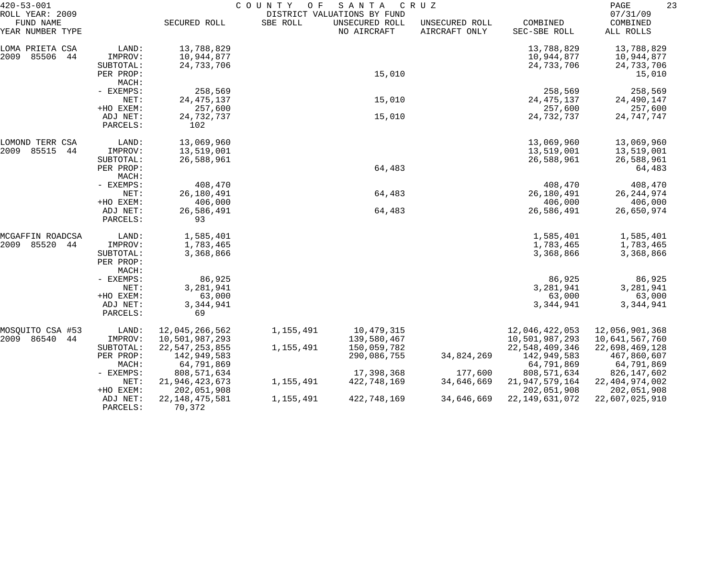| $420 - 53 - 001$                                 |                       | COUNTY<br>SANTA<br>CRUZ<br>O F<br>DISTRICT VALUATIONS BY FUND |           |                               |                                 |                                  |                                   |  |
|--------------------------------------------------|-----------------------|---------------------------------------------------------------|-----------|-------------------------------|---------------------------------|----------------------------------|-----------------------------------|--|
| ROLL YEAR: 2009<br>FUND NAME<br>YEAR NUMBER TYPE |                       | SECURED ROLL                                                  | SBE ROLL  | UNSECURED ROLL<br>NO AIRCRAFT | UNSECURED ROLL<br>AIRCRAFT ONLY | COMBINED<br>SEC-SBE ROLL         | 07/31/09<br>COMBINED<br>ALL ROLLS |  |
| LOMA PRIETA CSA                                  | LAND:                 | 13,788,829                                                    |           |                               |                                 | 13,788,829                       | 13,788,829                        |  |
| 2009<br>85506<br>44                              | IMPROV:               | 10,944,877                                                    |           |                               |                                 | 10,944,877                       | 10,944,877                        |  |
|                                                  | SUBTOTAL:             | 24,733,706                                                    |           |                               |                                 | 24,733,706                       | 24,733,706                        |  |
|                                                  | PER PROP:             |                                                               |           | 15,010                        |                                 |                                  | 15,010                            |  |
|                                                  | MACH:                 |                                                               |           |                               |                                 |                                  |                                   |  |
|                                                  | - EXEMPS:             | 258,569                                                       |           |                               |                                 | 258,569                          | 258,569                           |  |
|                                                  | NET:<br>+HO EXEM:     | 24, 475, 137<br>257,600                                       |           | 15,010                        |                                 | 24, 475, 137<br>257,600          | 24,490,147<br>257,600             |  |
|                                                  | ADJ NET:              | 24,732,737                                                    |           | 15,010                        |                                 | 24,732,737                       | 24, 747, 747                      |  |
|                                                  | PARCELS:              | 102                                                           |           |                               |                                 |                                  |                                   |  |
| LOMOND TERR CSA                                  | LAND:                 | 13,069,960                                                    |           |                               |                                 | 13,069,960                       | 13,069,960                        |  |
| 85515<br>2009<br>44                              | IMPROV:               | 13,519,001                                                    |           |                               |                                 | 13,519,001                       | 13,519,001                        |  |
|                                                  | SUBTOTAL:             | 26,588,961                                                    |           |                               |                                 | 26,588,961                       | 26,588,961                        |  |
|                                                  | PER PROP:             |                                                               |           | 64,483                        |                                 |                                  | 64,483                            |  |
|                                                  | MACH:                 |                                                               |           |                               |                                 |                                  |                                   |  |
|                                                  | - EXEMPS:             | 408,470                                                       |           |                               |                                 | 408,470                          | 408,470                           |  |
|                                                  | NET:                  | 26,180,491                                                    |           | 64,483                        |                                 | 26,180,491                       | 26, 244, 974                      |  |
|                                                  | +HO EXEM:             | 406,000                                                       |           | 64,483                        |                                 | 406,000<br>26,586,491            | 406,000                           |  |
|                                                  | ADJ NET:<br>PARCELS:  | 26,586,491<br>93                                              |           |                               |                                 |                                  | 26,650,974                        |  |
| MCGAFFIN ROADCSA                                 | LAND:                 | 1,585,401                                                     |           |                               |                                 | 1,585,401                        | 1,585,401                         |  |
| 85520<br>2009<br>44                              | IMPROV:               | 1,783,465                                                     |           |                               |                                 | 1,783,465                        | 1,783,465                         |  |
|                                                  | SUBTOTAL:             | 3,368,866                                                     |           |                               |                                 | 3,368,866                        | 3,368,866                         |  |
|                                                  | PER PROP:             |                                                               |           |                               |                                 |                                  |                                   |  |
|                                                  | MACH:                 |                                                               |           |                               |                                 |                                  |                                   |  |
|                                                  | - EXEMPS:             | 86,925                                                        |           |                               |                                 | 86,925                           | 86,925                            |  |
|                                                  | NET:<br>+HO EXEM:     | 3,281,941<br>63,000                                           |           |                               |                                 | 3,281,941<br>63,000              | 3,281,941<br>63,000               |  |
|                                                  | ADJ NET:              | 3, 344, 941                                                   |           |                               |                                 | 3,344,941                        | 3,344,941                         |  |
|                                                  | PARCELS:              | 69                                                            |           |                               |                                 |                                  |                                   |  |
| MOSQUITO CSA #53                                 | LAND:                 | 12,045,266,562                                                | 1,155,491 | 10,479,315                    |                                 | 12,046,422,053                   | 12,056,901,368                    |  |
| 2009 86540<br>44                                 | IMPROV:               | 10,501,987,293                                                |           | 139,580,467                   |                                 | 10,501,987,293                   | 10,641,567,760                    |  |
|                                                  | SUBTOTAL:             | 22, 547, 253, 855                                             | 1,155,491 | 150,059,782                   |                                 | 22,548,409,346                   | 22,698,469,128                    |  |
|                                                  | PER PROP:             | 142,949,583                                                   |           | 290,086,755                   | 34,824,269                      | 142,949,583                      | 467,860,607                       |  |
|                                                  | MACH:                 | 64,791,869                                                    |           |                               |                                 | 64,791,869                       | 64,791,869                        |  |
|                                                  | - EXEMPS:             | 808,571,634                                                   |           | 17,398,368                    | 177,600                         | 808,571,634                      | 826,147,602                       |  |
|                                                  | NET:                  | 21, 946, 423, 673                                             | 1,155,491 | 422,748,169                   | 34,646,669                      | 21,947,579,164                   | 22, 404, 974, 002                 |  |
|                                                  | +HO EXEM:<br>ADJ NET: | 202,051,908<br>22, 148, 475, 581                              | 1,155,491 | 422,748,169                   | 34,646,669                      | 202,051,908<br>22, 149, 631, 072 | 202,051,908<br>22,607,025,910     |  |
|                                                  | PARCELS:              | 70,372                                                        |           |                               |                                 |                                  |                                   |  |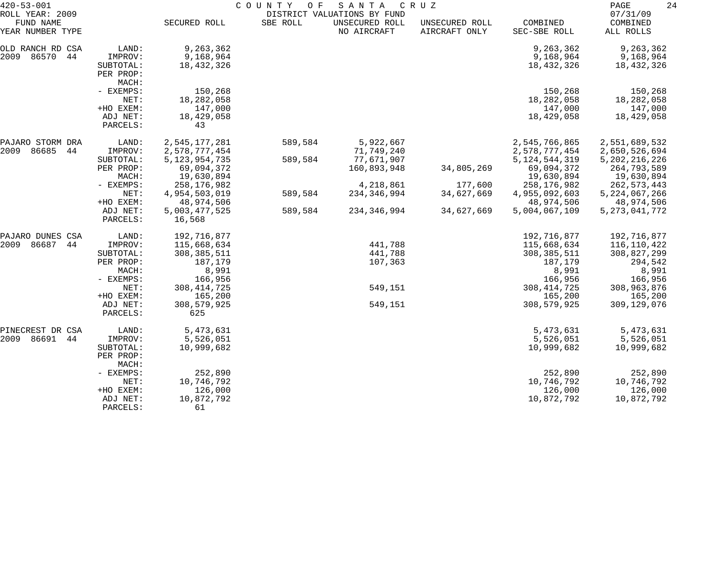| $420 - 53 - 001$                                 |                                                        | COUNTY<br>SANTA<br>CRUZ<br>O F<br>DISTRICT VALUATIONS BY FUND |          |                               |                                 |                                                |                                                 |  |
|--------------------------------------------------|--------------------------------------------------------|---------------------------------------------------------------|----------|-------------------------------|---------------------------------|------------------------------------------------|-------------------------------------------------|--|
| ROLL YEAR: 2009<br>FUND NAME<br>YEAR NUMBER TYPE |                                                        | SECURED ROLL                                                  | SBE ROLL | UNSECURED ROLL<br>NO AIRCRAFT | UNSECURED ROLL<br>AIRCRAFT ONLY | COMBINED<br>SEC-SBE ROLL                       | 07/31/09<br>COMBINED<br>ALL ROLLS               |  |
| OLD RANCH RD CSA<br>2009<br>86570<br>44          | LAND:<br>IMPROV:<br>SUBTOTAL:<br>PER PROP:<br>MACH:    | 9,263,362<br>9,168,964<br>18,432,326                          |          |                               |                                 | 9,263,362<br>9,168,964<br>18,432,326           | 9,263,362<br>9,168,964<br>18,432,326            |  |
|                                                  | - EXEMPS:<br>NET:<br>+HO EXEM:<br>ADJ NET:<br>PARCELS: | 150,268<br>18,282,058<br>147,000<br>18,429,058<br>43          |          |                               |                                 | 150,268<br>18,282,058<br>147,000<br>18,429,058 | 150,268<br>18,282,058<br>147,000<br>18,429,058  |  |
| PAJARO STORM DRA<br>2009<br>86685<br>44          | LAND:<br>IMPROV:                                       | 2,545,177,281<br>2,578,777,454                                | 589,584  | 5,922,667<br>71,749,240       |                                 | 2,545,766,865<br>2,578,777,454                 | 2,551,689,532<br>2,650,526,694                  |  |
|                                                  | SUBTOTAL:<br>PER PROP:<br>MACH:                        | 5, 123, 954, 735<br>69,094,372<br>19,630,894                  | 589,584  | 77,671,907<br>160,893,948     | 34,805,269                      | 5, 124, 544, 319<br>69,094,372<br>19,630,894   | 5, 202, 216, 226<br>264,793,589<br>19,630,894   |  |
|                                                  | - EXEMPS:<br>NET:<br>+HO EXEM:                         | 258,176,982<br>4,954,503,019<br>48,974,506                    | 589,584  | 4,218,861<br>234, 346, 994    | 177,600<br>34,627,669           | 258, 176, 982<br>4,955,092,603<br>48,974,506   | 262, 573, 443<br>5, 224, 067, 266<br>48,974,506 |  |
|                                                  | ADJ NET:<br>PARCELS:                                   | 5,003,477,525<br>16,568                                       | 589,584  | 234,346,994                   | 34,627,669                      | 5,004,067,109                                  | 5, 273, 041, 772                                |  |
| PAJARO DUNES CSA                                 | LAND:                                                  | 192,716,877                                                   |          |                               |                                 | 192,716,877                                    | 192,716,877                                     |  |
| 86687<br>2009<br>44                              | IMPROV:<br>SUBTOTAL:                                   | 115,668,634<br>308, 385, 511                                  |          | 441,788<br>441,788            |                                 | 115,668,634<br>308, 385, 511                   | 116,110,422<br>308,827,299                      |  |
|                                                  | PER PROP:<br>MACH:<br>- EXEMPS:                        | 187,179<br>8,991<br>166,956                                   |          | 107,363                       |                                 | 187,179<br>8,991<br>166,956                    | 294,542<br>8,991<br>166,956                     |  |
|                                                  | NET:<br>+HO EXEM:                                      | 308, 414, 725<br>165,200                                      |          | 549,151                       |                                 | 308, 414, 725<br>165,200                       | 308,963,876<br>165,200                          |  |
|                                                  | ADJ NET:<br>PARCELS:                                   | 308,579,925<br>625                                            |          | 549,151                       |                                 | 308,579,925                                    | 309,129,076                                     |  |
| PINECREST DR CSA<br>86691<br>44<br>2009          | LAND:<br>IMPROV:<br>SUBTOTAL:                          | 5,473,631<br>5,526,051<br>10,999,682                          |          |                               |                                 | 5,473,631<br>5,526,051<br>10,999,682           | 5,473,631<br>5,526,051<br>10,999,682            |  |
|                                                  | PER PROP:<br>MACH:                                     |                                                               |          |                               |                                 |                                                |                                                 |  |
|                                                  | - EXEMPS:<br>NET:                                      | 252,890<br>10,746,792                                         |          |                               |                                 | 252,890<br>10,746,792                          | 252,890<br>10,746,792                           |  |
|                                                  | +HO EXEM:<br>ADJ NET:<br>PARCELS:                      | 126,000<br>10,872,792<br>61                                   |          |                               |                                 | 126,000<br>10,872,792                          | 126,000<br>10,872,792                           |  |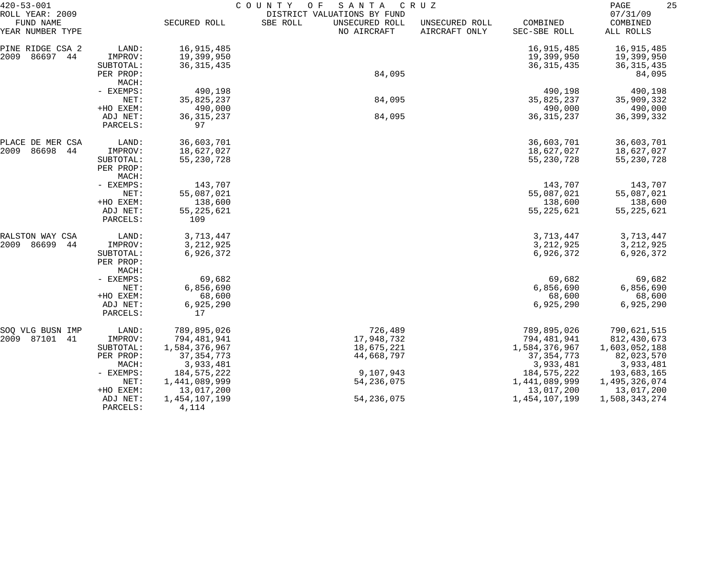| $420 - 53 - 001$                                 |                                 | COUNTY<br>SANTA<br>O F<br>C R U Z        |                                                                          |                                 |                                          |                                          |  |
|--------------------------------------------------|---------------------------------|------------------------------------------|--------------------------------------------------------------------------|---------------------------------|------------------------------------------|------------------------------------------|--|
| ROLL YEAR: 2009<br>FUND NAME<br>YEAR NUMBER TYPE |                                 | SECURED ROLL                             | DISTRICT VALUATIONS BY FUND<br>SBE ROLL<br>UNSECURED ROLL<br>NO AIRCRAFT | UNSECURED ROLL<br>AIRCRAFT ONLY | COMBINED<br>SEC-SBE ROLL                 | 07/31/09<br>COMBINED<br>ALL ROLLS        |  |
| PINE RIDGE CSA 2<br>2009<br>86697 44             | LAND:<br>IMPROV:<br>SUBTOTAL:   | 16,915,485<br>19,399,950<br>36, 315, 435 |                                                                          |                                 | 16,915,485<br>19,399,950<br>36, 315, 435 | 16,915,485<br>19,399,950<br>36, 315, 435 |  |
|                                                  | PER PROP:<br>MACH:              |                                          | 84,095                                                                   |                                 |                                          | 84,095                                   |  |
|                                                  | - EXEMPS:                       | 490,198                                  |                                                                          |                                 | 490,198                                  | 490,198                                  |  |
|                                                  | NET:                            | 35,825,237                               | 84,095                                                                   |                                 | 35,825,237                               | 35,909,332                               |  |
|                                                  | +HO EXEM:                       | 490,000                                  |                                                                          |                                 | 490,000                                  | 490,000                                  |  |
|                                                  | ADJ NET:<br>PARCELS:            | 36, 315, 237<br>97                       | 84,095                                                                   |                                 | 36, 315, 237                             | 36, 399, 332                             |  |
| PLACE DE MER CSA                                 | LAND:                           | 36,603,701                               |                                                                          |                                 | 36,603,701                               | 36,603,701                               |  |
| 2009<br>86698<br>44                              | IMPROV:                         | 18,627,027                               |                                                                          |                                 | 18,627,027                               | 18,627,027                               |  |
|                                                  | SUBTOTAL:<br>PER PROP:<br>MACH: | 55, 230, 728                             |                                                                          |                                 | 55,230,728                               | 55, 230, 728                             |  |
|                                                  | - EXEMPS:                       | 143,707                                  |                                                                          |                                 | 143,707                                  | 143,707                                  |  |
|                                                  | NET:                            | 55,087,021                               |                                                                          |                                 | 55,087,021                               | 55,087,021                               |  |
|                                                  | +HO EXEM:                       | 138,600                                  |                                                                          |                                 | 138,600                                  | 138,600                                  |  |
|                                                  | ADJ NET:<br>PARCELS:            | 55, 225, 621<br>109                      |                                                                          |                                 | 55, 225, 621                             | 55, 225, 621                             |  |
| RALSTON WAY CSA                                  | LAND:                           | 3,713,447                                |                                                                          |                                 | 3,713,447                                | 3,713,447                                |  |
| 2009<br>86699<br>44                              | IMPROV:                         | 3, 212, 925                              |                                                                          |                                 | 3, 212, 925                              | 3, 212, 925                              |  |
|                                                  | SUBTOTAL:<br>PER PROP:<br>MACH: | 6,926,372                                |                                                                          |                                 | 6,926,372                                | 6,926,372                                |  |
|                                                  | - EXEMPS:                       | 69,682                                   |                                                                          |                                 | 69,682                                   | 69,682                                   |  |
|                                                  | NET:                            | 6,856,690                                |                                                                          |                                 | 6,856,690                                | 6,856,690                                |  |
|                                                  | +HO EXEM:                       | 68,600                                   |                                                                          |                                 | 68,600                                   | 68,600                                   |  |
|                                                  | ADJ NET:<br>PARCELS:            | 6,925,290<br>17                          |                                                                          |                                 | 6,925,290                                | 6,925,290                                |  |
| SOQ VLG BUSN IMP                                 | LAND:                           | 789,895,026                              | 726,489                                                                  |                                 | 789,895,026                              | 790,621,515                              |  |
| 2009<br>87101<br>41                              | IMPROV:                         | 794,481,941                              | 17,948,732                                                               |                                 | 794,481,941                              | 812,430,673                              |  |
|                                                  | SUBTOTAL:                       | 1,584,376,967                            | 18,675,221                                                               |                                 | 1,584,376,967                            | 1,603,052,188                            |  |
|                                                  | PER PROP:                       | 37, 354, 773                             | 44,668,797                                                               |                                 | 37, 354, 773                             | 82,023,570                               |  |
|                                                  | MACH:                           | 3,933,481<br>184, 575, 222               | 9,107,943                                                                |                                 | 3,933,481                                | 3,933,481                                |  |
|                                                  | $-$ EXEMPS:<br>NET:             | 1,441,089,999                            | 54, 236, 075                                                             |                                 | 184,575,222<br>1,441,089,999             | 193,683,165<br>1,495,326,074             |  |
|                                                  | +HO EXEM:                       | 13,017,200                               |                                                                          |                                 | 13,017,200                               | 13,017,200                               |  |
|                                                  | ADJ NET:<br>PARCELS:            | 1,454,107,199<br>4,114                   | 54, 236, 075                                                             |                                 | 1,454,107,199                            | 1,508,343,274                            |  |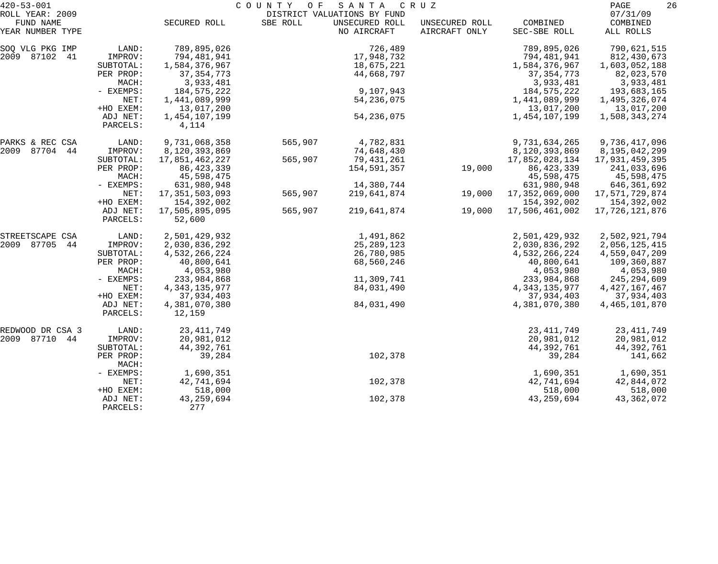| $420 - 53 - 001$             |                      | COUNTY<br>O F<br>SANTA<br>C R U Z |          |                                               |                |                  |                      |
|------------------------------|----------------------|-----------------------------------|----------|-----------------------------------------------|----------------|------------------|----------------------|
| ROLL YEAR: 2009<br>FUND NAME |                      | SECURED ROLL                      | SBE ROLL | DISTRICT VALUATIONS BY FUND<br>UNSECURED ROLL | UNSECURED ROLL | COMBINED         | 07/31/09<br>COMBINED |
| YEAR NUMBER TYPE             |                      |                                   |          | NO AIRCRAFT                                   | AIRCRAFT ONLY  | SEC-SBE ROLL     | ALL ROLLS            |
| SOQ VLG PKG IMP              | LAND:                | 789,895,026                       |          | 726,489                                       |                | 789,895,026      | 790,621,515          |
| 2009 87102 41                | IMPROV:              | 794,481,941                       |          | 17,948,732                                    |                | 794,481,941      | 812,430,673          |
|                              | SUBTOTAL:            | 1,584,376,967                     |          | 18,675,221                                    |                | 1,584,376,967    | 1,603,052,188        |
|                              | PER PROP:            | 37, 354, 773                      |          | 44,668,797                                    |                | 37, 354, 773     | 82,023,570           |
|                              | MACH:                | 3,933,481                         |          |                                               |                | 3,933,481        | 3,933,481            |
|                              | - EXEMPS:            | 184,575,222                       |          | 9,107,943                                     |                | 184,575,222      | 193,683,165          |
|                              | NET:                 | 1,441,089,999                     |          | 54, 236, 075                                  |                | 1,441,089,999    | 1,495,326,074        |
|                              | +HO EXEM:            | 13,017,200                        |          |                                               |                | 13,017,200       | 13,017,200           |
|                              | ADJ NET:<br>PARCELS: | 1,454,107,199<br>4,114            |          | 54, 236, 075                                  |                | 1,454,107,199    | 1,508,343,274        |
| PARKS & REC CSA              | LAND:                | 9,731,068,358                     | 565,907  | 4,782,831                                     |                | 9,731,634,265    | 9,736,417,096        |
| 2009 87704 44                | IMPROV:              | 8,120,393,869                     |          | 74,648,430                                    |                | 8,120,393,869    | 8,195,042,299        |
|                              | SUBTOTAL:            | 17,851,462,227                    | 565,907  | 79,431,261                                    |                | 17,852,028,134   | 17,931,459,395       |
|                              | PER PROP:            | 86, 423, 339                      |          | 154,591,357                                   | 19,000         | 86, 423, 339     | 241,033,696          |
|                              | MACH:                | 45,598,475                        |          |                                               |                | 45,598,475       | 45,598,475           |
|                              | - EXEMPS:            | 631,980,948                       |          | 14,380,744                                    |                | 631,980,948      | 646,361,692          |
|                              | NET:                 | 17,351,503,093                    | 565,907  | 219,641,874                                   | 19,000         | 17,352,069,000   | 17,571,729,874       |
|                              | +HO EXEM:            | 154,392,002                       |          |                                               |                | 154,392,002      | 154,392,002          |
|                              | ADJ NET:<br>PARCELS: | 17,505,895,095<br>52,600          | 565,907  | 219,641,874                                   | 19,000         | 17,506,461,002   | 17,726,121,876       |
| STREETSCAPE CSA              | LAND:                | 2,501,429,932                     |          | 1,491,862                                     |                | 2,501,429,932    | 2,502,921,794        |
| 2009 87705<br>44             | IMPROV:              | 2,030,836,292                     |          | 25, 289, 123                                  |                | 2,030,836,292    | 2,056,125,415        |
|                              | SUBTOTAL:            | 4,532,266,224                     |          | 26,780,985                                    |                | 4,532,266,224    | 4,559,047,209        |
|                              | PER PROP:            | 40,800,641                        |          | 68,560,246                                    |                | 40,800,641       | 109,360,887          |
|                              | MACH:                | 4,053,980                         |          |                                               |                | 4,053,980        | 4,053,980            |
|                              | - EXEMPS:            | 233,984,868                       |          | 11,309,741                                    |                | 233,984,868      | 245, 294, 609        |
|                              | NET:                 | 4, 343, 135, 977                  |          | 84,031,490                                    |                | 4, 343, 135, 977 | 4, 427, 167, 467     |
|                              | +HO EXEM:            | 37,934,403                        |          |                                               |                | 37,934,403       | 37,934,403           |
|                              | ADJ NET:<br>PARCELS: | 4,381,070,380<br>12,159           |          | 84,031,490                                    |                | 4,381,070,380    | 4,465,101,870        |
| REDWOOD DR CSA 3             | LAND:                | 23, 411, 749                      |          |                                               |                | 23, 411, 749     | 23, 411, 749         |
| 2009 87710 44                | IMPROV:              | 20,981,012                        |          |                                               |                | 20,981,012       | 20,981,012           |
|                              | SUBTOTAL:            | 44, 392, 761                      |          |                                               |                | 44, 392, 761     | 44,392,761           |
|                              | PER PROP:<br>MACH:   | 39,284                            |          | 102,378                                       |                | 39,284           | 141,662              |
|                              | - EXEMPS:            | 1,690,351                         |          |                                               |                | 1,690,351        | 1,690,351            |
|                              | NET:                 | 42,741,694                        |          | 102,378                                       |                | 42,741,694       | 42,844,072           |
|                              | +HO EXEM:            | 518,000                           |          |                                               |                | 518,000          | 518,000              |
|                              | ADJ NET:<br>PARCELS: | 43, 259, 694<br>277               |          | 102,378                                       |                | 43, 259, 694     | 43, 362, 072         |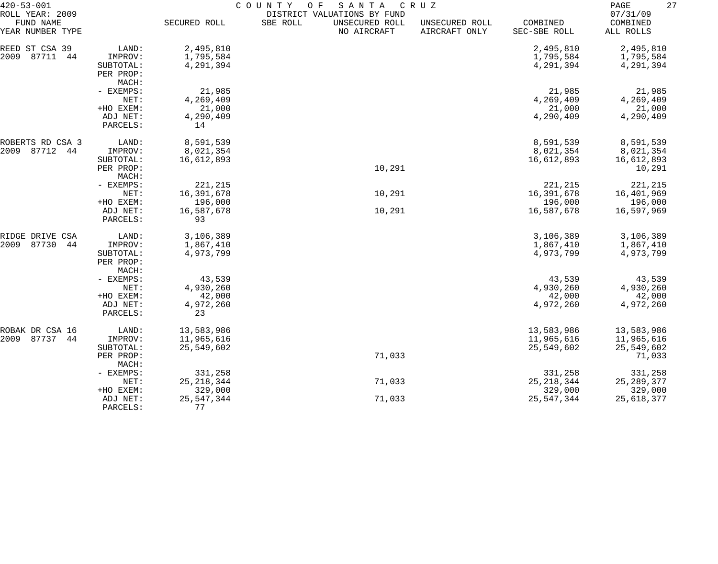| $420 - 53 - 001$                                 |                       | COUNTY<br>O F<br>SANTA<br>C R U Z |                                                                          |                                 |                          |                                   |  |  |
|--------------------------------------------------|-----------------------|-----------------------------------|--------------------------------------------------------------------------|---------------------------------|--------------------------|-----------------------------------|--|--|
| ROLL YEAR: 2009<br>FUND NAME<br>YEAR NUMBER TYPE |                       | SECURED ROLL                      | DISTRICT VALUATIONS BY FUND<br>SBE ROLL<br>UNSECURED ROLL<br>NO AIRCRAFT | UNSECURED ROLL<br>AIRCRAFT ONLY | COMBINED<br>SEC-SBE ROLL | 07/31/09<br>COMBINED<br>ALL ROLLS |  |  |
| REED ST CSA 39                                   | LAND:                 | 2,495,810                         |                                                                          |                                 | 2,495,810                | 2,495,810                         |  |  |
| 87711<br>2009<br>44                              | IMPROV:               | 1,795,584                         |                                                                          |                                 | 1,795,584                | 1,795,584                         |  |  |
|                                                  | SUBTOTAL:             | 4,291,394                         |                                                                          |                                 | 4,291,394                | 4,291,394                         |  |  |
|                                                  | PER PROP:             |                                   |                                                                          |                                 |                          |                                   |  |  |
|                                                  | MACH:                 |                                   |                                                                          |                                 |                          |                                   |  |  |
|                                                  | - EXEMPS:             | 21,985                            |                                                                          |                                 | 21,985                   | 21,985                            |  |  |
|                                                  | NET:                  | 4,269,409                         |                                                                          |                                 | 4,269,409                | 4,269,409                         |  |  |
|                                                  | +HO EXEM:             | 21,000                            |                                                                          |                                 | 21,000                   | 21,000                            |  |  |
|                                                  | ADJ NET:              | 4,290,409                         |                                                                          |                                 | 4,290,409                | 4,290,409                         |  |  |
|                                                  | PARCELS:              | 14                                |                                                                          |                                 |                          |                                   |  |  |
| ROBERTS RD CSA 3                                 | LAND:                 | 8,591,539                         |                                                                          |                                 | 8,591,539                | 8,591,539                         |  |  |
| 87712<br>2009<br>44                              | IMPROV:               | 8,021,354                         |                                                                          |                                 | 8,021,354                | 8,021,354                         |  |  |
|                                                  | SUBTOTAL:             | 16,612,893                        |                                                                          |                                 | 16,612,893               | 16,612,893                        |  |  |
|                                                  | PER PROP:             |                                   | 10,291                                                                   |                                 |                          | 10,291                            |  |  |
|                                                  | MACH:                 |                                   |                                                                          |                                 |                          |                                   |  |  |
|                                                  | - EXEMPS:             | 221,215                           |                                                                          |                                 | 221,215                  | 221,215                           |  |  |
|                                                  | NET:                  | 16,391,678                        | 10,291                                                                   |                                 | 16,391,678               | 16,401,969                        |  |  |
|                                                  | +HO EXEM:<br>ADJ NET: | 196,000<br>16,587,678             | 10,291                                                                   |                                 | 196,000<br>16,587,678    | 196,000<br>16,597,969             |  |  |
|                                                  | PARCELS:              | 93                                |                                                                          |                                 |                          |                                   |  |  |
| RIDGE DRIVE CSA                                  | LAND:                 | 3,106,389                         |                                                                          |                                 | 3,106,389                | 3,106,389                         |  |  |
| 2009<br>87730<br>44                              | IMPROV:               | 1,867,410                         |                                                                          |                                 | 1,867,410                | 1,867,410                         |  |  |
|                                                  | SUBTOTAL:             | 4,973,799                         |                                                                          |                                 | 4,973,799                | 4,973,799                         |  |  |
|                                                  | PER PROP:             |                                   |                                                                          |                                 |                          |                                   |  |  |
|                                                  | MACH:                 |                                   |                                                                          |                                 |                          |                                   |  |  |
|                                                  | - EXEMPS:             | 43,539                            |                                                                          |                                 | 43,539                   | 43,539                            |  |  |
|                                                  | NET:                  | 4,930,260                         |                                                                          |                                 | 4,930,260                | 4,930,260                         |  |  |
|                                                  | +HO EXEM:             | 42,000                            |                                                                          |                                 | 42,000                   | 42,000                            |  |  |
|                                                  | ADJ NET:              | 4,972,260                         |                                                                          |                                 | 4,972,260                | 4,972,260                         |  |  |
|                                                  | PARCELS:              | 23                                |                                                                          |                                 |                          |                                   |  |  |
| ROBAK DR CSA 16                                  | LAND:                 | 13,583,986                        |                                                                          |                                 | 13,583,986               | 13,583,986                        |  |  |
| 87737<br>2009<br>44                              | IMPROV:               | 11,965,616                        |                                                                          |                                 | 11,965,616               | 11,965,616                        |  |  |
|                                                  | SUBTOTAL:             | 25,549,602                        |                                                                          |                                 | 25,549,602               | 25,549,602                        |  |  |
|                                                  | PER PROP:<br>MACH:    |                                   | 71,033                                                                   |                                 |                          | 71,033                            |  |  |
|                                                  | - EXEMPS:             | 331,258                           |                                                                          |                                 | 331,258                  | 331,258                           |  |  |
|                                                  | NET:                  | 25, 218, 344                      | 71,033                                                                   |                                 | 25, 218, 344             | 25, 289, 377                      |  |  |
|                                                  | +HO EXEM:             | 329,000                           |                                                                          |                                 | 329,000                  | 329,000                           |  |  |
|                                                  | ADJ NET:              | 25, 547, 344                      | 71,033                                                                   |                                 | 25,547,344               | 25,618,377                        |  |  |
|                                                  | PARCELS:              | 77                                |                                                                          |                                 |                          |                                   |  |  |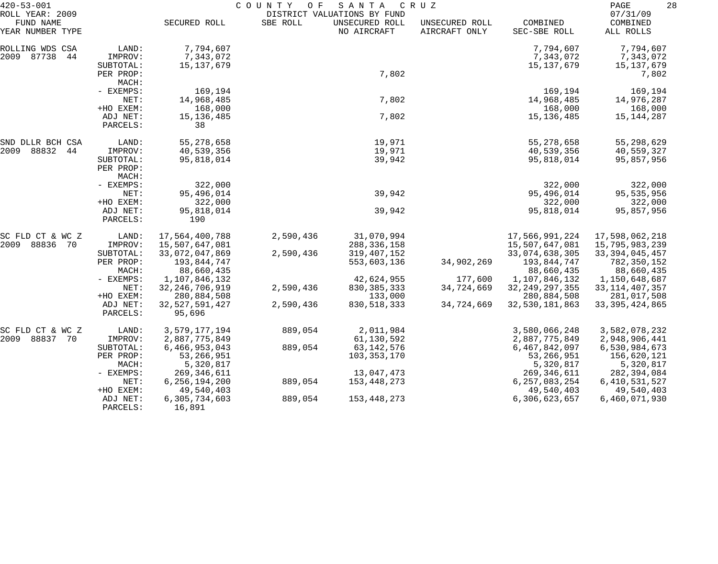| $420 - 53 - 001$             |                       | COUNTY<br>O F<br>SANTA<br>C R U Z |           |                                               |                |                           | 28<br>PAGE                  |  |
|------------------------------|-----------------------|-----------------------------------|-----------|-----------------------------------------------|----------------|---------------------------|-----------------------------|--|
| ROLL YEAR: 2009<br>FUND NAME |                       | SECURED ROLL                      | SBE ROLL  | DISTRICT VALUATIONS BY FUND<br>UNSECURED ROLL | UNSECURED ROLL | COMBINED                  | 07/31/09<br>COMBINED        |  |
| YEAR NUMBER TYPE             |                       |                                   |           | NO AIRCRAFT                                   | AIRCRAFT ONLY  | SEC-SBE ROLL              | ALL ROLLS                   |  |
| ROLLING WDS CSA              | LAND:                 | 7,794,607                         |           |                                               |                | 7,794,607                 | 7,794,607                   |  |
| 2009 87738<br>44             | IMPROV:               | 7,343,072                         |           |                                               |                | 7,343,072                 | 7,343,072                   |  |
|                              | SUBTOTAL:             | 15,137,679                        |           |                                               |                | 15,137,679                | 15,137,679                  |  |
|                              | PER PROP:             |                                   |           | 7,802                                         |                |                           | 7,802                       |  |
|                              | MACH:                 |                                   |           |                                               |                |                           |                             |  |
|                              | - EXEMPS:             | 169,194                           |           |                                               |                | 169,194                   | 169,194                     |  |
|                              | NET:                  | 14,968,485                        |           | 7,802                                         |                | 14,968,485                | 14,976,287                  |  |
|                              | +HO EXEM:             | 168,000                           |           |                                               |                | 168,000                   | 168,000                     |  |
|                              | ADJ NET:              | 15, 136, 485                      |           | 7,802                                         |                | 15,136,485                | 15,144,287                  |  |
|                              | PARCELS:              | 38                                |           |                                               |                |                           |                             |  |
| SND DLLR BCH CSA             | LAND:                 | 55, 278, 658                      |           | 19,971                                        |                | 55,278,658                | 55,298,629                  |  |
| 2009<br>88832<br>44          | IMPROV:               | 40,539,356                        |           | 19,971                                        |                | 40,539,356                | 40,559,327                  |  |
|                              | SUBTOTAL:             | 95,818,014                        |           | 39,942                                        |                | 95,818,014                | 95,857,956                  |  |
|                              | PER PROP:             |                                   |           |                                               |                |                           |                             |  |
|                              | MACH:                 |                                   |           |                                               |                |                           |                             |  |
|                              | - EXEMPS:             | 322,000                           |           |                                               |                | 322,000                   | 322,000                     |  |
|                              | NET:                  | 95,496,014                        |           | 39,942                                        |                | 95,496,014                | 95, 535, 956                |  |
|                              | +HO EXEM:<br>ADJ NET: | 322,000                           |           | 39,942                                        |                | 322,000<br>95,818,014     | 322,000                     |  |
|                              | PARCELS:              | 95,818,014<br>190                 |           |                                               |                |                           | 95,857,956                  |  |
|                              |                       |                                   |           |                                               |                |                           |                             |  |
| SC FLD CT & WC Z             | LAND:                 | 17,564,400,788                    | 2,590,436 | 31,070,994                                    |                | 17,566,991,224            | 17,598,062,218              |  |
| 2009 88836 70                | IMPROV:               | 15,507,647,081                    |           | 288, 336, 158                                 |                | 15,507,647,081            | 15,795,983,239              |  |
|                              | SUBTOTAL:             | 33,072,047,869                    | 2,590,436 | 319, 407, 152                                 |                | 33,074,638,305            | 33, 394, 045, 457           |  |
|                              | PER PROP:<br>MACH:    | 193,844,747                       |           | 553,603,136                                   | 34,902,269     | 193,844,747<br>88,660,435 | 782,350,152                 |  |
|                              | - EXEMPS:             | 88,660,435<br>1,107,846,132       |           | 42,624,955                                    | 177,600        | 1,107,846,132             | 88,660,435<br>1,150,648,687 |  |
|                              | NET:                  | 32, 246, 706, 919                 | 2,590,436 | 830, 385, 333                                 | 34,724,669     | 32, 249, 297, 355         | 33, 114, 407, 357           |  |
|                              | +HO EXEM:             | 280,884,508                       |           | 133,000                                       |                | 280,884,508               | 281,017,508                 |  |
|                              | ADJ NET:              | 32, 527, 591, 427                 | 2,590,436 | 830, 518, 333                                 | 34,724,669     | 32,530,181,863            | 33, 395, 424, 865           |  |
|                              | PARCELS:              | 95,696                            |           |                                               |                |                           |                             |  |
| SC FLD CT & WC Z             | LAND:                 | 3,579,177,194                     | 889,054   | 2,011,984                                     |                | 3,580,066,248             | 3,582,078,232               |  |
| 2009 88837<br>70             | IMPROV:               | 2,887,775,849                     |           | 61,130,592                                    |                | 2,887,775,849             | 2,948,906,441               |  |
|                              | SUBTOTAL:             | 6,466,953,043                     | 889,054   | 63, 142, 576                                  |                | 6,467,842,097             | 6,530,984,673               |  |
|                              | PER PROP:             | 53, 266, 951                      |           | 103,353,170                                   |                | 53,266,951                | 156,620,121                 |  |
|                              | MACH:                 | 5,320,817                         |           |                                               |                | 5,320,817                 | 5,320,817                   |  |
|                              | - EXEMPS:             | 269, 346, 611                     |           | 13,047,473                                    |                | 269, 346, 611             | 282,394,084                 |  |
|                              | NET:                  | 6, 256, 194, 200                  | 889,054   | 153,448,273                                   |                | 6, 257, 083, 254          | 6, 410, 531, 527            |  |
|                              | +HO EXEM:             | 49,540,403                        |           |                                               |                | 49,540,403                | 49,540,403                  |  |
|                              | ADJ NET:<br>PARCELS:  | 6,305,734,603<br>16,891           | 889,054   | 153, 448, 273                                 |                | 6,306,623,657             | 6,460,071,930               |  |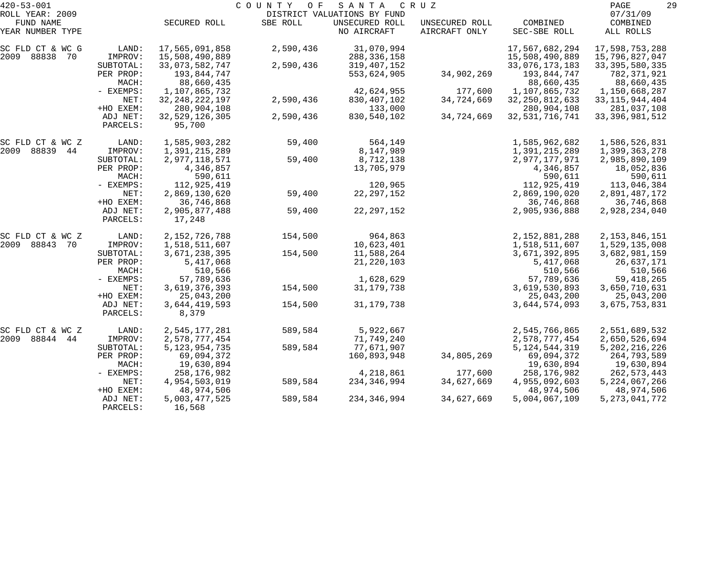| $420 - 53 - 001$             |                       |                                  | COUNTY<br>O F | SANTA                                         | C R U Z                         |                                  | 29<br>PAGE                       |
|------------------------------|-----------------------|----------------------------------|---------------|-----------------------------------------------|---------------------------------|----------------------------------|----------------------------------|
| ROLL YEAR: 2009<br>FUND NAME |                       |                                  |               | DISTRICT VALUATIONS BY FUND<br>UNSECURED ROLL |                                 | COMBINED                         | 07/31/09                         |
| YEAR NUMBER TYPE             |                       | SECURED ROLL                     | SBE ROLL      | NO AIRCRAFT                                   | UNSECURED ROLL<br>AIRCRAFT ONLY | SEC-SBE ROLL                     | COMBINED<br>ALL ROLLS            |
| SC FLD CT & WC G             | LAND:                 | 17,565,091,858                   | 2,590,436     | 31,070,994                                    |                                 | 17,567,682,294                   | 17,598,753,288                   |
| 2009 88838 70                | IMPROV:               | 15,508,490,889                   |               | 288, 336, 158                                 |                                 | 15,508,490,889                   | 15,796,827,047                   |
|                              | SUBTOTAL:             | 33,073,582,747                   | 2,590,436     | 319,407,152                                   |                                 | 33,076,173,183                   | 33, 395, 580, 335                |
|                              | PER PROP:             | 193,844,747                      |               | 553,624,905                                   | 34,902,269                      | 193,844,747                      | 782,371,921                      |
|                              | MACH:                 | 88,660,435                       |               |                                               |                                 | 88,660,435                       | 88,660,435                       |
|                              | - EXEMPS:             | 1,107,865,732                    |               | 42,624,955                                    | 177,600                         | 1,107,865,732                    | 1,150,668,287                    |
|                              | NET:                  | 32, 248, 222, 197                | 2,590,436     | 830, 407, 102                                 | 34,724,669                      | 32, 250, 812, 633                | 33, 115, 944, 404                |
|                              | +HO EXEM:<br>ADJ NET: | 280,904,108<br>32, 529, 126, 305 | 2,590,436     | 133,000<br>830,540,102                        | 34,724,669                      | 280,904,108<br>32, 531, 716, 741 | 281,037,108<br>33, 396, 981, 512 |
|                              | PARCELS:              | 95,700                           |               |                                               |                                 |                                  |                                  |
| SC FLD CT & WC Z             | LAND:                 | 1,585,903,282                    | 59,400        | 564,149                                       |                                 | 1,585,962,682                    | 1,586,526,831                    |
| 2009 88839 44                | IMPROV:               | 1,391,215,289                    |               | 8,147,989                                     |                                 | 1,391,215,289                    | 1,399,363,278                    |
|                              | SUBTOTAL:             | 2,977,118,571                    | 59,400        | 8,712,138                                     |                                 | 2,977,177,971                    | 2,985,890,109                    |
|                              | PER PROP:             | 4,346,857                        |               | 13,705,979                                    |                                 | 4,346,857                        | 18,052,836                       |
|                              | MACH:                 | 590,611                          |               |                                               |                                 | 590,611                          | 590,611                          |
|                              | - EXEMPS:             | 112,925,419                      |               | 120,965                                       |                                 | 112,925,419                      | 113,046,384                      |
|                              | NET:                  | 2,869,130,620                    | 59,400        | 22, 297, 152                                  |                                 | 2,869,190,020                    | 2,891,487,172                    |
|                              | +HO EXEM:             | 36,746,868                       |               |                                               |                                 | 36,746,868                       | 36,746,868                       |
|                              | ADJ NET:<br>PARCELS:  | 2,905,877,488<br>17,248          | 59,400        | 22, 297, 152                                  |                                 | 2,905,936,888                    | 2,928,234,040                    |
| SC FLD CT & WC Z             | LAND:                 | 2, 152, 726, 788                 | 154,500       | 964,863                                       |                                 | 2,152,881,288                    | 2, 153, 846, 151                 |
| 2009 88843 70                | IMPROV:               | 1,518,511,607                    |               | 10,623,401                                    |                                 | 1,518,511,607                    | 1,529,135,008                    |
|                              | SUBTOTAL:             | 3,671,238,395                    | 154,500       | 11,588,264                                    |                                 | 3,671,392,895                    | 3,682,981,159                    |
|                              | PER PROP:             | 5,417,068                        |               | 21, 220, 103                                  |                                 | 5,417,068                        | 26,637,171                       |
|                              | MACH:                 | 510,566                          |               |                                               |                                 | 510,566                          | 510,566                          |
|                              | - EXEMPS:             | 57,789,636                       |               | 1,628,629                                     |                                 | 57,789,636                       | 59, 418, 265                     |
|                              | NET:                  | 3,619,376,393                    | 154,500       | 31, 179, 738                                  |                                 | 3,619,530,893                    | 3,650,710,631                    |
|                              | +HO EXEM:             | 25,043,200                       |               |                                               |                                 | 25,043,200                       | 25,043,200                       |
|                              | ADJ NET:<br>PARCELS:  | 3,644,419,593<br>8,379           | 154,500       | 31, 179, 738                                  |                                 | 3,644,574,093                    | 3,675,753,831                    |
| SC FLD CT & WC Z             | LAND:                 | 2,545,177,281                    | 589,584       | 5,922,667                                     |                                 | 2,545,766,865                    | 2,551,689,532                    |
| 2009<br>88844<br>44          | IMPROV:               | 2,578,777,454                    |               | 71,749,240                                    |                                 | 2,578,777,454                    | 2,650,526,694                    |
|                              | SUBTOTAL:             | 5, 123, 954, 735                 | 589,584       | 77,671,907                                    |                                 | 5, 124, 544, 319                 | 5, 202, 216, 226                 |
|                              | PER PROP:             | 69,094,372                       |               | 160,893,948                                   | 34,805,269                      | 69,094,372                       | 264,793,589                      |
|                              | MACH:                 | 19,630,894                       |               |                                               |                                 | 19,630,894                       | 19,630,894                       |
|                              | $-$ EXEMPS:           | 258,176,982                      |               | 4,218,861                                     | 177,600                         | 258, 176, 982                    | 262, 573, 443                    |
|                              | NET:                  | 4,954,503,019                    | 589,584       | 234, 346, 994                                 | 34,627,669                      | 4,955,092,603                    | 5, 224, 067, 266                 |
|                              | +HO EXEM:             | 48,974,506                       |               |                                               |                                 | 48,974,506                       | 48,974,506                       |
|                              | ADJ NET:<br>PARCELS:  | 5,003,477,525<br>16,568          | 589,584       | 234, 346, 994                                 | 34,627,669                      | 5,004,067,109                    | 5, 273, 041, 772                 |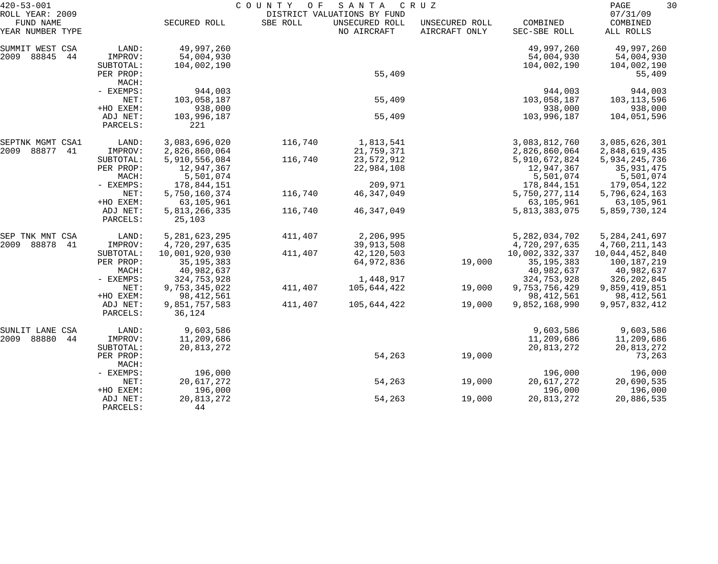| $420 - 53 - 001$                                 |           | COUNTY<br>O F<br>SANTA<br>C R U Z<br>DISTRICT VALUATIONS BY FUND |          |                               |                                 |                          |                                   |
|--------------------------------------------------|-----------|------------------------------------------------------------------|----------|-------------------------------|---------------------------------|--------------------------|-----------------------------------|
| ROLL YEAR: 2009<br>FUND NAME<br>YEAR NUMBER TYPE |           | SECURED ROLL                                                     | SBE ROLL | UNSECURED ROLL<br>NO AIRCRAFT | UNSECURED ROLL<br>AIRCRAFT ONLY | COMBINED<br>SEC-SBE ROLL | 07/31/09<br>COMBINED<br>ALL ROLLS |
| SUMMIT WEST CSA                                  | LAND:     | 49,997,260                                                       |          |                               |                                 | 49,997,260               | 49,997,260                        |
| 2009<br>88845<br>44                              | IMPROV:   | 54,004,930                                                       |          |                               |                                 | 54,004,930               | 54,004,930                        |
|                                                  | SUBTOTAL: | 104,002,190                                                      |          |                               |                                 | 104,002,190              | 104,002,190                       |
|                                                  | PER PROP: |                                                                  |          | 55,409                        |                                 |                          | 55,409                            |
|                                                  | MACH:     |                                                                  |          |                               |                                 |                          |                                   |
|                                                  | - EXEMPS: | 944,003                                                          |          |                               |                                 | 944,003                  | 944,003                           |
|                                                  | NET:      | 103,058,187                                                      |          | 55,409                        |                                 | 103,058,187              | 103,113,596                       |
|                                                  | +HO EXEM: | 938,000                                                          |          |                               |                                 | 938,000                  | 938,000                           |
|                                                  | ADJ NET:  | 103,996,187                                                      |          | 55,409                        |                                 | 103,996,187              | 104,051,596                       |
|                                                  | PARCELS:  | 221                                                              |          |                               |                                 |                          |                                   |
| SEPTNK MGMT CSA1                                 | LAND:     | 3,083,696,020                                                    | 116,740  | 1,813,541                     |                                 | 3,083,812,760            | 3,085,626,301                     |
| 88877<br>2009<br>41                              | IMPROV:   | 2,826,860,064                                                    |          | 21,759,371                    |                                 | 2,826,860,064            | 2,848,619,435                     |
|                                                  | SUBTOTAL: | 5,910,556,084                                                    | 116,740  | 23,572,912                    |                                 | 5,910,672,824            | 5,934,245,736                     |
|                                                  | PER PROP: | 12,947,367                                                       |          | 22,984,108                    |                                 | 12,947,367               | 35,931,475                        |
|                                                  | MACH:     | 5,501,074                                                        |          |                               |                                 | 5,501,074                | 5,501,074                         |
|                                                  | - EXEMPS: | 178,844,151                                                      |          | 209,971                       |                                 | 178,844,151              | 179,054,122                       |
|                                                  | NET:      | 5,750,160,374                                                    | 116,740  | 46, 347, 049                  |                                 | 5,750,277,114            | 5,796,624,163                     |
|                                                  | +HO EXEM: | 63,105,961                                                       |          |                               |                                 | 63,105,961               | 63,105,961                        |
|                                                  | ADJ NET:  | 5,813,266,335                                                    | 116,740  | 46, 347, 049                  |                                 | 5,813,383,075            | 5,859,730,124                     |
|                                                  | PARCELS:  | 25,103                                                           |          |                               |                                 |                          |                                   |
| SEP TNK MNT CSA                                  | LAND:     | 5, 281, 623, 295                                                 | 411,407  | 2,206,995                     |                                 | 5, 282, 034, 702         | 5, 284, 241, 697                  |
| 2009<br>88878<br>41                              | IMPROV:   | 4,720,297,635                                                    |          | 39,913,508                    |                                 | 4,720,297,635            | 4,760,211,143                     |
|                                                  | SUBTOTAL: | 10,001,920,930                                                   | 411,407  | 42,120,503                    |                                 | 10,002,332,337           | 10,044,452,840                    |
|                                                  | PER PROP: | 35, 195, 383                                                     |          | 64,972,836                    | 19,000                          | 35, 195, 383             | 100,187,219                       |
|                                                  | MACH:     | 40,982,637                                                       |          |                               |                                 | 40,982,637               | 40,982,637                        |
|                                                  | - EXEMPS: | 324,753,928                                                      |          | 1,448,917                     |                                 | 324,753,928              | 326, 202, 845                     |
|                                                  | NET:      | 9,753,345,022                                                    | 411,407  | 105,644,422                   | 19,000                          | 9,753,756,429            | 9,859,419,851                     |
|                                                  | +HO EXEM: | 98, 412, 561                                                     |          |                               |                                 | 98, 412, 561             | 98, 412, 561                      |
|                                                  | ADJ NET:  | 9,851,757,583                                                    | 411,407  | 105,644,422                   | 19,000                          | 9,852,168,990            | 9,957,832,412                     |
|                                                  | PARCELS:  | 36,124                                                           |          |                               |                                 |                          |                                   |
| SUNLIT LANE CSA                                  | LAND:     | 9,603,586                                                        |          |                               |                                 | 9,603,586                | 9,603,586                         |
| 2009<br>88880<br>44                              | IMPROV:   | 11,209,686                                                       |          |                               |                                 | 11,209,686               | 11,209,686                        |
|                                                  | SUBTOTAL: | 20,813,272                                                       |          |                               |                                 | 20,813,272               | 20,813,272                        |
|                                                  | PER PROP: |                                                                  |          | 54,263                        | 19,000                          |                          | 73,263                            |
|                                                  | MACH:     |                                                                  |          |                               |                                 |                          |                                   |
|                                                  | - EXEMPS: | 196,000                                                          |          |                               |                                 | 196,000                  | 196,000                           |
|                                                  | NET:      | 20,617,272                                                       |          | 54,263                        | 19,000                          | 20,617,272               | 20,690,535                        |
|                                                  | +HO EXEM: | 196,000                                                          |          |                               |                                 | 196,000                  | 196,000                           |
|                                                  | ADJ NET:  | 20,813,272                                                       |          | 54,263                        | 19,000                          | 20,813,272               | 20,886,535                        |
|                                                  | PARCELS:  | 44                                                               |          |                               |                                 |                          |                                   |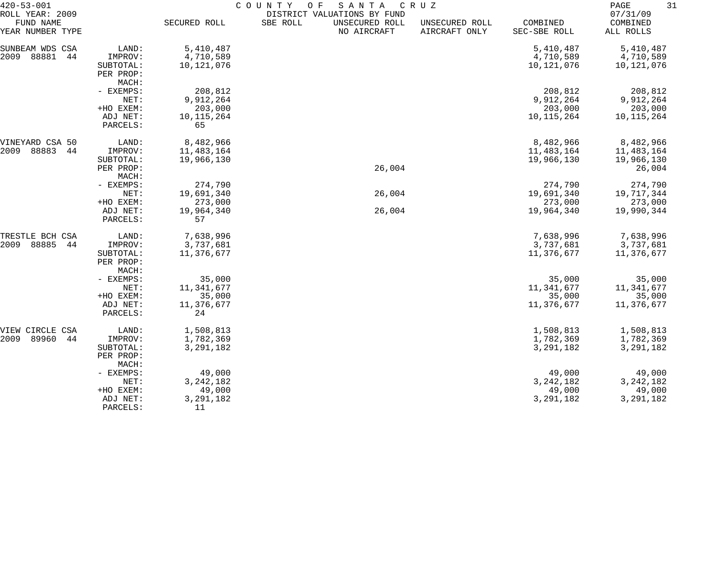| $420 - 53 - 001$                |                                 | COUNTY<br>O F<br>SANTA<br>C R U Z |          |                               |                                 |                          |                       |  |
|---------------------------------|---------------------------------|-----------------------------------|----------|-------------------------------|---------------------------------|--------------------------|-----------------------|--|
| ROLL YEAR: 2009                 |                                 |                                   |          | DISTRICT VALUATIONS BY FUND   |                                 |                          | 07/31/09              |  |
| FUND NAME<br>YEAR NUMBER TYPE   |                                 | SECURED ROLL                      | SBE ROLL | UNSECURED ROLL<br>NO AIRCRAFT | UNSECURED ROLL<br>AIRCRAFT ONLY | COMBINED<br>SEC-SBE ROLL | COMBINED<br>ALL ROLLS |  |
| SUNBEAM WDS CSA                 | LAND:                           | 5,410,487                         |          |                               |                                 | 5,410,487                | 5,410,487             |  |
| 2009<br>88881<br>44             | IMPROV:                         | 4,710,589                         |          |                               |                                 | 4,710,589                | 4,710,589             |  |
| SUBTOTAL:<br>PER PROP:<br>MACH: |                                 | 10,121,076                        |          |                               |                                 | 10,121,076               | 10,121,076            |  |
|                                 |                                 |                                   |          |                               |                                 |                          |                       |  |
|                                 |                                 |                                   |          |                               |                                 |                          |                       |  |
|                                 | - EXEMPS:                       | 208,812                           |          |                               |                                 | 208,812                  | 208,812               |  |
|                                 | NET:                            | 9,912,264                         |          |                               |                                 | 9,912,264                | 9,912,264             |  |
|                                 | +HO EXEM:                       | 203,000                           |          |                               |                                 | 203,000                  | 203,000               |  |
|                                 | ADJ NET:                        | 10, 115, 264                      |          |                               |                                 | 10, 115, 264             | 10, 115, 264          |  |
|                                 | PARCELS:                        | 65                                |          |                               |                                 |                          |                       |  |
| VINEYARD CSA 50                 | LAND:                           | 8,482,966                         |          |                               |                                 | 8,482,966                | 8,482,966             |  |
| 88883<br>2009<br>44             | IMPROV:                         | 11,483,164                        |          |                               |                                 | 11,483,164               | 11,483,164            |  |
|                                 | SUBTOTAL:                       | 19,966,130                        |          |                               |                                 | 19,966,130               | 19,966,130            |  |
|                                 | PER PROP:                       |                                   |          | 26,004                        |                                 |                          | 26,004                |  |
|                                 | MACH:                           |                                   |          |                               |                                 |                          |                       |  |
|                                 | - EXEMPS:                       | 274,790                           |          |                               |                                 | 274,790                  | 274,790               |  |
|                                 | NET:                            | 19,691,340                        |          | 26,004                        |                                 | 19,691,340               | 19,717,344            |  |
|                                 | +HO EXEM:                       | 273,000                           |          |                               |                                 | 273,000                  | 273,000               |  |
|                                 | ADJ NET:<br>PARCELS:            | 19,964,340<br>57                  |          | 26,004                        |                                 | 19,964,340               | 19,990,344            |  |
| TRESTLE BCH CSA                 | LAND:                           | 7,638,996                         |          |                               |                                 | 7,638,996                | 7,638,996             |  |
| 2009<br>88885<br>44             | IMPROV:                         | 3,737,681                         |          |                               |                                 | 3,737,681                | 3,737,681             |  |
|                                 | SUBTOTAL:<br>PER PROP:<br>MACH: | 11,376,677                        |          |                               |                                 | 11,376,677               | 11,376,677            |  |
|                                 | - EXEMPS:                       | 35,000                            |          |                               |                                 | 35,000                   | 35,000                |  |
|                                 | NET:                            | 11,341,677                        |          |                               |                                 | 11,341,677               | 11,341,677            |  |
|                                 | +HO EXEM:                       | 35,000                            |          |                               |                                 | 35,000                   | 35,000                |  |
|                                 | ADJ NET:                        | 11,376,677                        |          |                               |                                 | 11,376,677               | 11,376,677            |  |
|                                 | PARCELS:                        | 24                                |          |                               |                                 |                          |                       |  |
| VIEW CIRCLE CSA                 | LAND:                           | 1,508,813                         |          |                               |                                 | 1,508,813                | 1,508,813             |  |
| 2009<br>89960<br>44             | IMPROV:                         | 1,782,369                         |          |                               |                                 | 1,782,369                | 1,782,369             |  |
|                                 | SUBTOTAL:                       | 3,291,182                         |          |                               |                                 | 3,291,182                | 3, 291, 182           |  |
|                                 | PER PROP:<br>MACH:              |                                   |          |                               |                                 |                          |                       |  |
|                                 | - EXEMPS:                       | 49,000                            |          |                               |                                 | 49,000                   | 49,000                |  |
|                                 | NET:                            | 3, 242, 182                       |          |                               |                                 | 3, 242, 182              | 3, 242, 182           |  |
|                                 | +HO EXEM:                       | 49,000                            |          |                               |                                 | 49,000                   | 49,000                |  |
|                                 | ADJ NET:                        | 3, 291, 182                       |          |                               |                                 | 3, 291, 182              | 3,291,182             |  |
|                                 | PARCELS:                        | 11                                |          |                               |                                 |                          |                       |  |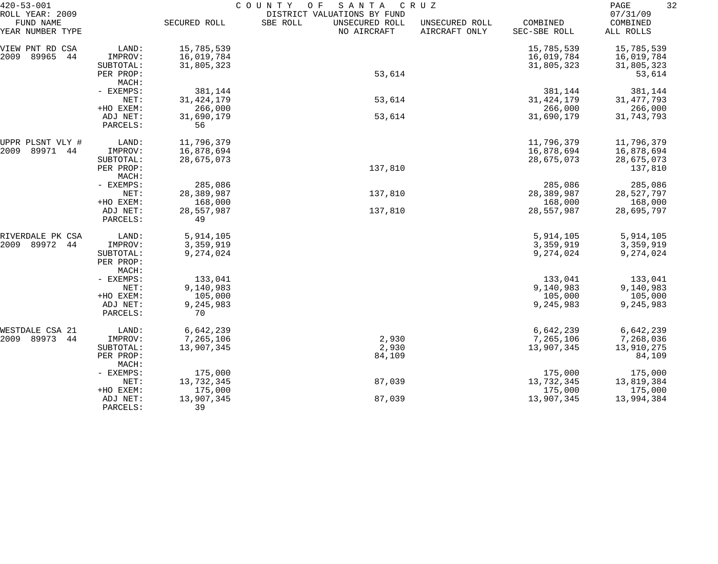| $420 - 53 - 001$                                 |                      | COUNTY<br>SANTA<br>CRUZ<br>O F |                                                                          |                                 |                          |                                   |  |  |
|--------------------------------------------------|----------------------|--------------------------------|--------------------------------------------------------------------------|---------------------------------|--------------------------|-----------------------------------|--|--|
| ROLL YEAR: 2009<br>FUND NAME<br>YEAR NUMBER TYPE |                      | SECURED ROLL                   | DISTRICT VALUATIONS BY FUND<br>SBE ROLL<br>UNSECURED ROLL<br>NO AIRCRAFT | UNSECURED ROLL<br>AIRCRAFT ONLY | COMBINED<br>SEC-SBE ROLL | 07/31/09<br>COMBINED<br>ALL ROLLS |  |  |
| VIEW PNT RD CSA                                  | LAND:                | 15,785,539                     |                                                                          |                                 | 15,785,539               | 15,785,539                        |  |  |
| 89965<br>2009<br>44                              | IMPROV:              | 16,019,784                     |                                                                          |                                 | 16,019,784               | 16,019,784                        |  |  |
|                                                  | SUBTOTAL:            | 31,805,323                     |                                                                          |                                 | 31,805,323               | 31,805,323                        |  |  |
|                                                  | PER PROP:            |                                | 53,614                                                                   |                                 |                          | 53,614                            |  |  |
|                                                  | MACH:                |                                |                                                                          |                                 |                          |                                   |  |  |
|                                                  | - EXEMPS:            | 381,144                        |                                                                          |                                 | 381,144                  | 381,144                           |  |  |
|                                                  | NET:                 | 31, 424, 179                   | 53,614                                                                   |                                 | 31, 424, 179             | 31, 477, 793                      |  |  |
|                                                  | +HO EXEM:            | 266,000                        |                                                                          |                                 | 266,000                  | 266,000                           |  |  |
|                                                  | ADJ NET:             | 31,690,179                     | 53,614                                                                   |                                 | 31,690,179               | 31,743,793                        |  |  |
|                                                  | PARCELS:             | 56                             |                                                                          |                                 |                          |                                   |  |  |
| UPPR PLSNT VLY #                                 | LAND:                | 11,796,379                     |                                                                          |                                 | 11,796,379               | 11,796,379                        |  |  |
| 89971<br>2009<br>44                              | IMPROV:              | 16,878,694                     |                                                                          |                                 | 16,878,694               | 16,878,694                        |  |  |
|                                                  | SUBTOTAL:            | 28,675,073                     |                                                                          |                                 | 28,675,073               | 28,675,073                        |  |  |
|                                                  | PER PROP:            |                                | 137,810                                                                  |                                 |                          | 137,810                           |  |  |
|                                                  | MACH:                |                                |                                                                          |                                 |                          |                                   |  |  |
|                                                  | - EXEMPS:            | 285,086                        |                                                                          |                                 | 285,086                  | 285,086                           |  |  |
|                                                  | NET:                 | 28,389,987                     | 137,810                                                                  |                                 | 28,389,987               | 28,527,797                        |  |  |
|                                                  | +HO EXEM:            | 168,000                        |                                                                          |                                 | 168,000                  | 168,000                           |  |  |
|                                                  | ADJ NET:<br>PARCELS: | 28,557,987<br>49               | 137,810                                                                  |                                 | 28,557,987               | 28,695,797                        |  |  |
| RIVERDALE PK CSA                                 | LAND:                | 5,914,105                      |                                                                          |                                 | 5,914,105                | 5,914,105                         |  |  |
| 89972<br>2009<br>44                              | IMPROV:              | 3,359,919                      |                                                                          |                                 | 3,359,919                | 3,359,919                         |  |  |
|                                                  | SUBTOTAL:            | 9,274,024                      |                                                                          |                                 | 9,274,024                | 9,274,024                         |  |  |
|                                                  | PER PROP:            |                                |                                                                          |                                 |                          |                                   |  |  |
|                                                  | MACH:                |                                |                                                                          |                                 |                          |                                   |  |  |
|                                                  | - EXEMPS:            | 133,041                        |                                                                          |                                 | 133,041                  | 133,041                           |  |  |
|                                                  | NET:                 | 9,140,983                      |                                                                          |                                 | 9,140,983                | 9,140,983                         |  |  |
|                                                  | +HO EXEM:            | 105,000                        |                                                                          |                                 | 105,000                  | 105,000                           |  |  |
|                                                  | ADJ NET:<br>PARCELS: | 9,245,983<br>70                |                                                                          |                                 | 9,245,983                | 9,245,983                         |  |  |
| WESTDALE CSA 21                                  | LAND:                | 6,642,239                      |                                                                          |                                 | 6,642,239                | 6,642,239                         |  |  |
| 2009 89973<br>44                                 | IMPROV:              | 7,265,106                      | 2,930                                                                    |                                 | 7,265,106                | 7,268,036                         |  |  |
|                                                  | SUBTOTAL:            | 13,907,345                     | 2,930                                                                    |                                 | 13,907,345               | 13,910,275                        |  |  |
|                                                  | PER PROP:            |                                | 84,109                                                                   |                                 |                          | 84,109                            |  |  |
|                                                  | MACH:                |                                |                                                                          |                                 |                          |                                   |  |  |
|                                                  | - EXEMPS:            | 175,000                        |                                                                          |                                 | 175,000                  | 175,000                           |  |  |
|                                                  | NET:                 | 13,732,345                     | 87,039                                                                   |                                 | 13,732,345               | 13,819,384                        |  |  |
|                                                  | +HO EXEM:            | 175,000                        |                                                                          |                                 | 175,000                  | 175,000                           |  |  |
|                                                  | ADJ NET:             | 13,907,345                     | 87,039                                                                   |                                 | 13,907,345               | 13,994,384                        |  |  |
|                                                  | PARCELS:             | 39                             |                                                                          |                                 |                          |                                   |  |  |
|                                                  |                      |                                |                                                                          |                                 |                          |                                   |  |  |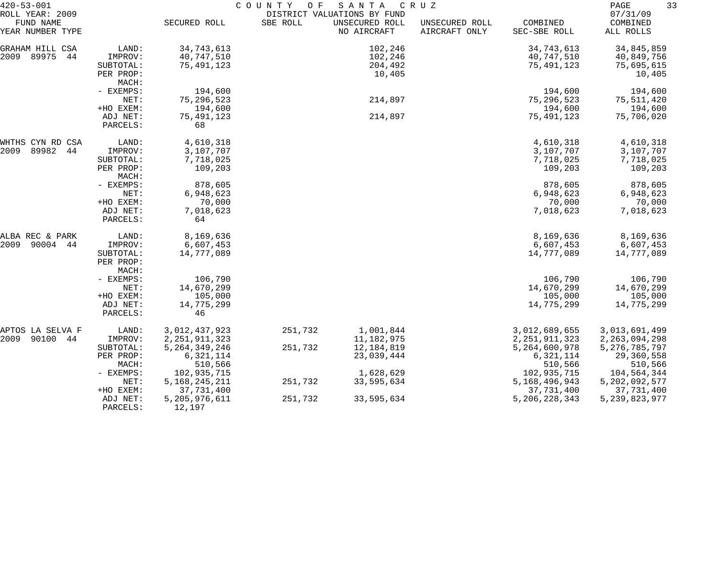| $420 - 53 - 001$              |                      | COUNTY<br>SANTA<br>O F<br>C R U Z |          |                               |                                 |                          |                       |
|-------------------------------|----------------------|-----------------------------------|----------|-------------------------------|---------------------------------|--------------------------|-----------------------|
| ROLL YEAR: 2009               |                      |                                   |          | DISTRICT VALUATIONS BY FUND   |                                 |                          | 07/31/09              |
| FUND NAME<br>YEAR NUMBER TYPE |                      | SECURED ROLL                      | SBE ROLL | UNSECURED ROLL<br>NO AIRCRAFT | UNSECURED ROLL<br>AIRCRAFT ONLY | COMBINED<br>SEC-SBE ROLL | COMBINED<br>ALL ROLLS |
| GRAHAM HILL CSA               | LAND:                | 34,743,613                        |          | 102,246                       |                                 | 34,743,613               | 34,845,859            |
| 89975<br>2009<br>44           | IMPROV:              | 40,747,510                        |          | 102,246                       |                                 | 40,747,510               | 40,849,756            |
|                               | SUBTOTAL:            | 75,491,123                        |          | 204,492                       |                                 | 75,491,123               | 75,695,615            |
|                               | PER PROP:            |                                   |          | 10,405                        |                                 |                          | 10,405                |
|                               | MACH:                |                                   |          |                               |                                 |                          |                       |
|                               | - EXEMPS:            | 194,600                           |          |                               |                                 | 194,600                  | 194,600               |
|                               | NET:                 | 75, 296, 523                      |          | 214,897                       |                                 | 75,296,523               | 75,511,420            |
|                               | +HO EXEM:            | 194,600                           |          |                               |                                 | 194,600                  | 194,600               |
|                               | ADJ NET:             | 75,491,123                        |          | 214,897                       |                                 | 75,491,123               | 75,706,020            |
|                               | PARCELS:             | 68                                |          |                               |                                 |                          |                       |
| WHTHS CYN RD CSA              | LAND:                | 4,610,318                         |          |                               |                                 | 4,610,318                | 4,610,318             |
| 89982<br>2009<br>44           | IMPROV:              | 3,107,707                         |          |                               |                                 | 3,107,707                | 3,107,707             |
|                               | SUBTOTAL:            | 7,718,025                         |          |                               |                                 | 7,718,025                | 7,718,025             |
|                               | PER PROP:<br>MACH:   | 109,203                           |          |                               |                                 | 109,203                  | 109,203               |
|                               | - EXEMPS:            | 878,605                           |          |                               |                                 | 878,605                  | 878,605               |
|                               | NET:                 | 6,948,623                         |          |                               |                                 | 6,948,623                | 6,948,623             |
|                               | +HO EXEM:            | 70,000                            |          |                               |                                 | 70,000                   | 70,000                |
|                               | ADJ NET:<br>PARCELS: | 7,018,623<br>64                   |          |                               |                                 | 7,018,623                | 7,018,623             |
| ALBA REC & PARK               | LAND:                | 8,169,636                         |          |                               |                                 | 8,169,636                | 8,169,636             |
| 2009<br>90004<br>44           | IMPROV:              | 6,607,453                         |          |                               |                                 | 6,607,453                | 6,607,453             |
|                               | SUBTOTAL:            | 14,777,089                        |          |                               |                                 | 14,777,089               | 14,777,089            |
|                               | PER PROP:            |                                   |          |                               |                                 |                          |                       |
|                               | MACH:<br>- EXEMPS:   | 106,790                           |          |                               |                                 | 106,790                  | 106,790               |
|                               | NET:                 | 14,670,299                        |          |                               |                                 | 14,670,299               | 14,670,299            |
|                               | +HO EXEM:            | 105,000                           |          |                               |                                 | 105,000                  | 105,000               |
|                               | ADJ NET:             | 14,775,299                        |          |                               |                                 | 14,775,299               | 14,775,299            |
|                               | PARCELS:             | 46                                |          |                               |                                 |                          |                       |
| APTOS LA SELVA F              | LAND:                | 3,012,437,923                     | 251,732  | 1,001,844                     |                                 | 3,012,689,655            | 3,013,691,499         |
| 90100 44<br>2009              | IMPROV:              | 2, 251, 911, 323                  |          | 11,182,975                    |                                 | 2, 251, 911, 323         | 2, 263, 094, 298      |
|                               | SUBTOTAL:            | 5, 264, 349, 246                  | 251,732  | 12,184,819                    |                                 | 5,264,600,978            | 5, 276, 785, 797      |
|                               | PER PROP:            | 6,321,114                         |          | 23,039,444                    |                                 | 6,321,114                | 29,360,558            |
|                               | MACH:                | 510,566                           |          |                               |                                 | 510,566                  | 510,566               |
|                               | - EXEMPS:            | 102,935,715                       |          | 1,628,629                     |                                 | 102,935,715              | 104,564,344           |
|                               | NET:                 | 5, 168, 245, 211                  | 251,732  | 33,595,634                    |                                 | 5,168,496,943            | 5, 202, 092, 577      |
|                               | +HO EXEM:            | 37,731,400                        |          |                               |                                 | 37,731,400               | 37,731,400            |
|                               | ADJ NET:<br>PARCELS: | 5,205,976,611<br>12,197           | 251,732  | 33,595,634                    |                                 | 5, 206, 228, 343         | 5, 239, 823, 977      |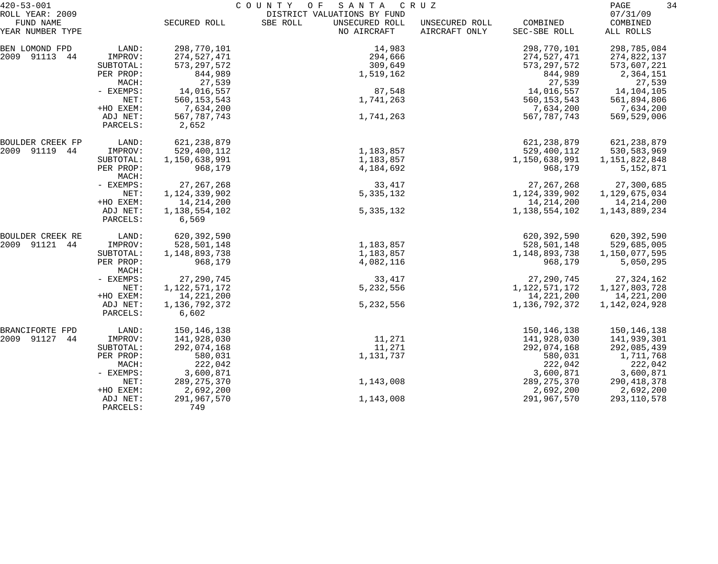| $420 - 53 - 001$             |                                   | COUNTY<br>SANTA<br>O F<br>C R U Z      |                                                           |                |                               |                                  |  |
|------------------------------|-----------------------------------|----------------------------------------|-----------------------------------------------------------|----------------|-------------------------------|----------------------------------|--|
| ROLL YEAR: 2009<br>FUND NAME |                                   | SECURED ROLL                           | DISTRICT VALUATIONS BY FUND<br>SBE ROLL<br>UNSECURED ROLL | UNSECURED ROLL | COMBINED                      | 07/31/09<br>COMBINED             |  |
| YEAR NUMBER TYPE             |                                   |                                        | NO AIRCRAFT                                               | AIRCRAFT ONLY  | SEC-SBE ROLL                  | ALL ROLLS                        |  |
| BEN LOMOND FPD               | LAND:                             | 298,770,101                            | 14,983                                                    |                | 298,770,101                   | 298,785,084                      |  |
| 2009 91113 44                | IMPROV:<br>SUBTOTAL:              | 274,527,471<br>573, 297, 572           | 294,666<br>309,649                                        |                | 274,527,471<br>573, 297, 572  | 274,822,137<br>573,607,221       |  |
|                              | PER PROP:<br>MACH:                | 844,989<br>27,539                      | 1,519,162                                                 |                | 844,989<br>27,539             | 2,364,151<br>27,539              |  |
|                              | - EXEMPS:                         | 14,016,557                             | 87,548                                                    |                | 14,016,557                    | 14,104,105                       |  |
|                              | NET:<br>+HO EXEM:                 | 560, 153, 543<br>7,634,200             | 1,741,263                                                 |                | 560, 153, 543<br>7,634,200    | 561,894,806<br>7,634,200         |  |
|                              | ADJ NET:<br>PARCELS:              | 567, 787, 743<br>2,652                 | 1,741,263                                                 |                | 567, 787, 743                 | 569,529,006                      |  |
| BOULDER CREEK FP             | LAND:                             | 621, 238, 879                          |                                                           |                | 621, 238, 879                 | 621, 238, 879                    |  |
| 2009 91119 44                | IMPROV:                           | 529,400,112                            | 1,183,857                                                 |                | 529,400,112                   | 530, 583, 969                    |  |
|                              | SUBTOTAL:<br>PER PROP:<br>MACH:   | 1,150,638,991<br>968,179               | 1,183,857<br>4,184,692                                    |                | 1,150,638,991<br>968,179      | 1,151,822,848<br>5,152,871       |  |
|                              | - EXEMPS:                         | 27, 267, 268                           | 33,417                                                    |                | 27, 267, 268                  | 27,300,685                       |  |
|                              | NET:                              | 1, 124, 339, 902                       | 5, 335, 132                                               |                | 1, 124, 339, 902              | 1,129,675,034                    |  |
|                              | +HO EXEM:<br>ADJ NET:<br>PARCELS: | 14, 214, 200<br>1,138,554,102<br>6,569 | 5, 335, 132                                               |                | 14, 214, 200<br>1,138,554,102 | 14, 214, 200<br>1, 143, 889, 234 |  |
| BOULDER CREEK RE             | LAND:                             | 620,392,590                            |                                                           |                | 620,392,590                   | 620,392,590                      |  |
| 2009 91121 44                | IMPROV:                           | 528,501,148                            | 1,183,857                                                 |                | 528,501,148                   | 529,685,005                      |  |
|                              | SUBTOTAL:<br>PER PROP:            | 1,148,893,738<br>968,179               | 1,183,857<br>4,082,116                                    |                | 1,148,893,738<br>968,179      | 1,150,077,595<br>5,050,295       |  |
|                              | MACH:                             |                                        |                                                           |                |                               |                                  |  |
|                              | - EXEMPS:                         | 27, 290, 745                           | 33,417                                                    |                | 27, 290, 745                  | 27, 324, 162                     |  |
|                              | NET:<br>+HO EXEM:                 | 1, 122, 571, 172<br>14, 221, 200       | 5,232,556                                                 |                | 1,122,571,172<br>14,221,200   | 1,127,803,728<br>14,221,200      |  |
|                              | ADJ NET:<br>PARCELS:              | 1,136,792,372<br>6,602                 | 5,232,556                                                 |                | 1,136,792,372                 | 1,142,024,928                    |  |
| BRANCIFORTE FPD              | LAND:                             | 150,146,138                            |                                                           |                | 150, 146, 138                 | 150,146,138                      |  |
| 2009 91127<br>44             | IMPROV:                           | 141,928,030                            | 11,271                                                    |                | 141,928,030                   | 141,939,301                      |  |
|                              | SUBTOTAL:<br>PER PROP:            | 292,074,168<br>580,031                 | 11,271<br>1,131,737                                       |                | 292,074,168<br>580,031        | 292,085,439<br>1,711,768         |  |
|                              | MACH:                             | 222,042                                |                                                           |                | 222,042                       | 222,042                          |  |
|                              | - EXEMPS:                         | 3,600,871                              |                                                           |                | 3,600,871                     | 3,600,871                        |  |
|                              | NET:<br>+HO EXEM:                 | 289, 275, 370<br>2,692,200             | 1,143,008                                                 |                | 289, 275, 370<br>2,692,200    | 290, 418, 378<br>2,692,200       |  |
|                              | ADJ NET:<br>PARCELS:              | 291,967,570<br>749                     | 1,143,008                                                 |                | 291,967,570                   | 293,110,578                      |  |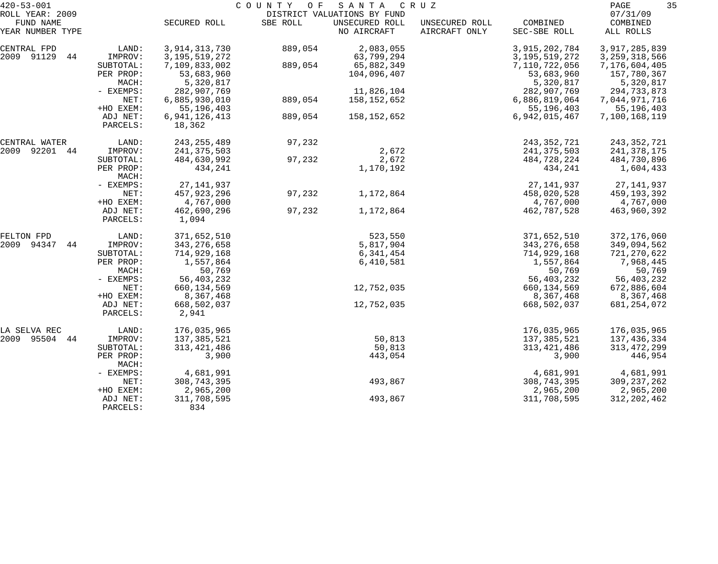| $420 - 53 - 001$ |                    | COUNTY OF<br>S A N T A<br>C R U Z |          |                             |                |                             |                             |  |
|------------------|--------------------|-----------------------------------|----------|-----------------------------|----------------|-----------------------------|-----------------------------|--|
| ROLL YEAR: 2009  |                    |                                   |          | DISTRICT VALUATIONS BY FUND |                |                             | 07/31/09                    |  |
| FUND NAME        |                    | SECURED ROLL                      | SBE ROLL | UNSECURED ROLL              | UNSECURED ROLL | COMBINED                    | COMBINED                    |  |
| YEAR NUMBER TYPE |                    |                                   |          | NO AIRCRAFT                 | AIRCRAFT ONLY  | SEC-SBE ROLL                | ALL ROLLS                   |  |
| CENTRAL FPD      | LAND:              | 3, 914, 313, 730                  | 889,054  | 2,083,055                   |                | 3,915,202,784               | 3,917,285,839               |  |
| 2009 91129<br>44 | IMPROV:            | 3, 195, 519, 272                  |          | 63,799,294                  |                | 3, 195, 519, 272            | 3, 259, 318, 566            |  |
|                  | SUBTOTAL:          | 7,109,833,002                     | 889,054  | 65,882,349                  |                | 7,110,722,056               | 7,176,604,405               |  |
|                  | PER PROP:          | 53,683,960                        |          | 104,096,407                 |                | 53,683,960                  | 157,780,367                 |  |
|                  | MACH:              | 5,320,817                         |          |                             |                | 5,320,817                   | 5,320,817                   |  |
|                  | - EXEMPS:          | 282,907,769                       |          | 11,826,104                  |                | 282,907,769                 | 294,733,873                 |  |
|                  | NET:               | 6,885,930,010                     | 889,054  | 158,152,652                 |                | 6,886,819,064               | 7,044,971,716               |  |
|                  | +HO EXEM:          | 55, 196, 403                      |          |                             |                | 55,196,403                  | 55,196,403                  |  |
|                  | ADJ NET:           | 6, 941, 126, 413                  | 889,054  | 158,152,652                 |                | 6,942,015,467               | 7,100,168,119               |  |
|                  | PARCELS:           | 18,362                            |          |                             |                |                             |                             |  |
| CENTRAL WATER    | LAND:              | 243, 255, 489                     | 97,232   |                             |                | 243, 352, 721               | 243,352,721                 |  |
| 2009 92201 44    | IMPROV:            | 241, 375, 503                     |          | 2,672                       |                | 241, 375, 503               | 241,378,175                 |  |
|                  | SUBTOTAL:          | 484,630,992                       | 97,232   | 2,672                       |                | 484,728,224                 | 484,730,896                 |  |
|                  | PER PROP:          | 434,241                           |          | 1,170,192                   |                | 434,241                     | 1,604,433                   |  |
|                  | MACH:<br>- EXEMPS: | 27, 141, 937                      |          |                             |                |                             |                             |  |
|                  | NET:               | 457,923,296                       | 97,232   | 1,172,864                   |                | 27, 141, 937<br>458,020,528 | 27, 141, 937<br>459,193,392 |  |
|                  | +HO EXEM:          | 4,767,000                         |          |                             |                | 4,767,000                   | 4,767,000                   |  |
|                  | ADJ NET:           | 462,690,296                       | 97,232   | 1,172,864                   |                | 462,787,528                 | 463,960,392                 |  |
|                  | PARCELS:           | 1,094                             |          |                             |                |                             |                             |  |
| FELTON FPD       | LAND:              | 371,652,510                       |          | 523,550                     |                | 371,652,510                 | 372,176,060                 |  |
| 2009 94347<br>44 | IMPROV:            | 343, 276, 658                     |          | 5,817,904                   |                | 343, 276, 658               | 349,094,562                 |  |
|                  | SUBTOTAL:          | 714,929,168                       |          | 6,341,454                   |                | 714,929,168                 | 721, 270, 622               |  |
|                  | PER PROP:          | 1,557,864                         |          | 6,410,581                   |                | 1,557,864                   | 7,968,445                   |  |
|                  | MACH:              | 50,769                            |          |                             |                | 50,769                      | 50,769                      |  |
|                  | - EXEMPS:          | 56,403,232                        |          |                             |                | 56,403,232                  | 56,403,232                  |  |
|                  | NET:               | 660, 134, 569                     |          | 12,752,035                  |                | 660, 134, 569               | 672,886,604                 |  |
|                  | +HO EXEM:          | 8,367,468                         |          |                             |                | 8,367,468                   | 8,367,468                   |  |
|                  | ADJ NET:           | 668,502,037                       |          | 12,752,035                  |                | 668,502,037                 | 681, 254, 072               |  |
|                  | PARCELS:           | 2,941                             |          |                             |                |                             |                             |  |
| LA SELVA REC     | LAND:              | 176,035,965                       |          |                             |                | 176,035,965                 | 176,035,965                 |  |
| 2009 95504 44    | IMPROV:            | 137,385,521                       |          | 50,813                      |                | 137,385,521                 | 137,436,334                 |  |
|                  | SUBTOTAL:          | 313, 421, 486                     |          | 50,813                      |                | 313, 421, 486               | 313, 472, 299               |  |
|                  | PER PROP:<br>MACH: | 3,900                             |          | 443,054                     |                | 3,900                       | 446,954                     |  |
|                  | - EXEMPS:          | 4,681,991                         |          |                             |                | 4,681,991                   | 4,681,991                   |  |
|                  | NET:               | 308,743,395                       |          | 493,867                     |                | 308, 743, 395               | 309, 237, 262               |  |
|                  | +HO EXEM:          | 2,965,200                         |          |                             |                | 2,965,200                   | 2,965,200                   |  |
|                  | ADJ NET:           | 311,708,595                       |          | 493,867                     |                | 311,708,595                 | 312, 202, 462               |  |
|                  | PARCELS:           | 834                               |          |                             |                |                             |                             |  |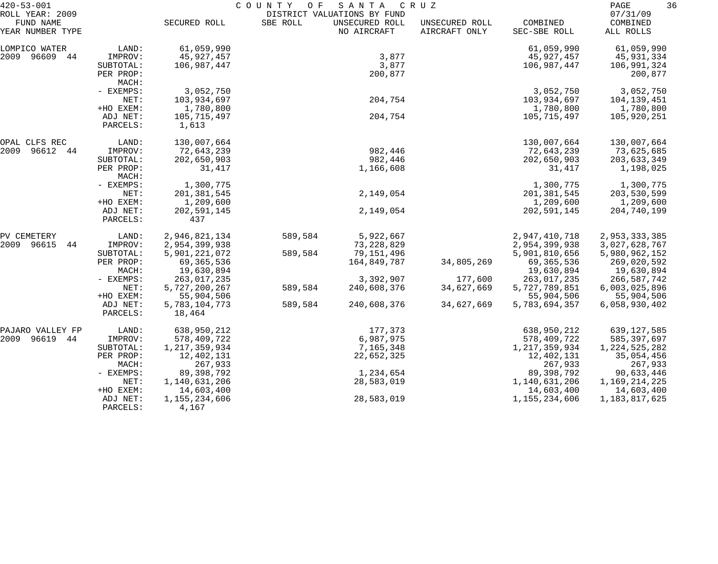| $420 - 53 - 001$<br>ROLL YEAR: 2009 |                      | COUNTY<br>O F<br>SANTA<br>C R U Z<br>DISTRICT VALUATIONS BY FUND |          |                               |                                 |                          | 36<br>PAGE<br>07/31/09 |  |
|-------------------------------------|----------------------|------------------------------------------------------------------|----------|-------------------------------|---------------------------------|--------------------------|------------------------|--|
| FUND NAME<br>YEAR NUMBER TYPE       |                      | SECURED ROLL                                                     | SBE ROLL | UNSECURED ROLL<br>NO AIRCRAFT | UNSECURED ROLL<br>AIRCRAFT ONLY | COMBINED<br>SEC-SBE ROLL | COMBINED<br>ALL ROLLS  |  |
| LOMPICO WATER                       | LAND:                | 61,059,990                                                       |          |                               |                                 | 61,059,990               | 61,059,990             |  |
| 2009 96609 44                       | IMPROV:              | 45,927,457                                                       |          | 3,877                         |                                 | 45,927,457               | 45,931,334             |  |
|                                     | SUBTOTAL:            | 106,987,447                                                      |          | 3,877                         |                                 | 106,987,447              | 106,991,324            |  |
|                                     | PER PROP:<br>MACH:   |                                                                  |          | 200,877                       |                                 |                          | 200,877                |  |
|                                     | - EXEMPS:            | 3,052,750                                                        |          |                               |                                 | 3,052,750                | 3,052,750              |  |
|                                     | NET:                 | 103,934,697                                                      |          | 204,754                       |                                 | 103,934,697              | 104,139,451            |  |
|                                     | +HO EXEM:            | 1,780,800                                                        |          |                               |                                 | 1,780,800                | 1,780,800              |  |
|                                     | ADJ NET:<br>PARCELS: | 105,715,497<br>1,613                                             |          | 204,754                       |                                 | 105,715,497              | 105,920,251            |  |
| OPAL CLFS REC                       | LAND:                | 130,007,664                                                      |          |                               |                                 | 130,007,664              | 130,007,664            |  |
| 2009<br>96612 44                    | IMPROV:              | 72,643,239                                                       |          | 982,446                       |                                 | 72,643,239               | 73,625,685             |  |
|                                     | SUBTOTAL:            | 202,650,903                                                      |          | 982,446                       |                                 | 202,650,903              | 203,633,349            |  |
|                                     | PER PROP:<br>MACH:   | 31,417                                                           |          | 1,166,608                     |                                 | 31,417                   | 1,198,025              |  |
|                                     | - EXEMPS:            | 1,300,775                                                        |          |                               |                                 | 1,300,775                | 1,300,775              |  |
|                                     | NET:                 | 201,381,545                                                      |          | 2,149,054                     |                                 | 201,381,545              | 203,530,599            |  |
|                                     | +HO EXEM:            | 1,209,600                                                        |          |                               |                                 | 1,209,600                | 1,209,600              |  |
|                                     | ADJ NET:<br>PARCELS: | 202,591,145<br>437                                               |          | 2,149,054                     |                                 | 202,591,145              | 204,740,199            |  |
| PV CEMETERY                         | LAND:                | 2,946,821,134                                                    | 589,584  | 5,922,667                     |                                 | 2,947,410,718            | 2,953,333,385          |  |
| 2009<br>96615<br>44                 | IMPROV:              | 2,954,399,938                                                    |          | 73, 228, 829                  |                                 | 2,954,399,938            | 3,027,628,767          |  |
|                                     | SUBTOTAL:            | 5,901,221,072                                                    | 589,584  | 79,151,496                    |                                 | 5,901,810,656            | 5,980,962,152          |  |
|                                     | PER PROP:            | 69,365,536                                                       |          | 164,849,787                   | 34,805,269                      | 69,365,536               | 269,020,592            |  |
|                                     | MACH:                | 19,630,894                                                       |          |                               |                                 | 19,630,894               | 19,630,894             |  |
|                                     | - EXEMPS:            | 263,017,235                                                      |          | 3,392,907                     | 177,600                         | 263,017,235              | 266,587,742            |  |
|                                     | NET:                 | 5,727,200,267                                                    | 589,584  | 240,608,376                   | 34,627,669                      | 5,727,789,851            | 6,003,025,896          |  |
|                                     | +HO EXEM:            | 55,904,506                                                       |          |                               |                                 | 55,904,506               | 55,904,506             |  |
|                                     | ADJ NET:<br>PARCELS: | 5,783,104,773<br>18,464                                          | 589,584  | 240,608,376                   | 34,627,669                      | 5,783,694,357            | 6,058,930,402          |  |
| PAJARO VALLEY FP                    | LAND:                | 638,950,212                                                      |          | 177,373                       |                                 | 638,950,212              | 639,127,585            |  |
| 2009 96619 44                       | IMPROV:              | 578,409,722                                                      |          | 6,987,975                     |                                 | 578,409,722              | 585,397,697            |  |
|                                     | SUBTOTAL:            | 1, 217, 359, 934                                                 |          | 7,165,348                     |                                 | 1, 217, 359, 934         | 1, 224, 525, 282       |  |
|                                     | PER PROP:            | 12,402,131                                                       |          | 22,652,325                    |                                 | 12,402,131               | 35,054,456             |  |
|                                     | MACH:                | 267,933                                                          |          |                               |                                 | 267,933                  | 267,933                |  |
|                                     | $-$ EXEMPS:          | 89,398,792                                                       |          | 1,234,654                     |                                 | 89,398,792               | 90,633,446             |  |
|                                     | NET:                 | 1,140,631,206                                                    |          | 28,583,019                    |                                 | 1,140,631,206            | 1,169,214,225          |  |
|                                     | +HO EXEM:            | 14,603,400                                                       |          |                               |                                 | 14,603,400               | 14,603,400             |  |
|                                     | ADJ NET:<br>PARCELS: | 1,155,234,606<br>4,167                                           |          | 28,583,019                    |                                 | 1,155,234,606            | 1,183,817,625          |  |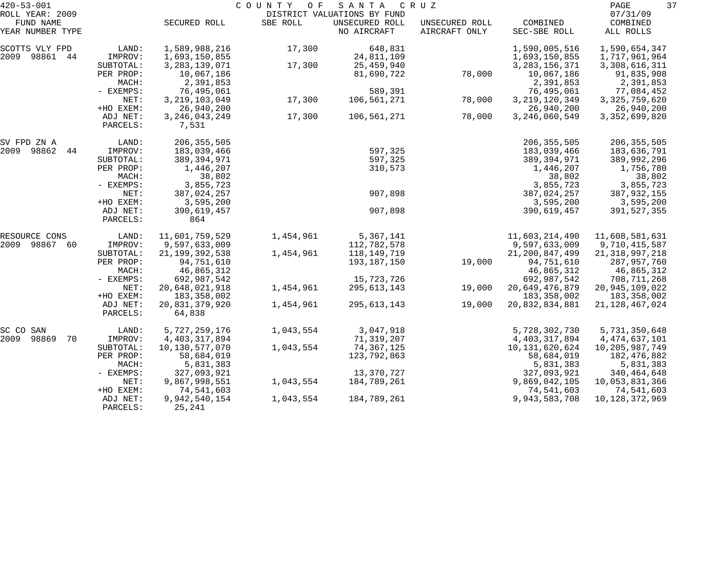| $420 - 53 - 001$             |                       |                                | COUNTY<br>O F | SANTA                                         | C R U Z        |                                 | 37<br>PAGE                         |
|------------------------------|-----------------------|--------------------------------|---------------|-----------------------------------------------|----------------|---------------------------------|------------------------------------|
| ROLL YEAR: 2009<br>FUND NAME |                       | SECURED ROLL                   | SBE ROLL      | DISTRICT VALUATIONS BY FUND<br>UNSECURED ROLL | UNSECURED ROLL | COMBINED                        | 07/31/09<br>COMBINED               |
| YEAR NUMBER TYPE             |                       |                                |               | NO AIRCRAFT                                   | AIRCRAFT ONLY  | SEC-SBE ROLL                    | ALL ROLLS                          |
| SCOTTS VLY FPD               | LAND:                 | 1,589,988,216                  | 17,300        | 648,831                                       |                | 1,590,005,516                   | 1,590,654,347                      |
| 2009 98861 44                | IMPROV:               | 1,693,150,855                  |               | 24,811,109                                    |                | 1,693,150,855                   | 1,717,961,964                      |
|                              | SUBTOTAL:             | 3, 283, 139, 071               | 17,300        | 25,459,940                                    |                | 3, 283, 156, 371                | 3, 308, 616, 311                   |
|                              | PER PROP:             | 10,067,186                     |               | 81,690,722                                    | 78,000         | 10,067,186                      | 91,835,908                         |
|                              | MACH:                 | 2,391,853                      |               |                                               |                | 2,391,853                       | 2,391,853                          |
|                              | - EXEMPS:<br>NET:     | 76,495,061<br>3, 219, 103, 049 |               | 589,391                                       |                | 76,495,061                      | 77,084,452                         |
|                              | +HO EXEM:             | 26,940,200                     | 17,300        | 106,561,271                                   | 78,000         | 3, 219, 120, 349<br>26,940,200  | 3, 325, 759, 620<br>26,940,200     |
|                              | ADJ NET:              | 3, 246, 043, 249               | 17,300        | 106,561,271                                   | 78,000         | 3, 246, 060, 549                | 3, 352, 699, 820                   |
|                              | PARCELS:              | 7,531                          |               |                                               |                |                                 |                                    |
| SV FPD ZN A                  | LAND:                 | 206, 355, 505                  |               |                                               |                | 206, 355, 505                   | 206, 355, 505                      |
| 2009<br>98862<br>44          | IMPROV:               | 183,039,466                    |               | 597,325                                       |                | 183,039,466                     | 183,636,791                        |
|                              | SUBTOTAL:             | 389,394,971                    |               | 597,325                                       |                | 389, 394, 971                   | 389,992,296                        |
|                              | PER PROP:             | 1,446,207                      |               | 310,573                                       |                | 1,446,207                       | 1,756,780                          |
|                              | MACH:                 | 38,802                         |               |                                               |                | 38,802                          | 38,802                             |
|                              | - EXEMPS:             | 3,855,723                      |               |                                               |                | 3,855,723                       | 3,855,723                          |
|                              | NET:                  | 387,024,257                    |               | 907,898                                       |                | 387,024,257                     | 387,932,155                        |
|                              | +HO EXEM:<br>ADJ NET: | 3,595,200<br>390,619,457       |               | 907,898                                       |                | 3,595,200<br>390,619,457        | 3,595,200<br>391,527,355           |
|                              | PARCELS:              | 864                            |               |                                               |                |                                 |                                    |
| RESOURCE CONS                | LAND:                 | 11,601,759,529                 | 1,454,961     | 5,367,141                                     |                | 11,603,214,490                  | 11,608,581,631                     |
| 2009<br>98867<br>-60         | IMPROV:               | 9,597,633,009                  |               | 112,782,578                                   |                | 9,597,633,009                   | 9,710,415,587                      |
|                              | SUBTOTAL:             | 21, 199, 392, 538              | 1,454,961     | 118,149,719                                   |                | 21, 200, 847, 499               | 21, 318, 997, 218                  |
|                              | PER PROP:             | 94,751,610                     |               | 193,187,150                                   | 19,000         | 94,751,610                      | 287,957,760                        |
|                              | MACH:                 | 46,865,312                     |               |                                               |                | 46,865,312                      | 46,865,312                         |
|                              | - EXEMPS:             | 692,987,542                    |               | 15,723,726                                    |                | 692,987,542                     | 708,711,268                        |
|                              | NET:<br>+HO EXEM:     | 20,648,021,918<br>183,358,002  | 1,454,961     | 295, 613, 143                                 | 19,000         | 20,649,476,879                  | 20, 945, 109, 022                  |
|                              | ADJ NET:              | 20,831,379,920                 | 1,454,961     | 295,613,143                                   | 19,000         | 183, 358, 002<br>20,832,834,881 | 183, 358, 002<br>21, 128, 467, 024 |
|                              | PARCELS:              | 64,838                         |               |                                               |                |                                 |                                    |
| SC CO SAN                    | LAND:                 | 5,727,259,176                  | 1,043,554     | 3,047,918                                     |                | 5,728,302,730                   | 5,731,350,648                      |
| 2009<br>98869<br>70          | IMPROV:               | 4, 403, 317, 894               |               | 71,319,207                                    |                | 4, 403, 317, 894                | 4,474,637,101                      |
|                              | SUBTOTAL:             | 10,130,577,070                 | 1,043,554     | 74,367,125                                    |                | 10, 131, 620, 624               | 10,205,987,749                     |
|                              | PER PROP:             | 58,684,019                     |               | 123,792,863                                   |                | 58,684,019                      | 182,476,882                        |
|                              | MACH:                 | 5,831,383                      |               |                                               |                | 5,831,383                       | 5,831,383                          |
|                              | - EXEMPS:             | 327,093,921                    |               | 13,370,727                                    |                | 327,093,921                     | 340,464,648                        |
|                              | NET:                  | 9,867,998,551                  | 1,043,554     | 184,789,261                                   |                | 9,869,042,105                   | 10,053,831,366                     |
|                              | +HO EXEM:             | 74,541,603                     |               |                                               |                | 74,541,603                      | 74,541,603                         |
|                              | ADJ NET:<br>PARCELS:  | 9,942,540,154<br>25,241        | 1,043,554     | 184,789,261                                   |                | 9,943,583,708                   | 10, 128, 372, 969                  |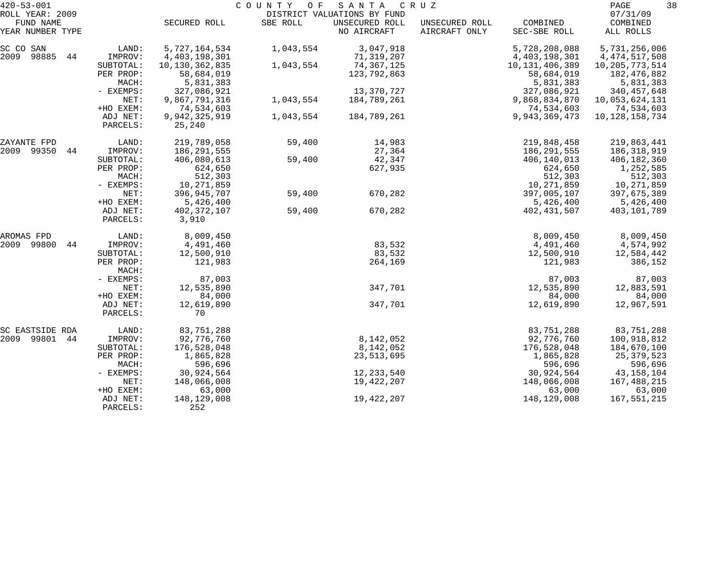| $420 - 53 - 001$<br>ROLL YEAR: 2009 |                                                                                       |                                                                                                        | COUNTY OF              | SANTA<br>DISTRICT VALUATIONS BY FUND                                 | C R U Z                         |                                                                                                        | 38<br>PAGE<br>07/31/09                                                                                     |  |
|-------------------------------------|---------------------------------------------------------------------------------------|--------------------------------------------------------------------------------------------------------|------------------------|----------------------------------------------------------------------|---------------------------------|--------------------------------------------------------------------------------------------------------|------------------------------------------------------------------------------------------------------------|--|
| FUND NAME<br>YEAR NUMBER TYPE       |                                                                                       | SECURED ROLL                                                                                           | SBE ROLL               | UNSECURED ROLL<br>NO AIRCRAFT                                        | UNSECURED ROLL<br>AIRCRAFT ONLY | COMBINED<br>SEC-SBE ROLL                                                                               | COMBINED<br>ALL ROLLS                                                                                      |  |
| SC CO SAN<br>2009<br>98885<br>44    | LAND:<br>IMPROV:<br>SUBTOTAL:<br>PER PROP:<br>MACH:<br>- EXEMPS:                      | 5,727,164,534<br>4, 403, 198, 301<br>10, 130, 362, 835<br>58,684,019<br>5,831,383<br>327,086,921       | 1,043,554<br>1,043,554 | 3,047,918<br>71,319,207<br>74,367,125<br>123,792,863<br>13,370,727   |                                 | 5,728,208,088<br>4,403,198,301<br>10, 131, 406, 389<br>58,684,019<br>5,831,383<br>327,086,921          | 5,731,256,006<br>4, 474, 517, 508<br>10, 205, 773, 514<br>182,476,882<br>5,831,383<br>340, 457, 648        |  |
|                                     | NET:<br>+HO EXEM:<br>ADJ NET:<br>PARCELS:                                             | 9,867,791,316<br>74,534,603<br>9,942,325,919<br>25,240                                                 | 1,043,554<br>1,043,554 | 184,789,261<br>184,789,261                                           |                                 | 9,868,834,870<br>74,534,603<br>9,943,369,473                                                           | 10,053,624,131<br>74,534,603<br>10, 128, 158, 734                                                          |  |
| ZAYANTE FPD<br>2009 99350<br>44     | LAND:<br>IMPROV:<br>SUBTOTAL:<br>PER PROP:<br>MACH:<br>- EXEMPS:                      | 219,789,058<br>186, 291, 555<br>406,080,613<br>624,650<br>512,303<br>10,271,859                        | 59,400<br>59,400       | 14,983<br>27,364<br>42,347<br>627,935                                |                                 | 219,848,458<br>186,291,555<br>406,140,013<br>624,650<br>512,303<br>10,271,859                          | 219,863,441<br>186, 318, 919<br>406,182,360<br>1,252,585<br>512,303<br>10,271,859                          |  |
|                                     | NET:<br>+HO EXEM:<br>ADJ NET:<br>PARCELS:                                             | 396,945,707<br>5,426,400<br>402, 372, 107<br>3,910                                                     | 59,400<br>59,400       | 670,282<br>670,282                                                   |                                 | 397,005,107<br>5,426,400<br>402,431,507                                                                | 397,675,389<br>5,426,400<br>403,101,789                                                                    |  |
| AROMAS FPD<br>2009<br>99800<br>44   | LAND:<br>IMPROV:<br>SUBTOTAL:<br>PER PROP:<br>MACH:                                   | 8,009,450<br>4,491,460<br>12,500,910<br>121,983                                                        |                        | 83,532<br>83,532<br>264,169                                          |                                 | 8,009,450<br>4,491,460<br>12,500,910<br>121,983                                                        | 8,009,450<br>4,574,992<br>12,584,442<br>386,152                                                            |  |
|                                     | - EXEMPS:<br>NET:<br>+HO EXEM:<br>ADJ NET:<br>PARCELS:                                | 87,003<br>12,535,890<br>84,000<br>12,619,890<br>70                                                     |                        | 347,701<br>347,701                                                   |                                 | 87,003<br>12,535,890<br>84,000<br>12,619,890                                                           | 87,003<br>12,883,591<br>84,000<br>12,967,591                                                               |  |
| SC EASTSIDE RDA<br>2009 99801<br>44 | LAND:<br>IMPROV:<br>SUBTOTAL:<br>PER PROP:<br>MACH:<br>- EXEMPS:<br>NET:<br>+HO EXEM: | 83,751,288<br>92,776,760<br>176,528,048<br>1,865,828<br>596,696<br>30,924,564<br>148,066,008<br>63,000 |                        | 8,142,052<br>8,142,052<br>23, 513, 695<br>12, 233, 540<br>19,422,207 |                                 | 83,751,288<br>92,776,760<br>176,528,048<br>1,865,828<br>596,696<br>30,924,564<br>148,066,008<br>63,000 | 83,751,288<br>100,918,812<br>184,670,100<br>25,379,523<br>596,696<br>43, 158, 104<br>167,488,215<br>63,000 |  |
|                                     | ADJ NET:<br>PARCELS:                                                                  | 148,129,008<br>252                                                                                     |                        | 19,422,207                                                           |                                 | 148,129,008                                                                                            | 167,551,215                                                                                                |  |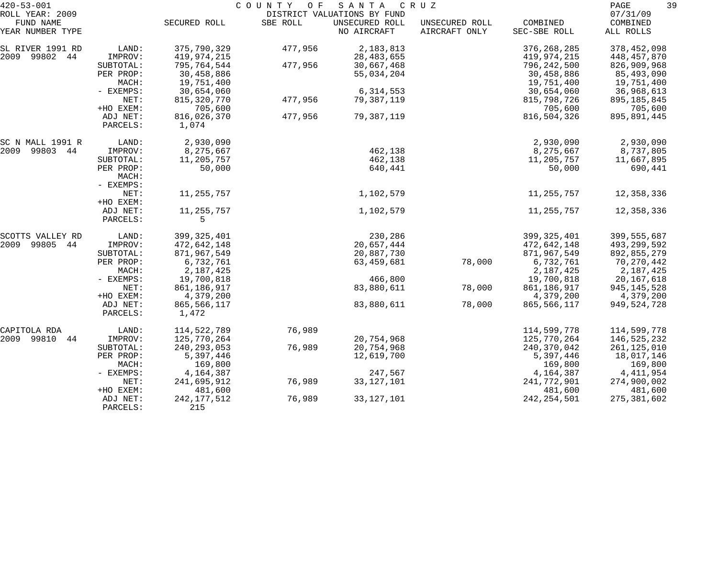| $420 - 53 - 001$              |                      |                        | COUNTY OF | S A N T A                     | C R U Z                         |                          | 39<br>PAGE            |
|-------------------------------|----------------------|------------------------|-----------|-------------------------------|---------------------------------|--------------------------|-----------------------|
| ROLL YEAR: 2009               |                      |                        |           | DISTRICT VALUATIONS BY FUND   |                                 |                          | 07/31/09              |
| FUND NAME<br>YEAR NUMBER TYPE |                      | SECURED ROLL           | SBE ROLL  | UNSECURED ROLL<br>NO AIRCRAFT | UNSECURED ROLL<br>AIRCRAFT ONLY | COMBINED<br>SEC-SBE ROLL | COMBINED<br>ALL ROLLS |
| SL RIVER 1991 RD              | LAND:                | 375,790,329            | 477,956   | 2,183,813                     |                                 | 376, 268, 285            | 378,452,098           |
| 2009 99802 44                 | IMPROV:              | 419,974,215            |           | 28, 483, 655                  |                                 | 419,974,215              | 448,457,870           |
|                               | SUBTOTAL:            | 795,764,544            | 477,956   | 30,667,468                    |                                 | 796, 242, 500            | 826,909,968           |
|                               | PER PROP:            | 30,458,886             |           | 55,034,204                    |                                 | 30,458,886               | 85,493,090            |
|                               | MACH:                | 19,751,400             |           |                               |                                 | 19,751,400               | 19,751,400            |
|                               | - EXEMPS:            | 30,654,060             |           | 6,314,553                     |                                 | 30,654,060               | 36,968,613            |
|                               | NET:                 | 815, 320, 770          | 477,956   | 79,387,119                    |                                 | 815,798,726              | 895,185,845           |
|                               | +HO EXEM:            | 705,600                |           |                               |                                 | 705,600                  | 705,600               |
|                               | ADJ NET:             | 816,026,370            | 477,956   | 79,387,119                    |                                 | 816,504,326              | 895,891,445           |
|                               | PARCELS:             | 1,074                  |           |                               |                                 |                          |                       |
| SC N MALL 1991 R              | LAND:                | 2,930,090              |           |                               |                                 | 2,930,090                | 2,930,090             |
| 2009<br>99803 44              | IMPROV:              | 8,275,667              |           | 462,138                       |                                 | 8,275,667                | 8,737,805             |
|                               | SUBTOTAL:            | 11,205,757             |           | 462,138                       |                                 | 11,205,757               | 11,667,895            |
|                               | PER PROP:<br>MACH:   | 50,000                 |           | 640,441                       |                                 | 50,000                   | 690,441               |
|                               | - EXEMPS:            |                        |           |                               |                                 |                          |                       |
|                               | NET:                 | 11,255,757             |           | 1,102,579                     |                                 | 11,255,757               | 12,358,336            |
|                               | +HO EXEM:            |                        |           |                               |                                 |                          |                       |
|                               | ADJ NET:<br>PARCELS: | 11,255,757<br>5        |           | 1,102,579                     |                                 | 11,255,757               | 12,358,336            |
| SCOTTS VALLEY RD              | LAND:                | 399, 325, 401          |           | 230,286                       |                                 | 399, 325, 401            | 399, 555, 687         |
| 2009<br>99805<br>44           | IMPROV:              | 472,642,148            |           | 20,657,444                    |                                 | 472,642,148              | 493,299,592           |
|                               | SUBTOTAL:            | 871,967,549            |           | 20,887,730                    |                                 | 871,967,549              | 892,855,279           |
|                               | PER PROP:            | 6,732,761              |           | 63,459,681                    | 78,000                          | 6,732,761                | 70,270,442            |
|                               | MACH:                | 2,187,425              |           |                               |                                 | 2,187,425                | 2,187,425             |
|                               | - EXEMPS:            | 19,700,818             |           | 466,800                       |                                 | 19,700,818               | 20, 167, 618          |
|                               | NET:                 | 861, 186, 917          |           | 83,880,611                    | 78,000                          | 861,186,917              | 945, 145, 528         |
|                               | +HO EXEM:            | 4,379,200              |           |                               |                                 | 4,379,200                | 4,379,200             |
|                               | ADJ NET:<br>PARCELS: | 865, 566, 117<br>1,472 |           | 83,880,611                    | 78,000                          | 865,566,117              | 949,524,728           |
|                               |                      |                        |           |                               |                                 |                          |                       |
| CAPITOLA RDA                  | LAND:                | 114,522,789            | 76,989    |                               |                                 | 114,599,778              | 114,599,778           |
| 2009 99810<br>44              | IMPROV:              | 125,770,264            |           | 20,754,968                    |                                 | 125,770,264              | 146,525,232           |
|                               | SUBTOTAL:            | 240, 293, 053          | 76,989    | 20,754,968                    |                                 | 240, 370, 042            | 261, 125, 010         |
|                               | PER PROP:            | 5,397,446              |           | 12,619,700                    |                                 | 5,397,446                | 18,017,146            |
|                               | MACH:                | 169,800                |           |                               |                                 | 169,800                  | 169,800               |
|                               | - EXEMPS:            | 4,164,387              |           | 247,567                       |                                 | 4,164,387                | 4, 411, 954           |
|                               | NET:                 | 241,695,912            | 76,989    | 33, 127, 101                  |                                 | 241,772,901              | 274,900,002           |
|                               | +HO EXEM:            | 481,600                |           |                               |                                 | 481,600                  | 481,600               |
|                               | ADJ NET:<br>PARCELS: | 242, 177, 512<br>215   | 76,989    | 33, 127, 101                  |                                 | 242, 254, 501            | 275, 381, 602         |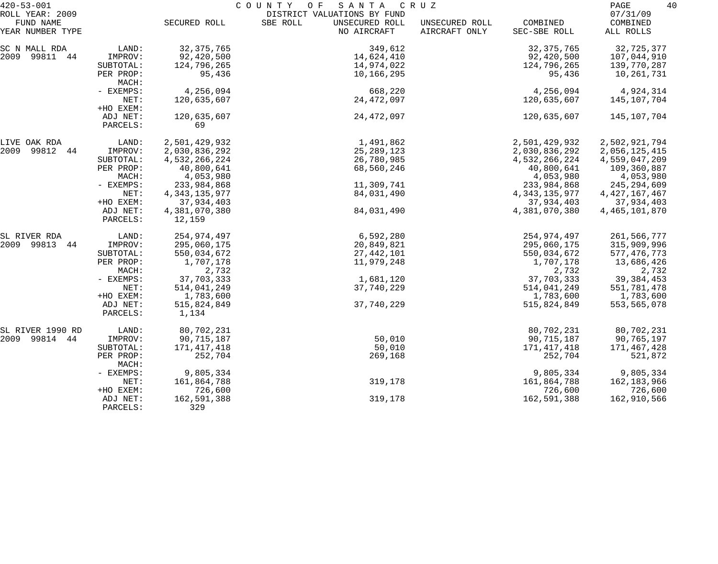| $420 - 53 - 001$              |                      | COUNTY<br>O F<br>SANTA<br>C R U Z |                                           |                                 |                          |                       |  |
|-------------------------------|----------------------|-----------------------------------|-------------------------------------------|---------------------------------|--------------------------|-----------------------|--|
| ROLL YEAR: 2009               |                      |                                   | DISTRICT VALUATIONS BY FUND               |                                 |                          | 07/31/09              |  |
| FUND NAME<br>YEAR NUMBER TYPE |                      | SECURED ROLL                      | SBE ROLL<br>UNSECURED ROLL<br>NO AIRCRAFT | UNSECURED ROLL<br>AIRCRAFT ONLY | COMBINED<br>SEC-SBE ROLL | COMBINED<br>ALL ROLLS |  |
| SC N MALL RDA                 | LAND:                | 32, 375, 765                      | 349,612                                   |                                 | 32, 375, 765             | 32,725,377            |  |
| 2009 99811 44                 | IMPROV:              | 92,420,500                        | 14,624,410                                |                                 | 92,420,500               | 107,044,910           |  |
|                               | SUBTOTAL:            | 124,796,265                       | 14,974,022                                |                                 | 124,796,265              | 139,770,287           |  |
|                               | PER PROP:<br>MACH:   | 95,436                            | 10,166,295                                |                                 | 95,436                   | 10,261,731            |  |
|                               | - EXEMPS:            | 4,256,094                         | 668,220                                   |                                 | 4,256,094                | 4,924,314             |  |
|                               | NET:<br>+HO EXEM:    | 120,635,607                       | 24,472,097                                |                                 | 120,635,607              | 145,107,704           |  |
|                               | ADJ NET:<br>PARCELS: | 120,635,607<br>69                 | 24, 472, 097                              |                                 | 120,635,607              | 145,107,704           |  |
| LIVE OAK RDA                  | LAND:                | 2,501,429,932                     | 1,491,862                                 |                                 | 2,501,429,932            | 2,502,921,794         |  |
| 2009 99812 44                 | IMPROV:              | 2,030,836,292                     | 25, 289, 123                              |                                 | 2,030,836,292            | 2,056,125,415         |  |
|                               | SUBTOTAL:            | 4,532,266,224                     | 26,780,985                                |                                 | 4,532,266,224            | 4,559,047,209         |  |
|                               | PER PROP:            | 40,800,641                        | 68,560,246                                |                                 | 40,800,641               | 109,360,887           |  |
|                               | MACH:                | 4,053,980                         |                                           |                                 | 4,053,980                | 4,053,980             |  |
|                               | - EXEMPS:            | 233,984,868                       | 11,309,741                                |                                 | 233,984,868              | 245, 294, 609         |  |
|                               | NET:                 | 4, 343, 135, 977                  | 84,031,490                                |                                 | 4, 343, 135, 977         | 4, 427, 167, 467      |  |
|                               | +HO EXEM:            | 37,934,403                        |                                           |                                 | 37,934,403               | 37,934,403            |  |
|                               | ADJ NET:<br>PARCELS: | 4,381,070,380<br>12,159           | 84,031,490                                |                                 | 4,381,070,380            | 4, 465, 101, 870      |  |
| SL RIVER RDA                  | LAND:                | 254,974,497                       | 6,592,280                                 |                                 | 254,974,497              | 261,566,777           |  |
| 2009 99813<br>44              | IMPROV:              | 295,060,175                       | 20,849,821                                |                                 | 295,060,175              | 315,909,996           |  |
|                               | SUBTOTAL:            | 550,034,672                       | 27,442,101                                |                                 | 550,034,672              | 577, 476, 773         |  |
|                               | PER PROP:<br>MACH:   | 1,707,178<br>2,732                | 11,979,248                                |                                 | 1,707,178<br>2,732       | 13,686,426<br>2,732   |  |
|                               | - EXEMPS:            | 37,703,333                        | 1,681,120                                 |                                 | 37,703,333               | 39, 384, 453          |  |
|                               | NET:                 | 514,041,249                       | 37,740,229                                |                                 | 514,041,249              | 551,781,478           |  |
|                               | +HO EXEM:            | 1,783,600                         |                                           |                                 | 1,783,600                | 1,783,600             |  |
|                               | ADJ NET:<br>PARCELS: | 515,824,849<br>1,134              | 37,740,229                                |                                 | 515,824,849              | 553,565,078           |  |
| SL RIVER 1990 RD              | LAND:                | 80,702,231                        |                                           |                                 | 80,702,231               | 80,702,231            |  |
| 2009 99814 44                 | IMPROV:              | 90,715,187                        | 50,010                                    |                                 | 90, 715, 187             | 90,765,197            |  |
|                               | SUBTOTAL:            | 171,417,418                       | 50,010                                    |                                 | 171,417,418              | 171,467,428           |  |
|                               | PER PROP:<br>MACH:   | 252,704                           | 269,168                                   |                                 | 252,704                  | 521,872               |  |
|                               | - EXEMPS:            | 9,805,334                         |                                           |                                 | 9,805,334                | 9,805,334             |  |
|                               | NET:                 | 161,864,788                       | 319,178                                   |                                 | 161,864,788              | 162,183,966           |  |
|                               | +HO EXEM:            | 726,600                           |                                           |                                 | 726,600                  | 726,600               |  |
|                               | ADJ NET:<br>PARCELS: | 162,591,388<br>329                | 319,178                                   |                                 | 162,591,388              | 162,910,566           |  |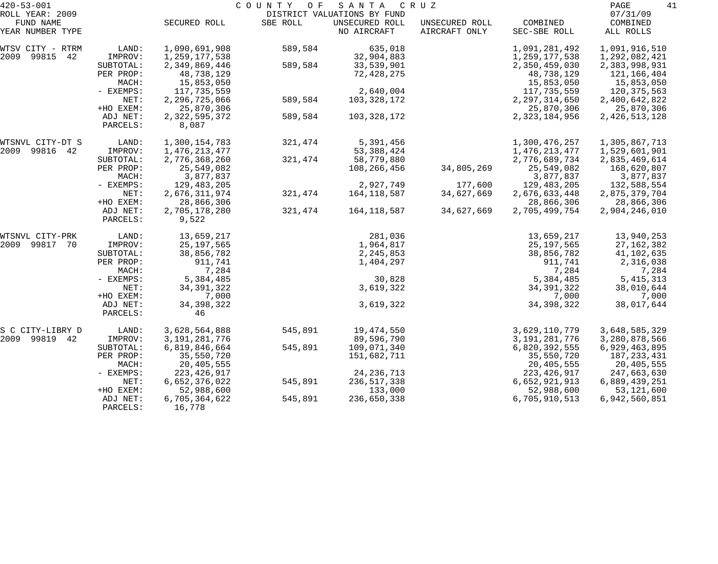| $420 - 53 - 001$                                 |             | COUNTY OF<br>SANTA<br>C R U Z |          |                                                              |                                 |                          |                                   |
|--------------------------------------------------|-------------|-------------------------------|----------|--------------------------------------------------------------|---------------------------------|--------------------------|-----------------------------------|
| ROLL YEAR: 2009<br>FUND NAME<br>YEAR NUMBER TYPE |             | SECURED ROLL                  | SBE ROLL | DISTRICT VALUATIONS BY FUND<br>UNSECURED ROLL<br>NO AIRCRAFT | UNSECURED ROLL<br>AIRCRAFT ONLY | COMBINED<br>SEC-SBE ROLL | 07/31/09<br>COMBINED<br>ALL ROLLS |
|                                                  |             |                               |          |                                                              |                                 |                          |                                   |
| WTSV CITY - RTRM                                 | LAND:       | 1,090,691,908                 | 589,584  | 635,018                                                      |                                 | 1,091,281,492            | 1,091,916,510                     |
| 2009<br>99815<br>42                              | IMPROV:     | 1,259,177,538                 |          | 32,904,883                                                   |                                 | 1,259,177,538            | 1,292,082,421                     |
|                                                  | SUBTOTAL:   | 2,349,869,446                 | 589,584  | 33,539,901                                                   |                                 | 2,350,459,030            | 2,383,998,931                     |
|                                                  | PER PROP:   | 48,738,129                    |          | 72,428,275                                                   |                                 | 48,738,129               | 121,166,404                       |
|                                                  | MACH:       | 15,853,050                    |          |                                                              |                                 | 15,853,050               | 15,853,050                        |
|                                                  | - EXEMPS:   | 117,735,559                   |          | 2,640,004                                                    |                                 | 117,735,559              | 120, 375, 563                     |
|                                                  | NET:        | 2,296,725,066                 | 589,584  | 103,328,172                                                  |                                 | 2, 297, 314, 650         | 2,400,642,822                     |
|                                                  | +HO EXEM:   | 25,870,306                    |          |                                                              |                                 | 25,870,306               | 25,870,306                        |
|                                                  | ADJ NET:    | 2,322,595,372                 | 589,584  | 103,328,172                                                  |                                 | 2, 323, 184, 956         | 2, 426, 513, 128                  |
|                                                  | PARCELS:    | 8,087                         |          |                                                              |                                 |                          |                                   |
| WTSNVL CITY-DT S                                 | LAND:       | 1,300,154,783                 | 321,474  | 5,391,456                                                    |                                 | 1,300,476,257            | 1,305,867,713                     |
| 2009<br>99816 42                                 | IMPROV:     | 1,476,213,477                 |          | 53, 388, 424                                                 |                                 | 1,476,213,477            | 1,529,601,901                     |
|                                                  | SUBTOTAL:   | 2,776,368,260                 | 321,474  | 58,779,880                                                   |                                 | 2,776,689,734            | 2,835,469,614                     |
|                                                  | PER PROP:   | 25,549,082                    |          | 108,266,456                                                  | 34,805,269                      | 25,549,082               | 168,620,807                       |
|                                                  | MACH:       | 3,877,837                     |          |                                                              |                                 | 3,877,837                | 3,877,837                         |
|                                                  | - EXEMPS:   | 129,483,205                   |          | 2,927,749                                                    | 177,600                         | 129, 483, 205            | 132,588,554                       |
|                                                  | NET:        | 2,676,311,974                 | 321,474  | 164, 118, 587                                                | 34,627,669                      | 2,676,633,448            | 2,875,379,704                     |
|                                                  | +HO EXEM:   | 28,866,306                    |          |                                                              |                                 | 28,866,306               | 28,866,306                        |
|                                                  | ADJ NET:    | 2,705,178,280                 | 321,474  | 164,118,587                                                  | 34,627,669                      | 2,705,499,754            | 2,904,246,010                     |
|                                                  | PARCELS:    | 9,522                         |          |                                                              |                                 |                          |                                   |
| WTSNVL CITY-PRK                                  | LAND:       | 13,659,217                    |          | 281,036                                                      |                                 | 13,659,217               | 13,940,253                        |
| 99817<br>2009<br>70                              | IMPROV:     | 25, 197, 565                  |          | 1,964,817                                                    |                                 | 25, 197, 565             | 27, 162, 382                      |
|                                                  | SUBTOTAL:   | 38,856,782                    |          | 2, 245, 853                                                  |                                 | 38,856,782               | 41,102,635                        |
|                                                  | PER PROP:   | 911,741                       |          | 1,404,297                                                    |                                 | 911,741                  | 2,316,038                         |
|                                                  | MACH:       | 7,284                         |          |                                                              |                                 | 7,284                    | 7,284                             |
|                                                  | - EXEMPS:   | 5,384,485                     |          | 30,828                                                       |                                 | 5,384,485                | 5, 415, 313                       |
|                                                  | NET:        | 34, 391, 322                  |          | 3,619,322                                                    |                                 | 34, 391, 322             | 38,010,644                        |
|                                                  | +HO EXEM:   | 7,000                         |          |                                                              |                                 | 7,000                    | 7,000                             |
|                                                  | ADJ NET:    | 34, 398, 322                  |          | 3,619,322                                                    |                                 | 34, 398, 322             | 38,017,644                        |
|                                                  | PARCELS:    | 46                            |          |                                                              |                                 |                          |                                   |
| S C CITY-LIBRY D                                 | LAND:       | 3,628,564,888                 | 545,891  | 19,474,550                                                   |                                 | 3,629,110,779            | 3,648,585,329                     |
| 2009<br>99819 42                                 | IMPROV:     | 3, 191, 281, 776              |          | 89,596,790                                                   |                                 | 3, 191, 281, 776         | 3,280,878,566                     |
|                                                  | SUBTOTAL:   | 6,819,846,664                 | 545,891  | 109,071,340                                                  |                                 | 6,820,392,555            | 6,929,463,895                     |
|                                                  | PER PROP:   | 35,550,720                    |          | 151,682,711                                                  |                                 | 35,550,720               | 187, 233, 431                     |
|                                                  | MACH:       | 20,405,555                    |          |                                                              |                                 | 20,405,555               | 20,405,555                        |
|                                                  | $-$ EXEMPS: | 223, 426, 917                 |          | 24, 236, 713                                                 |                                 | 223, 426, 917            | 247,663,630                       |
|                                                  | NET:        | 6,652,376,022                 | 545,891  | 236,517,338                                                  |                                 | 6,652,921,913            | 6,889,439,251                     |
|                                                  | +HO EXEM:   | 52,988,600                    |          | 133,000                                                      |                                 | 52,988,600               | 53, 121, 600                      |
|                                                  | ADJ NET:    | 6,705,364,622                 | 545,891  | 236,650,338                                                  |                                 | 6,705,910,513            | 6,942,560,851                     |
|                                                  | PARCELS:    | 16,778                        |          |                                                              |                                 |                          |                                   |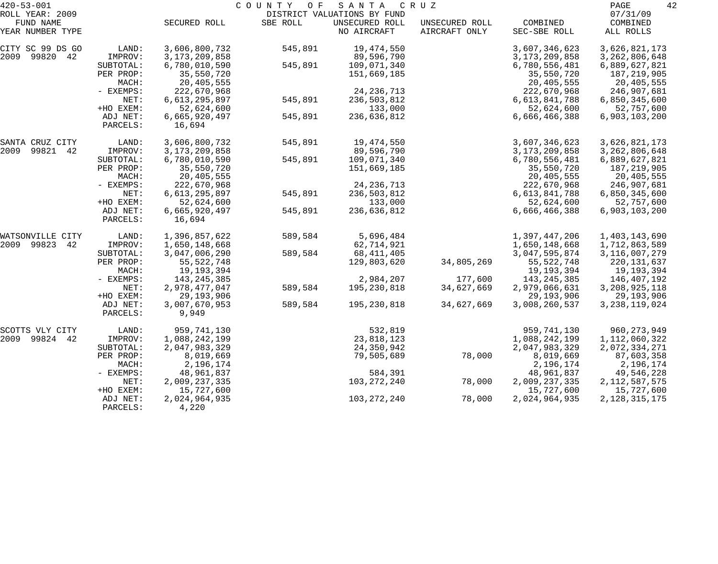| $420 - 53 - 001$<br>ROLL YEAR: 2009     |                                   | COUNTY OF<br>SANTA<br>CRUZ<br>DISTRICT VALUATIONS BY FUND |          |                                        |                                 |                                            |                                              |  |
|-----------------------------------------|-----------------------------------|-----------------------------------------------------------|----------|----------------------------------------|---------------------------------|--------------------------------------------|----------------------------------------------|--|
| FUND NAME<br>YEAR NUMBER TYPE           |                                   | SECURED ROLL                                              | SBE ROLL | UNSECURED ROLL<br>NO AIRCRAFT          | UNSECURED ROLL<br>AIRCRAFT ONLY | COMBINED<br>SEC-SBE ROLL                   | 07/31/09<br>COMBINED<br>ALL ROLLS            |  |
| CITY SC 99 DS GO<br>2009<br>99820 42    | LAND:<br>IMPROV:                  | 3,606,800,732<br>3, 173, 209, 858                         | 545,891  | 19,474,550<br>89,596,790               |                                 | 3,607,346,623<br>3, 173, 209, 858          | 3,626,821,173<br>3, 262, 806, 648            |  |
|                                         | SUBTOTAL:<br>PER PROP:<br>MACH:   | 6,780,010,590<br>35,550,720<br>20,405,555                 | 545,891  | 109,071,340<br>151,669,185             |                                 | 6,780,556,481<br>35,550,720<br>20,405,555  | 6,889,627,821<br>187,219,905<br>20,405,555   |  |
|                                         | - EXEMPS:<br>NET:                 | 222,670,968<br>6,613,295,897                              | 545,891  | 24, 236, 713<br>236,503,812            |                                 | 222,670,968<br>6,613,841,788               | 246,907,681<br>6,850,345,600                 |  |
|                                         | +HO EXEM:<br>ADJ NET:<br>PARCELS: | 52,624,600<br>6,665,920,497<br>16,694                     | 545,891  | 133,000<br>236,636,812                 |                                 | 52,624,600<br>6,666,466,388                | 52,757,600<br>6,903,103,200                  |  |
| SANTA CRUZ CITY<br>99821<br>2009<br>42  | LAND:<br>IMPROV:                  | 3,606,800,732<br>3, 173, 209, 858                         | 545,891  | 19,474,550<br>89,596,790               |                                 | 3,607,346,623<br>3, 173, 209, 858          | 3,626,821,173<br>3, 262, 806, 648            |  |
|                                         | SUBTOTAL:<br>PER PROP:<br>MACH:   | 6,780,010,590<br>35,550,720<br>20,405,555                 | 545,891  | 109,071,340<br>151,669,185             |                                 | 6,780,556,481<br>35,550,720<br>20,405,555  | 6,889,627,821<br>187,219,905<br>20,405,555   |  |
|                                         | - EXEMPS:<br>NET:<br>+HO EXEM:    | 222,670,968<br>6,613,295,897<br>52,624,600                | 545,891  | 24, 236, 713<br>236,503,812<br>133,000 |                                 | 222,670,968<br>6,613,841,788<br>52,624,600 | 246,907,681<br>6,850,345,600<br>52,757,600   |  |
|                                         | ADJ NET:<br>PARCELS:              | 6,665,920,497<br>16,694                                   | 545,891  | 236,636,812                            |                                 | 6,666,466,388                              | 6,903,103,200                                |  |
| WATSONVILLE CITY<br>2009<br>99823<br>42 | LAND:<br>IMPROV:                  | 1,396,857,622<br>1,650,148,668                            | 589,584  | 5,696,484<br>62,714,921                |                                 | 1,397,447,206<br>1,650,148,668             | 1,403,143,690<br>1,712,863,589               |  |
|                                         | SUBTOTAL:                         | 3,047,006,290                                             | 589,584  | 68, 411, 405                           |                                 | 3,047,595,874                              | 3, 116, 007, 279                             |  |
|                                         | PER PROP:<br>MACH:                | 55, 522, 748<br>19,193,394                                |          | 129,803,620                            | 34,805,269                      | 55,522,748<br>19,193,394                   | 220, 131, 637<br>19,193,394                  |  |
|                                         | - EXEMPS:<br>NET:                 | 143, 245, 385<br>2,978,477,047                            | 589,584  | 2,984,207<br>195,230,818               | 177,600<br>34,627,669           | 143, 245, 385<br>2,979,066,631             | 146,407,192<br>3, 208, 925, 118              |  |
|                                         | +HO EXEM:<br>ADJ NET:<br>PARCELS: | 29, 193, 906<br>3,007,670,953<br>9,949                    | 589,584  | 195,230,818                            | 34,627,669                      | 29,193,906<br>3,008,260,537                | 29,193,906<br>3, 238, 119, 024               |  |
| SCOTTS VLY CITY                         | LAND:                             | 959,741,130                                               |          | 532,819                                |                                 | 959,741,130                                | 960, 273, 949                                |  |
| 99824 42<br>2009                        | IMPROV:<br>SUBTOTAL:              | 1,088,242,199<br>2,047,983,329                            |          | 23,818,123<br>24,350,942               |                                 | 1,088,242,199<br>2,047,983,329             | 1,112,060,322<br>2,072,334,271               |  |
|                                         | PER PROP:<br>MACH:                | 8,019,669<br>2,196,174                                    |          | 79,505,689                             | 78,000                          | 8,019,669<br>2,196,174                     | 87,603,358<br>2,196,174                      |  |
|                                         | $-$ EXEMPS:<br>NET:<br>+HO EXEM:  | 48,961,837<br>2,009,237,335<br>15,727,600                 |          | 584,391<br>103,272,240                 | 78,000                          | 48,961,837<br>2,009,237,335<br>15,727,600  | 49,546,228<br>2, 112, 587, 575<br>15,727,600 |  |
|                                         | ADJ NET:<br>PARCELS:              | 2,024,964,935<br>4,220                                    |          | 103, 272, 240                          | 78,000                          | 2,024,964,935                              | 2, 128, 315, 175                             |  |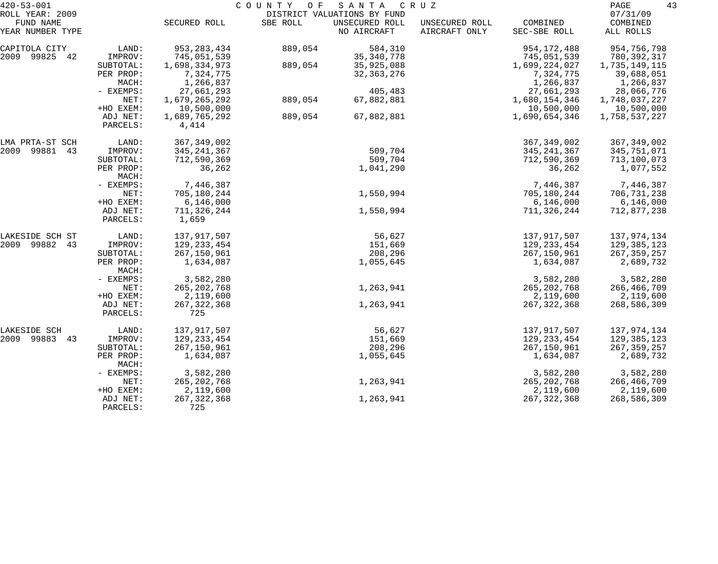| $420 - 53 - 001$                                 |                                   |                                      | COUNTY OF | SANTA                                                        | C R U Z                         |                              | 43<br>PAGE                        |
|--------------------------------------------------|-----------------------------------|--------------------------------------|-----------|--------------------------------------------------------------|---------------------------------|------------------------------|-----------------------------------|
| ROLL YEAR: 2009<br>FUND NAME<br>YEAR NUMBER TYPE |                                   | SECURED ROLL                         | SBE ROLL  | DISTRICT VALUATIONS BY FUND<br>UNSECURED ROLL<br>NO AIRCRAFT | UNSECURED ROLL<br>AIRCRAFT ONLY | COMBINED<br>SEC-SBE ROLL     | 07/31/09<br>COMBINED<br>ALL ROLLS |
|                                                  |                                   |                                      |           |                                                              |                                 |                              |                                   |
| CAPITOLA CITY<br>2009 99825 42                   | LAND:<br>IMPROV:                  | 953, 283, 434<br>745,051,539         | 889,054   | 584,310<br>35, 340, 778                                      |                                 | 954, 172, 488<br>745,051,539 | 954,756,798<br>780,392,317        |
|                                                  | SUBTOTAL:<br>PER PROP:            | 1,698,334,973<br>7,324,775           | 889,054   | 35,925,088<br>32, 363, 276                                   |                                 | 1,699,224,027<br>7,324,775   | 1,735,149,115<br>39,688,051       |
|                                                  | MACH:<br>- EXEMPS:                | 1,266,837<br>27,661,293              |           | 405,483                                                      |                                 | 1,266,837<br>27,661,293      | 1,266,837<br>28,066,776           |
|                                                  | NET:                              | 1,679,265,292                        | 889,054   | 67,882,881                                                   |                                 | 1,680,154,346                | 1,748,037,227                     |
|                                                  | +HO EXEM:<br>ADJ NET:<br>PARCELS: | 10,500,000<br>1,689,765,292<br>4,414 | 889,054   | 67,882,881                                                   |                                 | 10,500,000<br>1,690,654,346  | 10,500,000<br>1,758,537,227       |
| LMA PRTA-ST SCH                                  | LAND:                             | 367, 349, 002                        |           |                                                              |                                 | 367, 349, 002                | 367, 349, 002                     |
| 2009<br>99881<br>43                              | IMPROV:                           | 345, 241, 367                        |           | 509,704                                                      |                                 | 345, 241, 367                | 345,751,071                       |
|                                                  | SUBTOTAL:<br>PER PROP:<br>MACH:   | 712,590,369<br>36,262                |           | 509,704<br>1,041,290                                         |                                 | 712,590,369<br>36,262        | 713,100,073<br>1,077,552          |
|                                                  | - EXEMPS:                         | 7,446,387                            |           |                                                              |                                 | 7,446,387                    | 7,446,387                         |
|                                                  | NET:<br>+HO EXEM:                 | 705,180,244<br>6, 146, 000           |           | 1,550,994                                                    |                                 | 705,180,244<br>6,146,000     | 706,731,238<br>6, 146, 000        |
|                                                  | ADJ NET:<br>PARCELS:              | 711,326,244<br>1,659                 |           | 1,550,994                                                    |                                 | 711,326,244                  | 712,877,238                       |
| LAKESIDE SCH ST                                  | LAND:                             | 137,917,507                          |           | 56,627                                                       |                                 | 137,917,507                  | 137,974,134                       |
| 2009 99882<br>43                                 | IMPROV:                           | 129, 233, 454                        |           | 151,669                                                      |                                 | 129, 233, 454                | 129,385,123                       |
|                                                  | SUBTOTAL:<br>PER PROP:            | 267,150,961<br>1,634,087             |           | 208,296<br>1,055,645                                         |                                 | 267,150,961<br>1,634,087     | 267, 359, 257<br>2,689,732        |
|                                                  | MACH:                             |                                      |           |                                                              |                                 |                              |                                   |
|                                                  | - EXEMPS:<br>NET:                 | 3,582,280<br>265, 202, 768           |           | 1,263,941                                                    |                                 | 3,582,280                    | 3,582,280                         |
|                                                  | +HO EXEM:                         | 2,119,600                            |           |                                                              |                                 | 265, 202, 768<br>2,119,600   | 266,466,709<br>2,119,600          |
|                                                  | ADJ NET:<br>PARCELS:              | 267, 322, 368<br>725                 |           | 1,263,941                                                    |                                 | 267, 322, 368                | 268,586,309                       |
| LAKESIDE SCH                                     | LAND:                             | 137,917,507                          |           | 56,627                                                       |                                 | 137,917,507                  | 137,974,134                       |
| 2009 99883<br>43                                 | IMPROV:                           | 129, 233, 454                        |           | 151,669                                                      |                                 | 129, 233, 454                | 129,385,123                       |
|                                                  | SUBTOTAL:                         | 267,150,961                          |           | 208,296                                                      |                                 | 267,150,961                  | 267, 359, 257                     |
|                                                  | PER PROP:<br>MACH:                | 1,634,087                            |           | 1,055,645                                                    |                                 | 1,634,087                    | 2,689,732                         |
|                                                  | - EXEMPS:                         | 3,582,280                            |           |                                                              |                                 | 3,582,280                    | 3,582,280                         |
|                                                  | NET:                              | 265, 202, 768                        |           | 1,263,941                                                    |                                 | 265, 202, 768                | 266, 466, 709                     |
|                                                  | +HO EXEM:                         | 2,119,600                            |           |                                                              |                                 | 2,119,600                    | 2,119,600                         |
|                                                  | ADJ NET:<br>PARCELS:              | 267, 322, 368<br>725                 |           | 1,263,941                                                    |                                 | 267, 322, 368                | 268,586,309                       |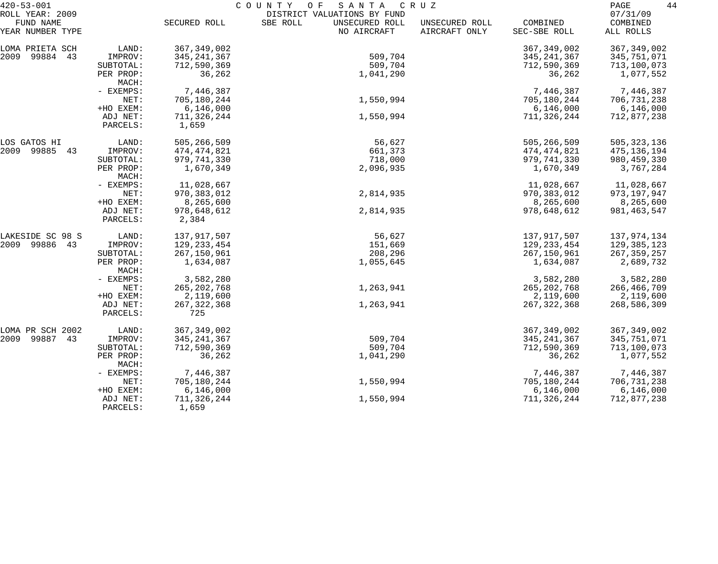| $420 - 53 - 001$             |                      | COUNTY<br>O F<br>SANTA<br>C R U Z |                                                           |                |               |                      |  |
|------------------------------|----------------------|-----------------------------------|-----------------------------------------------------------|----------------|---------------|----------------------|--|
| ROLL YEAR: 2009<br>FUND NAME |                      | SECURED ROLL                      | DISTRICT VALUATIONS BY FUND<br>SBE ROLL<br>UNSECURED ROLL | UNSECURED ROLL | COMBINED      | 07/31/09<br>COMBINED |  |
| YEAR NUMBER TYPE             |                      |                                   | NO AIRCRAFT                                               | AIRCRAFT ONLY  | SEC-SBE ROLL  | ALL ROLLS            |  |
| LOMA PRIETA SCH              | LAND:                | 367, 349, 002                     |                                                           |                | 367, 349, 002 | 367, 349, 002        |  |
| 2009 99884 43                | IMPROV:              | 345, 241, 367                     | 509,704                                                   |                | 345, 241, 367 | 345,751,071          |  |
|                              | SUBTOTAL:            | 712,590,369                       | 509,704                                                   |                | 712,590,369   | 713,100,073          |  |
|                              | PER PROP:<br>MACH:   | 36,262                            | 1,041,290                                                 |                | 36,262        | 1,077,552            |  |
|                              | - EXEMPS:            | 7,446,387                         |                                                           |                | 7,446,387     | 7,446,387            |  |
|                              | NET:                 | 705,180,244                       | 1,550,994                                                 |                | 705,180,244   | 706,731,238          |  |
|                              | +HO EXEM:            | 6,146,000                         |                                                           |                | 6,146,000     | 6,146,000            |  |
|                              | ADJ NET:<br>PARCELS: | 711,326,244<br>1,659              | 1,550,994                                                 |                | 711,326,244   | 712,877,238          |  |
| LOS GATOS HI                 | LAND:                | 505,266,509                       | 56,627                                                    |                | 505,266,509   | 505, 323, 136        |  |
| 2009 99885 43                | IMPROV:              | 474,474,821                       | 661,373                                                   |                | 474,474,821   | 475,136,194          |  |
|                              | SUBTOTAL:            | 979,741,330                       | 718,000                                                   |                | 979,741,330   | 980, 459, 330        |  |
|                              | PER PROP:<br>MACH:   | 1,670,349                         | 2,096,935                                                 |                | 1,670,349     | 3,767,284            |  |
|                              | - EXEMPS:            | 11,028,667                        |                                                           |                | 11,028,667    | 11,028,667           |  |
|                              | NET:                 | 970,383,012                       | 2,814,935                                                 |                | 970, 383, 012 | 973, 197, 947        |  |
|                              | +HO EXEM:            | 8,265,600                         |                                                           |                | 8,265,600     | 8,265,600            |  |
|                              | ADJ NET:<br>PARCELS: | 978,648,612<br>2,384              | 2,814,935                                                 |                | 978,648,612   | 981, 463, 547        |  |
| LAKESIDE SC 98 S             | LAND:                | 137,917,507                       | 56,627                                                    |                | 137,917,507   | 137,974,134          |  |
| 2009 99886 43                | IMPROV:              | 129, 233, 454                     | 151,669                                                   |                | 129, 233, 454 | 129,385,123          |  |
|                              | SUBTOTAL:            | 267,150,961                       | 208,296                                                   |                | 267,150,961   | 267, 359, 257        |  |
|                              | PER PROP:<br>MACH:   | 1,634,087                         | 1,055,645                                                 |                | 1,634,087     | 2,689,732            |  |
|                              | - EXEMPS:            | 3,582,280                         |                                                           |                | 3,582,280     | 3,582,280            |  |
|                              | NET:                 | 265, 202, 768                     | 1,263,941                                                 |                | 265, 202, 768 | 266,466,709          |  |
|                              | +HO EXEM:            | 2,119,600                         |                                                           |                | 2,119,600     | 2,119,600            |  |
|                              | ADJ NET:<br>PARCELS: | 267, 322, 368<br>725              | 1,263,941                                                 |                | 267, 322, 368 | 268,586,309          |  |
| LOMA PR SCH 2002             | LAND:                | 367, 349, 002                     |                                                           |                | 367, 349, 002 | 367, 349, 002        |  |
| 2009 99887<br>43             | IMPROV:              | 345, 241, 367                     | 509,704                                                   |                | 345, 241, 367 | 345,751,071          |  |
|                              | SUBTOTAL:            | 712,590,369                       | 509,704                                                   |                | 712,590,369   | 713,100,073          |  |
|                              | PER PROP:<br>MACH:   | 36,262                            | 1,041,290                                                 |                | 36,262        | 1,077,552            |  |
|                              | - EXEMPS:            | 7,446,387                         |                                                           |                | 7,446,387     | 7,446,387            |  |
|                              | NET:                 | 705,180,244                       | 1,550,994                                                 |                | 705,180,244   | 706,731,238          |  |
|                              | +HO EXEM:            | 6,146,000                         |                                                           |                | 6,146,000     | 6,146,000            |  |
|                              | ADJ NET:<br>PARCELS: | 711,326,244<br>1,659              | 1,550,994                                                 |                | 711,326,244   | 712,877,238          |  |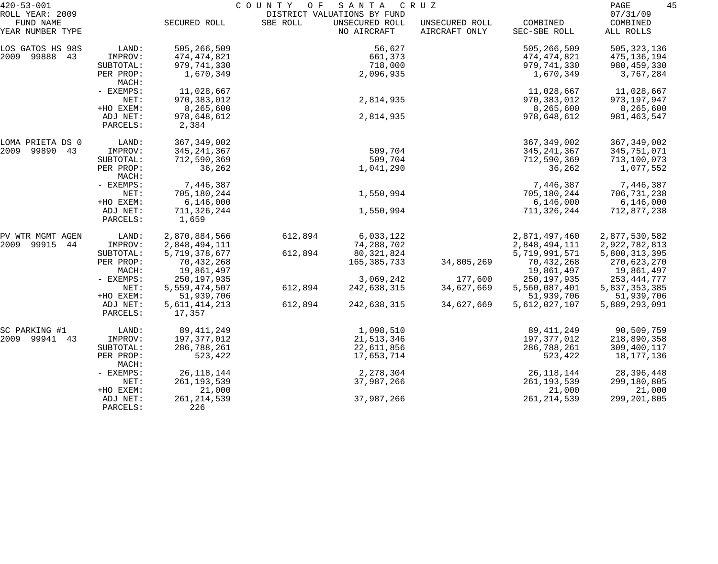| $420 - 53 - 001$                     |                      |                      | COUNTY<br>O F | SANTA                       | C R U Z        |               | 45<br>PAGE    |
|--------------------------------------|----------------------|----------------------|---------------|-----------------------------|----------------|---------------|---------------|
| ROLL YEAR: 2009                      |                      |                      |               | DISTRICT VALUATIONS BY FUND |                |               | 07/31/09      |
| FUND NAME                            |                      | SECURED ROLL         | SBE ROLL      | UNSECURED ROLL              | UNSECURED ROLL | COMBINED      | COMBINED      |
| YEAR NUMBER TYPE                     |                      |                      |               | NO AIRCRAFT                 | AIRCRAFT ONLY  | SEC-SBE ROLL  | ALL ROLLS     |
| LOS GATOS HS 98S                     | LAND:                | 505,266,509          |               | 56,627                      |                | 505,266,509   | 505, 323, 136 |
| 2009 99888<br>43                     | IMPROV:              | 474,474,821          |               | 661,373                     |                | 474,474,821   | 475,136,194   |
|                                      | SUBTOTAL:            | 979,741,330          |               | 718,000                     |                | 979,741,330   | 980, 459, 330 |
|                                      | PER PROP:<br>MACH:   | 1,670,349            |               | 2,096,935                   |                | 1,670,349     | 3,767,284     |
|                                      | - EXEMPS:            | 11,028,667           |               |                             |                | 11,028,667    | 11,028,667    |
|                                      | NET:                 | 970, 383, 012        |               | 2,814,935                   |                | 970, 383, 012 | 973,197,947   |
|                                      | +HO EXEM:            | 8,265,600            |               |                             |                | 8,265,600     | 8,265,600     |
|                                      | ADJ NET:<br>PARCELS: | 978,648,612<br>2,384 |               | 2,814,935                   |                | 978,648,612   | 981, 463, 547 |
|                                      | LAND:                | 367, 349, 002        |               |                             |                | 367, 349, 002 | 367, 349, 002 |
| LOMA PRIETA DS 0<br>2009 99890<br>43 | IMPROV:              |                      |               | 509,704                     |                |               |               |
|                                      |                      | 345, 241, 367        |               | 509,704                     |                | 345, 241, 367 | 345,751,071   |
|                                      | SUBTOTAL:            | 712,590,369          |               |                             |                | 712,590,369   | 713,100,073   |
|                                      | PER PROP:<br>MACH:   | 36,262               |               | 1,041,290                   |                | 36,262        | 1,077,552     |
|                                      | - EXEMPS:            | 7,446,387            |               |                             |                | 7,446,387     | 7,446,387     |
|                                      | NET:                 | 705,180,244          |               | 1,550,994                   |                | 705,180,244   | 706,731,238   |
|                                      | +HO EXEM:            | 6,146,000            |               |                             |                | 6,146,000     | 6,146,000     |
|                                      | ADJ NET:<br>PARCELS: | 711,326,244<br>1,659 |               | 1,550,994                   |                | 711,326,244   | 712,877,238   |
| PV WTR MGMT AGEN                     | LAND:                | 2,870,884,566        | 612,894       | 6,033,122                   |                | 2,871,497,460 | 2,877,530,582 |
| 2009 99915<br>44                     | IMPROV:              | 2,848,494,111        |               | 74,288,702                  |                | 2,848,494,111 | 2,922,782,813 |
|                                      | SUBTOTAL:            | 5,719,378,677        | 612,894       | 80,321,824                  |                | 5,719,991,571 | 5,800,313,395 |
|                                      | PER PROP:            | 70,432,268           |               | 165,385,733                 | 34,805,269     | 70,432,268    | 270,623,270   |
|                                      | MACH:                | 19,861,497           |               |                             |                | 19,861,497    | 19,861,497    |
|                                      | - EXEMPS:            | 250, 197, 935        |               | 3,069,242                   | 177,600        | 250, 197, 935 | 253,444,777   |
|                                      | NET:                 | 5,559,474,507        | 612,894       | 242,638,315                 | 34,627,669     | 5,560,087,401 | 5,837,353,385 |
|                                      | +HO EXEM:            | 51,939,706           |               |                             |                | 51,939,706    | 51,939,706    |
|                                      | ADJ NET:             | 5,611,414,213        | 612,894       | 242,638,315                 | 34,627,669     | 5,612,027,107 | 5,889,293,091 |
|                                      | PARCELS:             | 17,357               |               |                             |                |               |               |
| SC PARKING #1                        | LAND:                | 89, 411, 249         |               | 1,098,510                   |                | 89, 411, 249  | 90,509,759    |
| 2009 99941<br>43                     | IMPROV:              | 197,377,012          |               | 21, 513, 346                |                | 197,377,012   | 218,890,358   |
|                                      | SUBTOTAL:            | 286,788,261          |               | 22,611,856                  |                | 286,788,261   | 309,400,117   |
|                                      | PER PROP:            | 523,422              |               | 17,653,714                  |                | 523,422       | 18,177,136    |
|                                      | MACH:                |                      |               |                             |                |               |               |
|                                      | - EXEMPS:            | 26, 118, 144         |               | 2,278,304                   |                | 26, 118, 144  | 28,396,448    |
|                                      | NET:                 | 261, 193, 539        |               | 37,987,266                  |                | 261, 193, 539 | 299,180,805   |
|                                      | +HO EXEM:            | 21,000               |               |                             |                | 21,000        | 21,000        |
|                                      | ADJ NET:             | 261, 214, 539        |               | 37,987,266                  |                | 261, 214, 539 | 299, 201, 805 |
|                                      | PARCELS:             | 226                  |               |                             |                |               |               |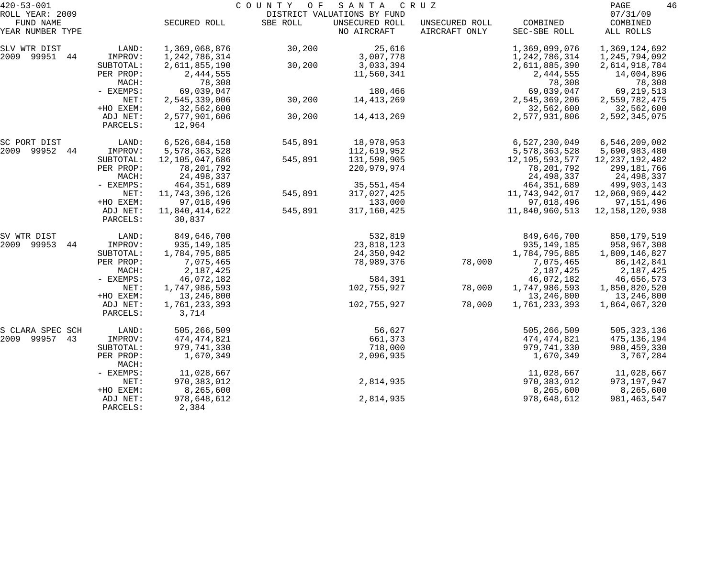| $420 - 53 - 001$    |                    |                   | COUNTY<br>O F | S A N T A                   | C R U Z        |                   | PAGE              | 46 |
|---------------------|--------------------|-------------------|---------------|-----------------------------|----------------|-------------------|-------------------|----|
| ROLL YEAR: 2009     |                    |                   |               | DISTRICT VALUATIONS BY FUND |                |                   | 07/31/09          |    |
| FUND NAME           |                    | SECURED ROLL      | SBE ROLL      | UNSECURED ROLL              | UNSECURED ROLL | COMBINED          | COMBINED          |    |
| YEAR NUMBER TYPE    |                    |                   |               | NO AIRCRAFT                 | AIRCRAFT ONLY  | SEC-SBE ROLL      | ALL ROLLS         |    |
| SLV WTR DIST        | LAND:              | 1,369,068,876     | 30,200        | 25,616                      |                | 1,369,099,076     | 1,369,124,692     |    |
| 2009 99951<br>44    | IMPROV:            | 1,242,786,314     |               | 3,007,778                   |                | 1,242,786,314     | 1,245,794,092     |    |
|                     | SUBTOTAL:          | 2,611,855,190     | 30,200        | 3,033,394                   |                | 2,611,885,390     | 2,614,918,784     |    |
|                     | PER PROP:          | 2,444,555         |               | 11,560,341                  |                | 2,444,555         | 14,004,896        |    |
|                     | MACH:              | 78,308            |               |                             |                | 78,308            | 78,308            |    |
|                     | - EXEMPS:          | 69,039,047        |               | 180,466                     |                | 69,039,047        | 69, 219, 513      |    |
|                     | NET:               | 2,545,339,006     | 30,200        | 14, 413, 269                |                | 2,545,369,206     | 2,559,782,475     |    |
|                     | +HO EXEM:          | 32,562,600        |               |                             |                | 32,562,600        | 32,562,600        |    |
|                     | ADJ NET:           | 2,577,901,606     | 30,200        | 14,413,269                  |                | 2,577,931,806     | 2,592,345,075     |    |
|                     | PARCELS:           | 12,964            |               |                             |                |                   |                   |    |
| SC PORT DIST        | LAND:              | 6,526,684,158     | 545,891       | 18,978,953                  |                | 6,527,230,049     | 6, 546, 209, 002  |    |
| 2009<br>99952<br>44 | IMPROV:            | 5,578,363,528     |               | 112,619,952                 |                | 5,578,363,528     | 5,690,983,480     |    |
|                     | SUBTOTAL:          | 12,105,047,686    | 545,891       | 131,598,905                 |                | 12, 105, 593, 577 | 12, 237, 192, 482 |    |
|                     | PER PROP:          | 78,201,792        |               | 220,979,974                 |                | 78,201,792        | 299,181,766       |    |
|                     | MACH:              | 24,498,337        |               |                             |                | 24,498,337        | 24,498,337        |    |
|                     | - EXEMPS:          | 464, 351, 689     |               | 35,551,454                  |                | 464, 351, 689     | 499,903,143       |    |
|                     | NET:               | 11, 743, 396, 126 | 545,891       | 317,027,425                 |                | 11,743,942,017    | 12,060,969,442    |    |
|                     | +HO EXEM:          | 97,018,496        |               | 133,000                     |                | 97,018,496        | 97,151,496        |    |
|                     | ADJ NET:           | 11,840,414,622    | 545,891       | 317,160,425                 |                | 11,840,960,513    | 12, 158, 120, 938 |    |
|                     | PARCELS:           | 30,837            |               |                             |                |                   |                   |    |
| SV WTR DIST         | LAND:              | 849,646,700       |               | 532,819                     |                | 849,646,700       | 850,179,519       |    |
| 99953<br>2009<br>44 | IMPROV:            | 935, 149, 185     |               | 23,818,123                  |                | 935, 149, 185     | 958,967,308       |    |
|                     | SUBTOTAL:          | 1,784,795,885     |               | 24,350,942                  |                | 1,784,795,885     | 1,809,146,827     |    |
|                     | PER PROP:          | 7,075,465         |               | 78,989,376                  | 78,000         | 7,075,465         | 86,142,841        |    |
|                     | MACH:              | 2,187,425         |               |                             |                | 2,187,425         | 2,187,425         |    |
|                     | - EXEMPS:          | 46,072,182        |               | 584,391                     |                | 46,072,182        | 46,656,573        |    |
|                     | NET:               | 1,747,986,593     |               | 102,755,927                 | 78,000         | 1,747,986,593     | 1,850,820,520     |    |
|                     | +HO EXEM:          | 13,246,800        |               |                             |                | 13,246,800        | 13,246,800        |    |
|                     | ADJ NET:           | 1,761,233,393     |               | 102,755,927                 | 78,000         | 1,761,233,393     | 1,864,067,320     |    |
|                     | PARCELS:           | 3,714             |               |                             |                |                   |                   |    |
| S CLARA SPEC SCH    | LAND:              | 505,266,509       |               | 56,627                      |                | 505,266,509       | 505, 323, 136     |    |
| 99957<br>2009<br>43 | IMPROV:            | 474,474,821       |               | 661,373                     |                | 474, 474, 821     | 475, 136, 194     |    |
|                     | SUBTOTAL:          | 979,741,330       |               | 718,000                     |                | 979,741,330       | 980, 459, 330     |    |
|                     | PER PROP:<br>MACH: | 1,670,349         |               | 2,096,935                   |                | 1,670,349         | 3,767,284         |    |
|                     | - EXEMPS:          | 11,028,667        |               |                             |                | 11,028,667        | 11,028,667        |    |
|                     | NET:               | 970,383,012       |               | 2,814,935                   |                | 970, 383, 012     | 973,197,947       |    |
|                     | +HO EXEM:          | 8,265,600         |               |                             |                | 8,265,600         | 8,265,600         |    |
|                     | ADJ NET:           | 978,648,612       |               | 2,814,935                   |                | 978,648,612       | 981, 463, 547     |    |
|                     | PARCELS:           | 2,384             |               |                             |                |                   |                   |    |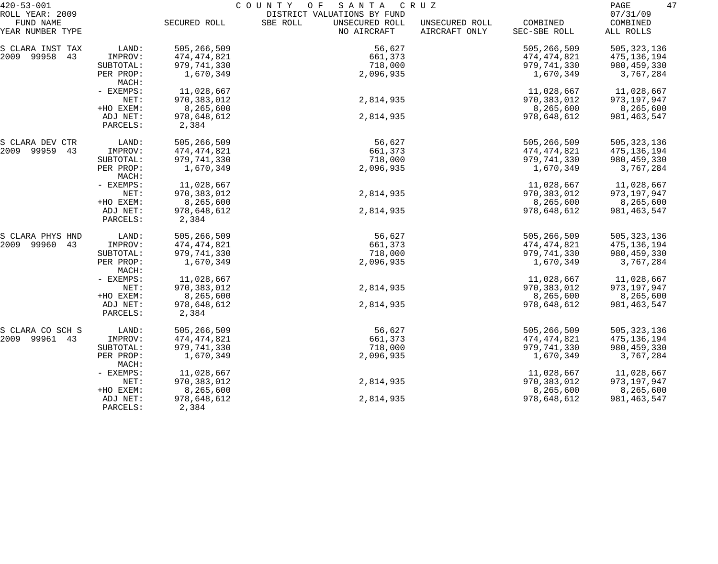| $420 - 53 - 001$              |                      | COUNTY<br>O F<br>SANTA<br>C R U Z |                                           |                                 |                          |                       |  |
|-------------------------------|----------------------|-----------------------------------|-------------------------------------------|---------------------------------|--------------------------|-----------------------|--|
| ROLL YEAR: 2009               |                      |                                   | DISTRICT VALUATIONS BY FUND               |                                 |                          | 07/31/09              |  |
| FUND NAME<br>YEAR NUMBER TYPE |                      | SECURED ROLL                      | SBE ROLL<br>UNSECURED ROLL<br>NO AIRCRAFT | UNSECURED ROLL<br>AIRCRAFT ONLY | COMBINED<br>SEC-SBE ROLL | COMBINED<br>ALL ROLLS |  |
| S CLARA INST TAX              | LAND:                | 505,266,509                       | 56,627                                    |                                 | 505,266,509              | 505, 323, 136         |  |
| 2009 99958<br>43              | IMPROV:              | 474,474,821                       | 661,373                                   |                                 | 474,474,821              | 475,136,194           |  |
|                               | SUBTOTAL:            | 979,741,330                       | 718,000                                   |                                 | 979,741,330              | 980, 459, 330         |  |
|                               | PER PROP:<br>MACH:   | 1,670,349                         | 2,096,935                                 |                                 | 1,670,349                | 3,767,284             |  |
|                               | - EXEMPS:            | 11,028,667                        |                                           |                                 | 11,028,667               | 11,028,667            |  |
|                               | NET:                 | 970, 383, 012                     | 2,814,935                                 |                                 | 970, 383, 012            | 973, 197, 947         |  |
|                               | +HO EXEM:            | 8,265,600                         |                                           |                                 | 8,265,600                | 8,265,600             |  |
|                               | ADJ NET:<br>PARCELS: | 978,648,612<br>2,384              | 2,814,935                                 |                                 | 978,648,612              | 981, 463, 547         |  |
| S CLARA DEV CTR               | LAND:                | 505,266,509                       | 56,627                                    |                                 | 505,266,509              | 505, 323, 136         |  |
| 2009 99959<br>43              | IMPROV:              | 474,474,821                       | 661,373                                   |                                 | 474,474,821              | 475,136,194           |  |
|                               | SUBTOTAL:            | 979,741,330                       | 718,000                                   |                                 | 979,741,330              | 980, 459, 330         |  |
|                               | PER PROP:<br>MACH:   | 1,670,349                         | 2,096,935                                 |                                 | 1,670,349                | 3,767,284             |  |
|                               | - EXEMPS:            | 11,028,667                        |                                           |                                 | 11,028,667               | 11,028,667            |  |
|                               | NET:                 | 970, 383, 012                     | 2,814,935                                 |                                 | 970, 383, 012            | 973, 197, 947         |  |
|                               | +HO EXEM:            | 8,265,600                         |                                           |                                 | 8,265,600                | 8,265,600             |  |
|                               | ADJ NET:<br>PARCELS: | 978,648,612<br>2,384              | 2,814,935                                 |                                 | 978,648,612              | 981, 463, 547         |  |
| S CLARA PHYS HND              | LAND:                | 505,266,509                       | 56,627                                    |                                 | 505,266,509              | 505, 323, 136         |  |
| 2009<br>99960<br>43           | IMPROV:              | 474,474,821                       | 661,373                                   |                                 | 474,474,821              | 475,136,194           |  |
|                               | SUBTOTAL:            | 979,741,330                       | 718,000                                   |                                 | 979,741,330              | 980, 459, 330         |  |
|                               | PER PROP:<br>MACH:   | 1,670,349                         | 2,096,935                                 |                                 | 1,670,349                | 3,767,284             |  |
|                               | - EXEMPS:            | 11,028,667                        |                                           |                                 | 11,028,667               | 11,028,667            |  |
|                               | NET:                 | 970, 383, 012                     | 2,814,935                                 |                                 | 970, 383, 012            | 973, 197, 947         |  |
|                               | +HO EXEM:            | 8,265,600                         |                                           |                                 | 8,265,600                | 8,265,600             |  |
|                               | ADJ NET:<br>PARCELS: | 978,648,612<br>2,384              | 2,814,935                                 |                                 | 978,648,612              | 981, 463, 547         |  |
| S CLARA CO SCH S              | LAND:                | 505,266,509                       | 56,627                                    |                                 | 505,266,509              | 505, 323, 136         |  |
| 2009 99961<br>43              | IMPROV:              | 474,474,821                       | 661,373                                   |                                 | 474,474,821              | 475, 136, 194         |  |
|                               | SUBTOTAL:            | 979,741,330                       | 718,000                                   |                                 | 979,741,330              | 980, 459, 330         |  |
|                               | PER PROP:<br>MACH:   | 1,670,349                         | 2,096,935                                 |                                 | 1,670,349                | 3,767,284             |  |
|                               | - EXEMPS:            | 11,028,667                        |                                           |                                 | 11,028,667               | 11,028,667            |  |
|                               | NET:                 | 970, 383, 012                     | 2,814,935                                 |                                 | 970, 383, 012            | 973, 197, 947         |  |
|                               | +HO EXEM:            | 8,265,600                         |                                           |                                 | 8,265,600                | 8,265,600             |  |
|                               | ADJ NET:<br>PARCELS: | 978,648,612<br>2,384              | 2,814,935                                 |                                 | 978,648,612              | 981, 463, 547         |  |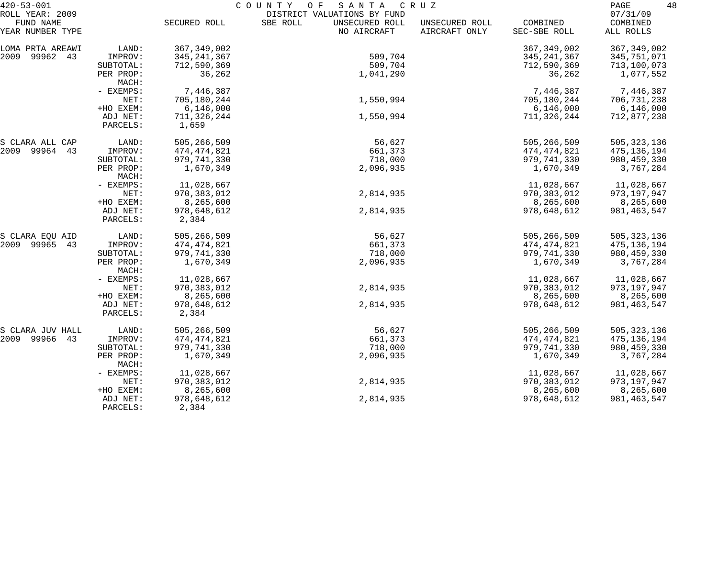| $420 - 53 - 001$                                 |                      | COUNTY<br>O F<br>SANTA<br>C R U Z |                                                                          |                                 |                          |                                   |
|--------------------------------------------------|----------------------|-----------------------------------|--------------------------------------------------------------------------|---------------------------------|--------------------------|-----------------------------------|
| ROLL YEAR: 2009<br>FUND NAME<br>YEAR NUMBER TYPE |                      | SECURED ROLL                      | DISTRICT VALUATIONS BY FUND<br>SBE ROLL<br>UNSECURED ROLL<br>NO AIRCRAFT | UNSECURED ROLL<br>AIRCRAFT ONLY | COMBINED<br>SEC-SBE ROLL | 07/31/09<br>COMBINED<br>ALL ROLLS |
| LOMA PRTA AREAWI                                 | LAND:                | 367, 349, 002                     |                                                                          |                                 | 367, 349, 002            | 367, 349, 002                     |
| 2009<br>99962 43                                 | IMPROV:              | 345, 241, 367                     | 509,704                                                                  |                                 | 345, 241, 367            | 345,751,071                       |
|                                                  | SUBTOTAL:            | 712,590,369                       | 509,704                                                                  |                                 | 712,590,369              | 713,100,073                       |
|                                                  | PER PROP:<br>MACH:   | 36,262                            | 1,041,290                                                                |                                 | 36,262                   | 1,077,552                         |
|                                                  | - EXEMPS:            | 7,446,387                         |                                                                          |                                 | 7,446,387                | 7,446,387                         |
|                                                  | NET:                 | 705,180,244                       | 1,550,994                                                                |                                 | 705,180,244              | 706,731,238                       |
|                                                  | +HO EXEM:            | 6,146,000                         |                                                                          |                                 | 6,146,000                | 6,146,000                         |
|                                                  | ADJ NET:<br>PARCELS: | 711,326,244<br>1,659              | 1,550,994                                                                |                                 | 711,326,244              | 712,877,238                       |
| S CLARA ALL CAP                                  | LAND:                | 505,266,509                       | 56,627                                                                   |                                 | 505,266,509              | 505, 323, 136                     |
| 2009 99964 43                                    | IMPROV:              | 474,474,821                       | 661,373                                                                  |                                 | 474,474,821              | 475,136,194                       |
|                                                  | SUBTOTAL:            | 979,741,330                       | 718,000                                                                  |                                 | 979,741,330              | 980, 459, 330                     |
|                                                  | PER PROP:<br>MACH:   | 1,670,349                         | 2,096,935                                                                |                                 | 1,670,349                | 3,767,284                         |
|                                                  | - EXEMPS:            | 11,028,667                        |                                                                          |                                 | 11,028,667               | 11,028,667                        |
|                                                  | NET:                 | 970,383,012                       | 2,814,935                                                                |                                 | 970, 383, 012            | 973, 197, 947                     |
|                                                  | +HO EXEM:            | 8,265,600                         |                                                                          |                                 | 8,265,600                | 8,265,600                         |
|                                                  | ADJ NET:<br>PARCELS: | 978,648,612<br>2,384              | 2,814,935                                                                |                                 | 978,648,612              | 981, 463, 547                     |
| S CLARA EQU AID                                  | LAND:                | 505,266,509                       | 56,627                                                                   |                                 | 505,266,509              | 505, 323, 136                     |
| 2009 99965<br>43                                 | IMPROV:              | 474,474,821                       | 661,373                                                                  |                                 | 474,474,821              | 475,136,194                       |
|                                                  | SUBTOTAL:            | 979,741,330                       | 718,000                                                                  |                                 | 979,741,330              | 980, 459, 330                     |
|                                                  | PER PROP:<br>MACH:   | 1,670,349                         | 2,096,935                                                                |                                 | 1,670,349                | 3,767,284                         |
|                                                  | - EXEMPS:            | 11,028,667                        |                                                                          |                                 | 11,028,667               | 11,028,667                        |
|                                                  | NET:                 | 970,383,012                       | 2,814,935                                                                |                                 | 970, 383, 012            | 973,197,947                       |
|                                                  | +HO EXEM:            | 8,265,600                         |                                                                          |                                 | 8,265,600                | 8,265,600                         |
|                                                  | ADJ NET:<br>PARCELS: | 978,648,612<br>2,384              | 2,814,935                                                                |                                 | 978,648,612              | 981, 463, 547                     |
| S CLARA JUV HALL                                 | LAND:                | 505,266,509                       | 56,627                                                                   |                                 | 505,266,509              | 505, 323, 136                     |
| 2009 99966<br>43                                 | IMPROV:              | 474,474,821                       | 661,373                                                                  |                                 | 474,474,821              | 475, 136, 194                     |
|                                                  | SUBTOTAL:            | 979,741,330                       | 718,000                                                                  |                                 | 979,741,330              | 980, 459, 330                     |
|                                                  | PER PROP:<br>MACH:   | 1,670,349                         | 2,096,935                                                                |                                 | 1,670,349                | 3,767,284                         |
|                                                  | - EXEMPS:            | 11,028,667                        |                                                                          |                                 | 11,028,667               | 11,028,667                        |
|                                                  | NET:                 | 970, 383, 012                     | 2,814,935                                                                |                                 | 970, 383, 012            | 973, 197, 947                     |
|                                                  | +HO EXEM:            | 8,265,600                         |                                                                          |                                 | 8,265,600                | 8,265,600                         |
|                                                  | ADJ NET:<br>PARCELS: | 978,648,612<br>2,384              | 2,814,935                                                                |                                 | 978,648,612              | 981, 463, 547                     |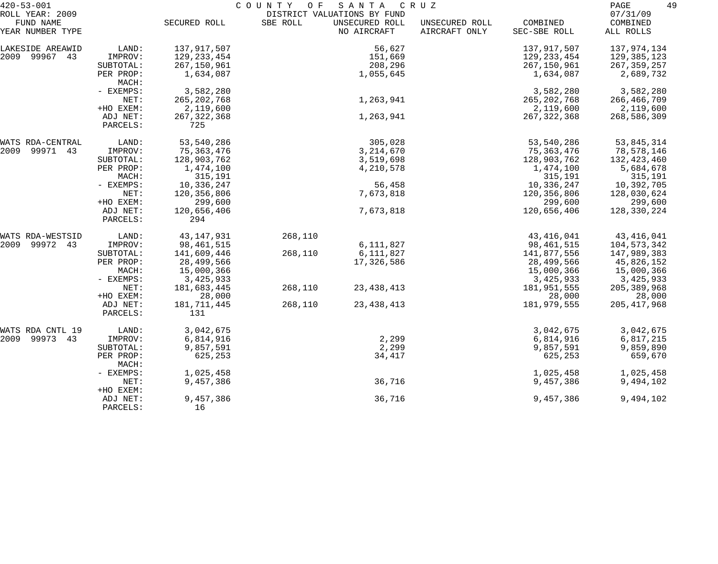| $420 - 53 - 001$              | COUNTY<br>O F<br>SANTA<br>C R U Z |                      |                             |                               |                                 |                          | 49<br>PAGE            |
|-------------------------------|-----------------------------------|----------------------|-----------------------------|-------------------------------|---------------------------------|--------------------------|-----------------------|
| ROLL YEAR: 2009               |                                   |                      | DISTRICT VALUATIONS BY FUND |                               |                                 |                          | 07/31/09              |
| FUND NAME<br>YEAR NUMBER TYPE |                                   | SECURED ROLL         | SBE ROLL                    | UNSECURED ROLL<br>NO AIRCRAFT | UNSECURED ROLL<br>AIRCRAFT ONLY | COMBINED<br>SEC-SBE ROLL | COMBINED<br>ALL ROLLS |
| LAKESIDE AREAWID              | LAND:                             | 137,917,507          |                             | 56,627                        |                                 | 137,917,507              | 137,974,134           |
| 2009 99967 43                 | IMPROV:                           | 129, 233, 454        |                             | 151,669                       |                                 | 129, 233, 454            | 129,385,123           |
|                               | SUBTOTAL:                         | 267,150,961          |                             | 208,296                       |                                 | 267,150,961              | 267, 359, 257         |
|                               | PER PROP:<br>MACH:                | 1,634,087            |                             | 1,055,645                     |                                 | 1,634,087                | 2,689,732             |
|                               | - EXEMPS:                         | 3,582,280            |                             |                               |                                 | 3,582,280                | 3,582,280             |
|                               | NET:                              | 265, 202, 768        |                             | 1,263,941                     |                                 | 265, 202, 768            | 266,466,709           |
|                               | +HO EXEM:                         | 2,119,600            |                             |                               |                                 | 2,119,600                | 2,119,600             |
|                               | ADJ NET:<br>PARCELS:              | 267, 322, 368<br>725 |                             | 1,263,941                     |                                 | 267, 322, 368            | 268,586,309           |
| WATS RDA-CENTRAL              | LAND:                             | 53,540,286           |                             | 305,028                       |                                 | 53,540,286               | 53,845,314            |
| 2009<br>99971 43              | IMPROV:                           | 75,363,476           |                             | 3, 214, 670                   |                                 | 75,363,476               | 78,578,146            |
|                               | SUBTOTAL:                         | 128,903,762          |                             | 3,519,698                     |                                 | 128,903,762              | 132,423,460           |
|                               | PER PROP:                         | 1,474,100            |                             | 4,210,578                     |                                 | 1,474,100                | 5,684,678             |
|                               | MACH:                             | 315,191              |                             |                               |                                 | 315,191                  | 315,191               |
|                               | - EXEMPS:                         | 10,336,247           |                             | 56,458                        |                                 | 10,336,247               | 10,392,705            |
|                               | NET:                              | 120,356,806          |                             | 7,673,818                     |                                 | 120,356,806              | 128,030,624           |
|                               | +HO EXEM:                         | 299,600              |                             |                               |                                 | 299,600                  | 299,600               |
|                               | ADJ NET:                          | 120,656,406          |                             | 7,673,818                     |                                 | 120,656,406              | 128,330,224           |
|                               | PARCELS:                          | 294                  |                             |                               |                                 |                          |                       |
| WATS RDA-WESTSID              | LAND:                             | 43, 147, 931         | 268,110                     |                               |                                 | 43, 416, 041             | 43,416,041            |
| 2009<br>99972 43              | IMPROV:                           | 98,461,515           |                             | 6,111,827                     |                                 | 98,461,515               | 104,573,342           |
|                               | SUBTOTAL:                         | 141,609,446          | 268,110                     | 6,111,827                     |                                 | 141,877,556              | 147,989,383           |
|                               | PER PROP:                         | 28,499,566           |                             | 17,326,586                    |                                 | 28,499,566               | 45,826,152            |
|                               | MACH:                             | 15,000,366           |                             |                               |                                 | 15,000,366               | 15,000,366            |
|                               | - EXEMPS:                         | 3,425,933            |                             |                               |                                 | 3,425,933                | 3,425,933             |
|                               | NET:                              | 181,683,445          | 268,110                     | 23, 438, 413                  |                                 | 181,951,555              | 205, 389, 968         |
|                               | +HO EXEM:                         | 28,000               |                             |                               |                                 | 28,000                   | 28,000                |
|                               | ADJ NET:                          | 181,711,445          | 268,110                     | 23, 438, 413                  |                                 | 181,979,555              | 205, 417, 968         |
|                               | PARCELS:                          | 131                  |                             |                               |                                 |                          |                       |
| WATS RDA CNTL 19              | LAND:                             | 3,042,675            |                             |                               |                                 | 3,042,675                | 3,042,675             |
| 2009 99973 43                 | IMPROV:                           | 6,814,916            |                             | 2,299                         |                                 | 6,814,916                | 6,817,215             |
|                               | SUBTOTAL:                         | 9,857,591            |                             | 2,299                         |                                 | 9,857,591                | 9,859,890             |
|                               | PER PROP:<br>MACH:                | 625,253              |                             | 34,417                        |                                 | 625,253                  | 659,670               |
|                               | - EXEMPS:                         | 1,025,458            |                             |                               |                                 | 1,025,458                | 1,025,458             |
|                               | NET:<br>+HO EXEM:                 | 9,457,386            |                             | 36,716                        |                                 | 9,457,386                | 9,494,102             |
|                               | ADJ NET:<br>PARCELS:              | 9,457,386<br>16      |                             | 36,716                        |                                 | 9,457,386                | 9,494,102             |